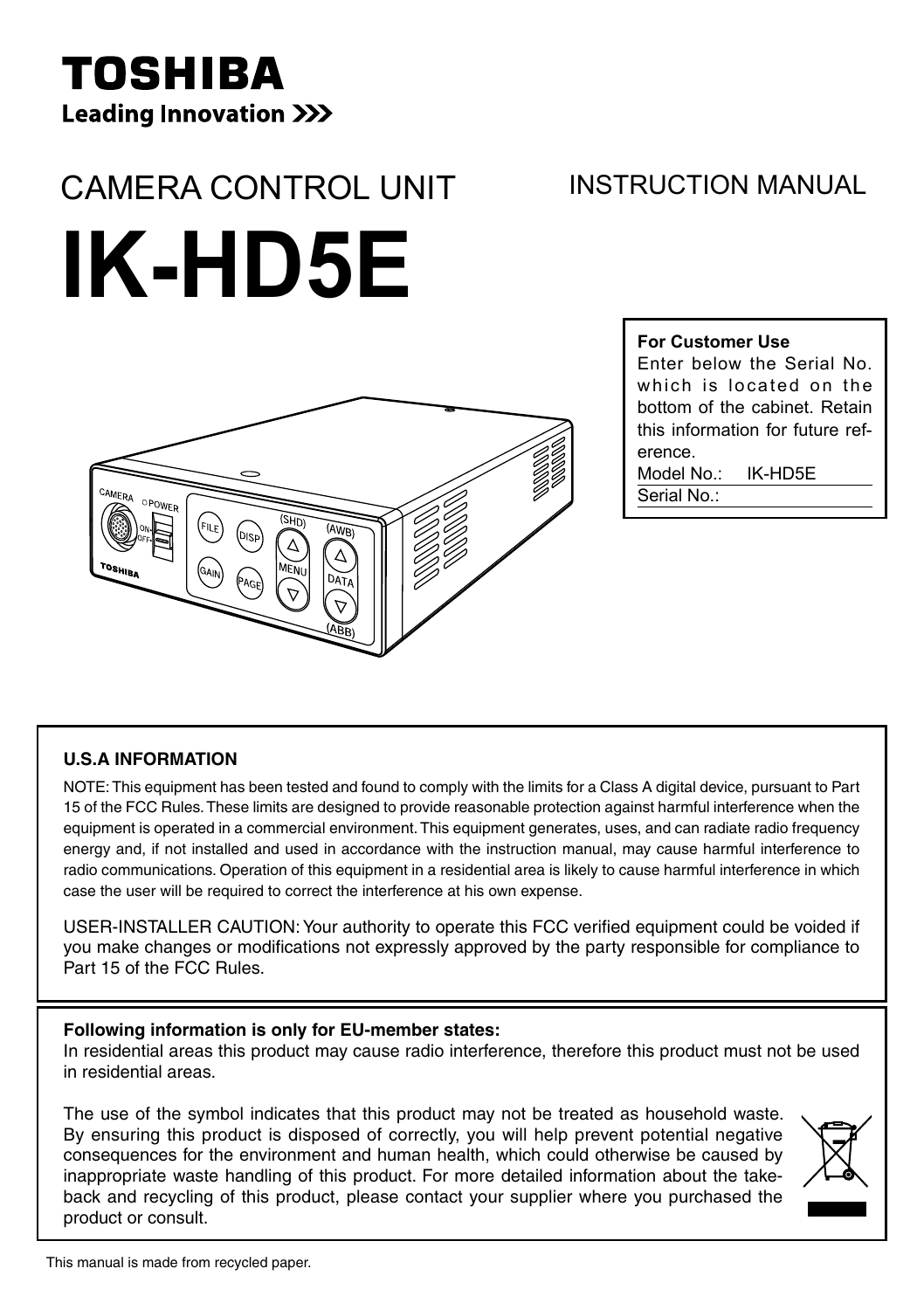# TOSHIBA **Leading Innovation >>>**

# CAMERA CONTROL UNIT

# INSTRUCTION MANUAL

# **IK-HD5E**



#### **For Customer Use**

Enter below the Serial No. which is located on the bottom of the cabinet. Retain this information for future reference.

Model No.: IK-HD5E Serial No.

#### **U.S.A INFORMATION**

NOTE: This equipment has been tested and found to comply with the limits for a Class A digital device, pursuant to Part 15 of the FCC Rules. These limits are designed to provide reasonable protection against harmful interference when the equipment is operated in a commercial environment. This equipment generates, uses, and can radiate radio frequency energy and, if not installed and used in accordance with the instruction manual, may cause harmful interference to radio communications. Operation of this equipment in a residential area is likely to cause harmful interference in which case the user will be required to correct the interference at his own expense.

USER-INSTALLER CAUTION: Your authority to operate this FCC verified equipment could be voided if you make changes or modifications not expressly approved by the party responsible for compliance to Part 15 of the FCC Rules.

#### **Following information is only for EU-member states:**

In residential areas this product may cause radio interference, therefore this product must not be used in residential areas.

The use of the symbol indicates that this product may not be treated as household waste. By ensuring this product is disposed of correctly, you will help prevent potential negative consequences for the environment and human health, which could otherwise be caused by inappropriate waste handling of this product. For more detailed information about the takeback and recycling of this product, please contact your supplier where you purchased the product or consult.

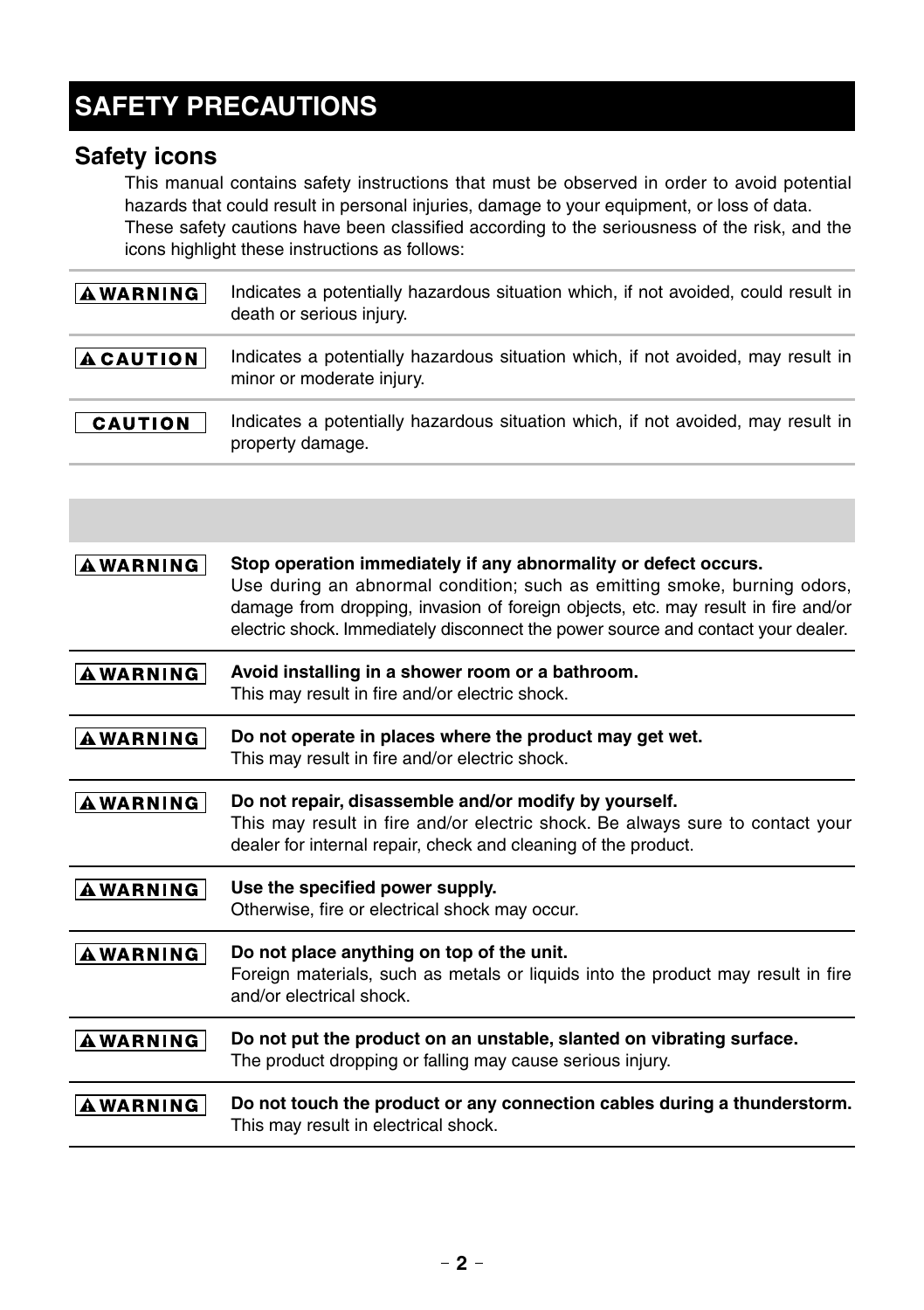# **SAFETY PRECAUTIONS**

### **Safety icons**

This manual contains safety instructions that must be observed in order to avoid potential hazards that could result in personal injuries, damage to your equipment, or loss of data. These safety cautions have been classified according to the seriousness of the risk, and the icons highlight these instructions as follows:

| <b>AWARNING</b>  | Indicates a potentially hazardous situation which, if not avoided, could result in<br>death or serious injury. |
|------------------|----------------------------------------------------------------------------------------------------------------|
| <b>A CAUTION</b> | Indicates a potentially hazardous situation which, if not avoided, may result in<br>minor or moderate injury.  |
| CAUTION          | Indicates a potentially hazardous situation which, if not avoided, may result in<br>property damage.           |

| <b>AWARNING</b> | Stop operation immediately if any abnormality or defect occurs.<br>Use during an abnormal condition; such as emitting smoke, burning odors,<br>damage from dropping, invasion of foreign objects, etc. may result in fire and/or<br>electric shock. Immediately disconnect the power source and contact your dealer. |
|-----------------|----------------------------------------------------------------------------------------------------------------------------------------------------------------------------------------------------------------------------------------------------------------------------------------------------------------------|
| <b>AWARNING</b> | Avoid installing in a shower room or a bathroom.<br>This may result in fire and/or electric shock.                                                                                                                                                                                                                   |
| <b>AWARNING</b> | Do not operate in places where the product may get wet.<br>This may result in fire and/or electric shock.                                                                                                                                                                                                            |
| <b>AWARNING</b> | Do not repair, disassemble and/or modify by yourself.<br>This may result in fire and/or electric shock. Be always sure to contact your<br>dealer for internal repair, check and cleaning of the product.                                                                                                             |
| <b>AWARNING</b> | Use the specified power supply.<br>Otherwise, fire or electrical shock may occur.                                                                                                                                                                                                                                    |
| <b>AWARNING</b> | Do not place anything on top of the unit.<br>Foreign materials, such as metals or liquids into the product may result in fire<br>and/or electrical shock.                                                                                                                                                            |
| <b>AWARNING</b> | Do not put the product on an unstable, slanted on vibrating surface.<br>The product dropping or falling may cause serious injury.                                                                                                                                                                                    |
| <b>AWARNING</b> | Do not touch the product or any connection cables during a thunderstorm.<br>This may result in electrical shock.                                                                                                                                                                                                     |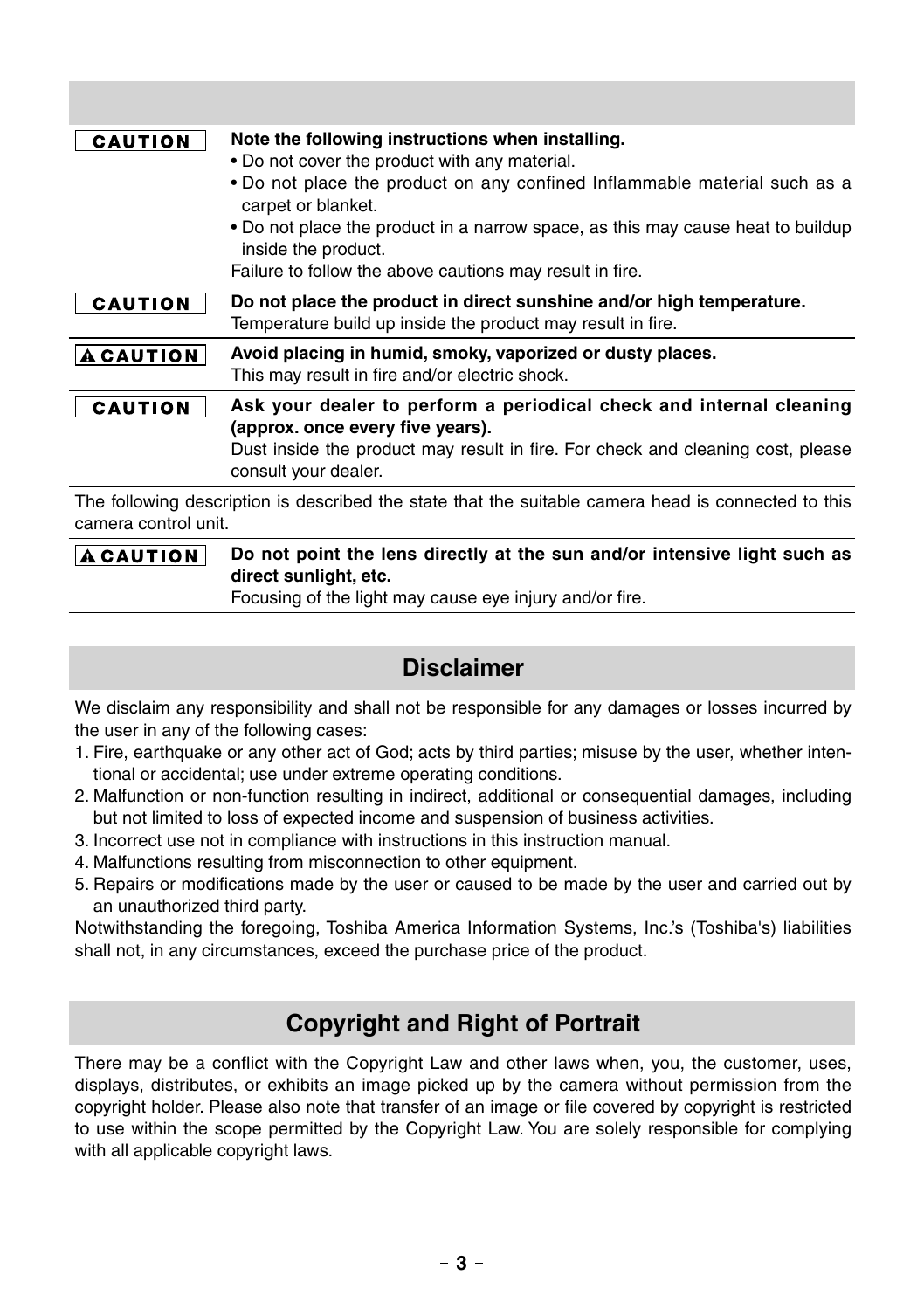| <b>CAUTION</b>   | Note the following instructions when installing.<br>• Do not cover the product with any material.<br>• Do not place the product on any confined Inflammable material such as a<br>carpet or blanket.<br>• Do not place the product in a narrow space, as this may cause heat to buildup<br>inside the product.<br>Failure to follow the above cautions may result in fire. |
|------------------|----------------------------------------------------------------------------------------------------------------------------------------------------------------------------------------------------------------------------------------------------------------------------------------------------------------------------------------------------------------------------|
| <b>CAUTION</b>   | Do not place the product in direct sunshine and/or high temperature.<br>Temperature build up inside the product may result in fire.                                                                                                                                                                                                                                        |
| <b>A CAUTION</b> | Avoid placing in humid, smoky, vaporized or dusty places.<br>This may result in fire and/or electric shock.                                                                                                                                                                                                                                                                |
| CAUTION          | Ask your dealer to perform a periodical check and internal cleaning<br>(approx. once every five years).<br>Dust inside the product may result in fire. For check and cleaning cost, please<br>consult your dealer.                                                                                                                                                         |
|                  | The following description is described the state that the suitable camera head is connected to this                                                                                                                                                                                                                                                                        |

camera control unit. **Do not point the lens directly at the sun and/or intensive light such as ACAUTION direct sunlight, etc.**

Focusing of the light may cause eye injury and/or fire.

# **Disclaimer**

We disclaim any responsibility and shall not be responsible for any damages or losses incurred by the user in any of the following cases:

- 1. Fire, earthquake or any other act of God; acts by third parties; misuse by the user, whether intentional or accidental; use under extreme operating conditions.
- 2. Malfunction or non-function resulting in indirect, additional or consequential damages, including but not limited to loss of expected income and suspension of business activities.
- 3. Incorrect use not in compliance with instructions in this instruction manual.
- 4. Malfunctions resulting from misconnection to other equipment.
- 5. Repairs or modifications made by the user or caused to be made by the user and carried out by an unauthorized third party.

Notwithstanding the foregoing, Toshiba America Information Systems, Inc.'s (Toshiba's) liabilities shall not, in any circumstances, exceed the purchase price of the product.

### **Copyright and Right of Portrait**

There may be a conflict with the Copyright Law and other laws when, you, the customer, uses, displays, distributes, or exhibits an image picked up by the camera without permission from the copyright holder. Please also note that transfer of an image or file covered by copyright is restricted to use within the scope permitted by the Copyright Law. You are solely responsible for complying with all applicable copyright laws.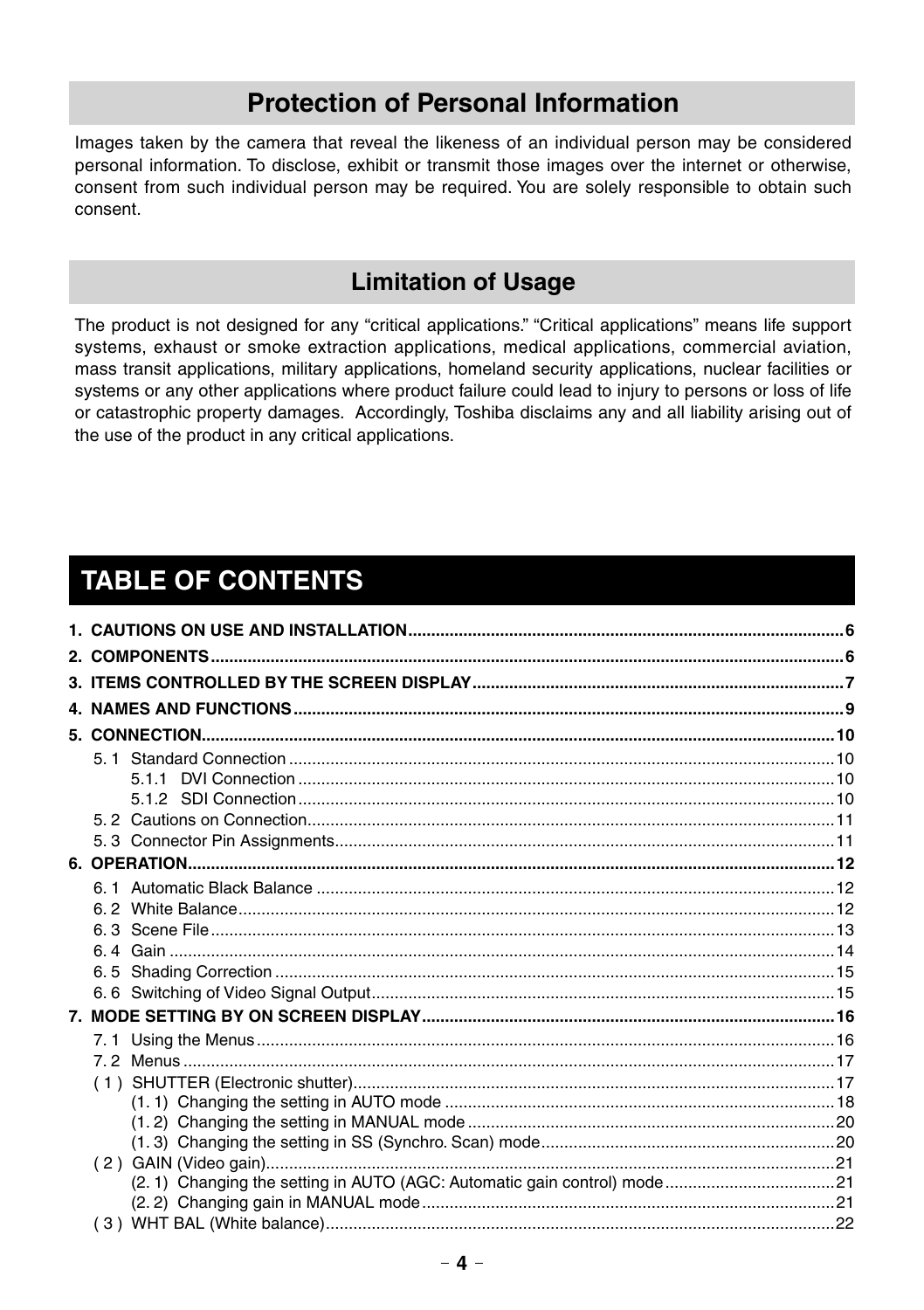# **Protection of Personal Information**

Images taken by the camera that reveal the likeness of an individual person may be considered personal information. To disclose, exhibit or transmit those images over the internet or otherwise, consent from such individual person may be required. You are solely responsible to obtain such consent.

# **Limitation of Usage**

The product is not designed for any "critical applications." "Critical applications" means life support systems, exhaust or smoke extraction applications, medical applications, commercial aviation, mass transit applications, military applications, homeland security applications, nuclear facilities or systems or any other applications where product failure could lead to injury to persons or loss of life or catastrophic property damages. Accordingly, Toshiba disclaims any and all liability arising out of the use of the product in any critical applications.

# **TABLE OF CONTENTS**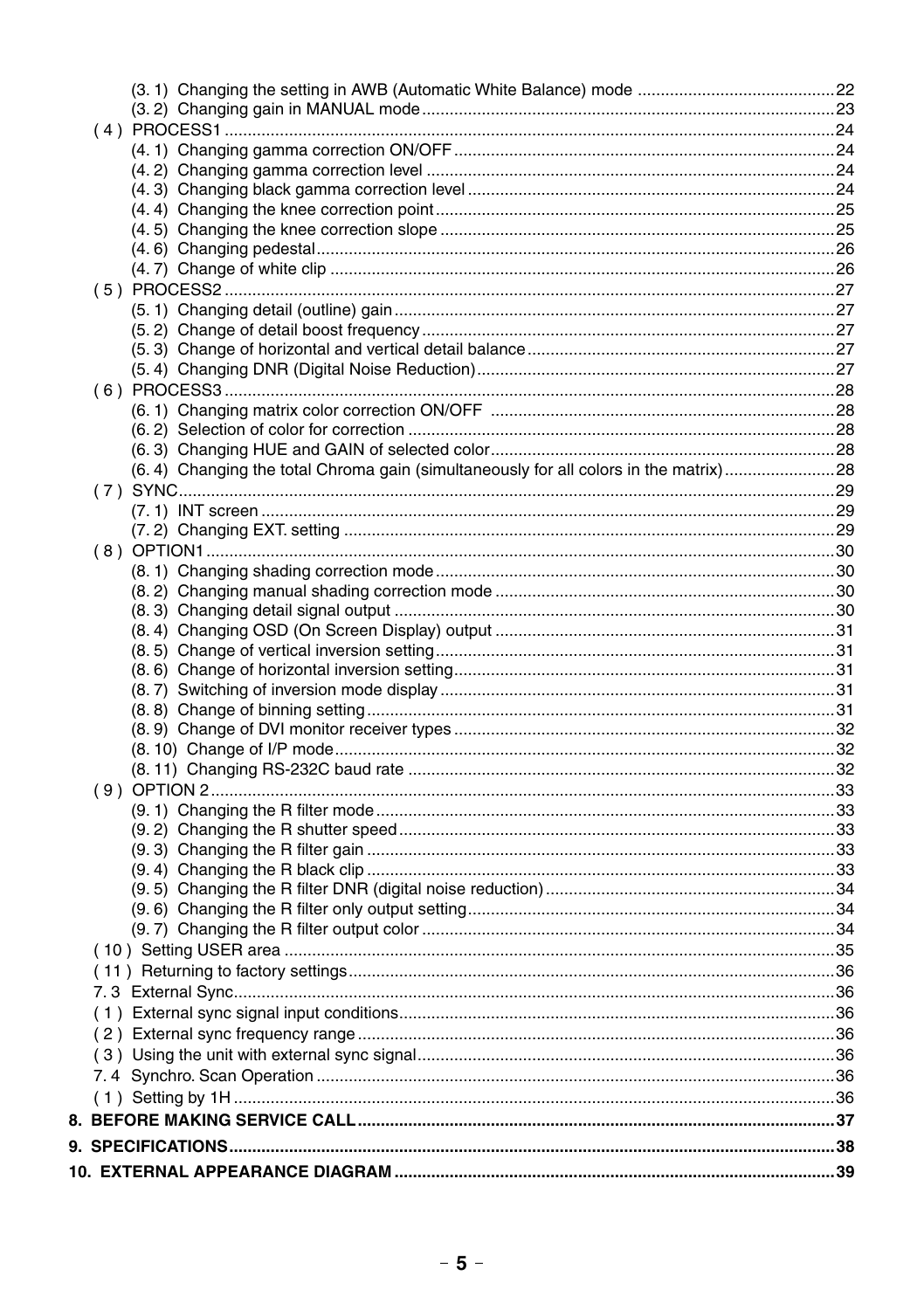| (6.4) Changing the total Chroma gain (simultaneously for all colors in the matrix)28 |  |
|--------------------------------------------------------------------------------------|--|
|                                                                                      |  |
|                                                                                      |  |
|                                                                                      |  |
|                                                                                      |  |
|                                                                                      |  |
|                                                                                      |  |
|                                                                                      |  |
|                                                                                      |  |
|                                                                                      |  |
|                                                                                      |  |
|                                                                                      |  |
|                                                                                      |  |
|                                                                                      |  |
|                                                                                      |  |
|                                                                                      |  |
|                                                                                      |  |
|                                                                                      |  |
|                                                                                      |  |
|                                                                                      |  |
|                                                                                      |  |
|                                                                                      |  |
|                                                                                      |  |
|                                                                                      |  |
|                                                                                      |  |
|                                                                                      |  |
|                                                                                      |  |
|                                                                                      |  |
|                                                                                      |  |
|                                                                                      |  |
|                                                                                      |  |
|                                                                                      |  |
|                                                                                      |  |
|                                                                                      |  |
|                                                                                      |  |
|                                                                                      |  |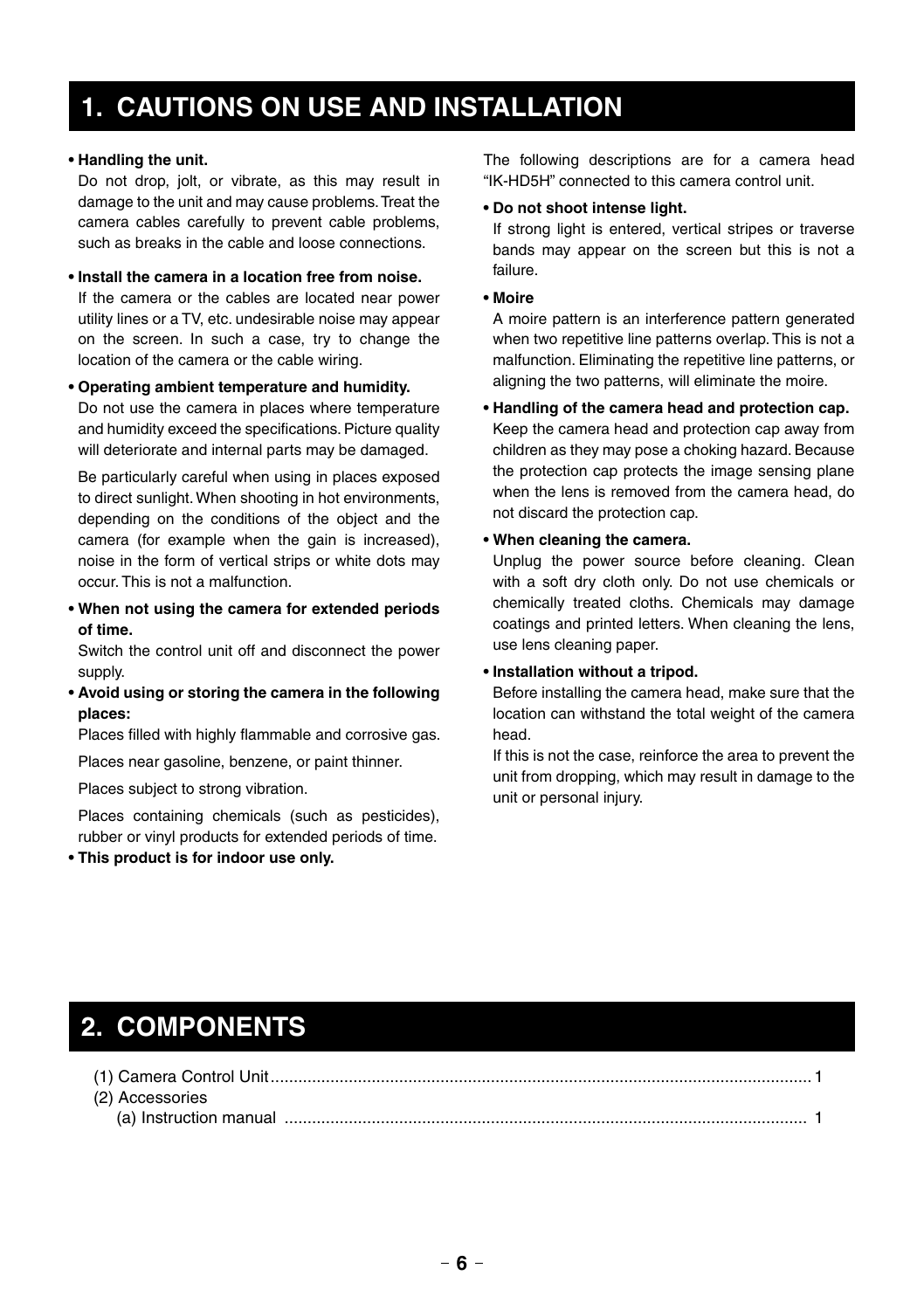# **1. CAUTIONS ON USE AND INSTALLATION**

#### **• Handling the unit.**

Do not drop, jolt, or vibrate, as this may result in damage to the unit and may cause problems. Treat the camera cables carefully to prevent cable problems, such as breaks in the cable and loose connections.

**• Install the camera in a location free from noise.** If the camera or the cables are located near power utility lines or a TV, etc. undesirable noise may appear on the screen. In such a case, try to change the location of the camera or the cable wiring.

#### **• Operating ambient temperature and humidity.**

Do not use the camera in places where temperature and humidity exceed the specifications. Picture quality will deteriorate and internal parts may be damaged.

Be particularly careful when using in places exposed to direct sunlight. When shooting in hot environments, depending on the conditions of the object and the camera (for example when the gain is increased), noise in the form of vertical strips or white dots may occur. This is not a malfunction.

**• When not using the camera for extended periods of time.**

Switch the control unit off and disconnect the power supply.

**• Avoid using or storing the camera in the following places:**

Places filled with highly flammable and corrosive gas.

Places near gasoline, benzene, or paint thinner.

Places subject to strong vibration.

Places containing chemicals (such as pesticides), rubber or vinyl products for extended periods of time.

**• This product is for indoor use only.**

The following descriptions are for a camera head "IK-HD5H" connected to this camera control unit.

#### **• Do not shoot intense light.**

If strong light is entered, vertical stripes or traverse bands may appear on the screen but this is not a failure.

**• Moire**

A moire pattern is an interference pattern generated when two repetitive line patterns overlap. This is not a malfunction. Eliminating the repetitive line patterns, or aligning the two patterns, will eliminate the moire.

**• Handling of the camera head and protection cap.** Keep the camera head and protection cap away from children as they may pose a choking hazard. Because the protection cap protects the image sensing plane when the lens is removed from the camera head, do not discard the protection cap.

#### **• When cleaning the camera.**

Unplug the power source before cleaning. Clean with a soft dry cloth only. Do not use chemicals or chemically treated cloths. Chemicals may damage coatings and printed letters. When cleaning the lens, use lens cleaning paper.

#### **• Installation without a tripod.**

Before installing the camera head, make sure that the location can withstand the total weight of the camera head.

If this is not the case, reinforce the area to prevent the unit from dropping, which may result in damage to the unit or personal injury.

# **2. COMPONENTS**

| (2) Accessories                                                                                                                                                                                                              |  |
|------------------------------------------------------------------------------------------------------------------------------------------------------------------------------------------------------------------------------|--|
| (a) Instruction manual $\ldots$ $\ldots$ $\ldots$ $\ldots$ $\ldots$ $\ldots$ $\ldots$ $\ldots$ $\ldots$ $\ldots$ $\ldots$ $\ldots$ $\ldots$ $\ldots$ $\ldots$ $\ldots$ $\ldots$ $\ldots$ $\ldots$ $\ldots$ $\ldots$ $\ldots$ |  |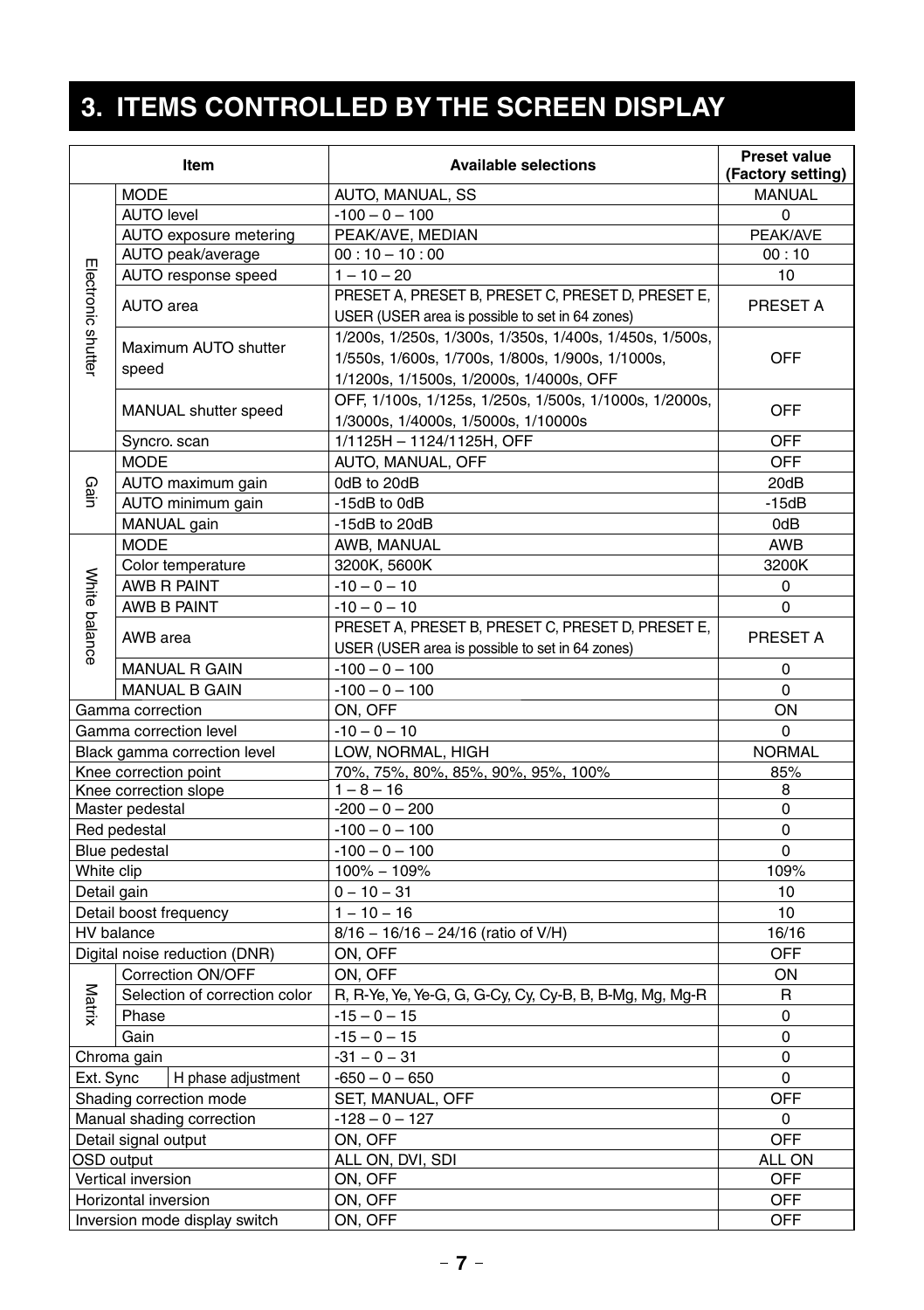# **3. ITEMS CONTROLLED BY THE SCREEN DISPLAY**

|                    | Item                          | <b>Available selections</b>                             | <b>Preset value</b><br>(Factory setting) |
|--------------------|-------------------------------|---------------------------------------------------------|------------------------------------------|
|                    | <b>MODE</b>                   | AUTO, MANUAL, SS                                        | <b>MANUAL</b>                            |
|                    | <b>AUTO level</b>             | $-100 - 0 - 100$                                        | 0                                        |
|                    | AUTO exposure metering        | PEAK/AVE, MEDIAN                                        | PEAK/AVE                                 |
|                    | AUTO peak/average             | $00:10 - 10:00$                                         | 00:10                                    |
|                    | AUTO response speed           | $1 - 10 - 20$                                           | 10                                       |
|                    |                               | PRESET A, PRESET B, PRESET C, PRESET D, PRESET E,       |                                          |
| Electronic shutter | AUTO area                     | USER (USER area is possible to set in 64 zones)         | PRESET A                                 |
|                    |                               | 1/200s, 1/250s, 1/300s, 1/350s, 1/400s, 1/450s, 1/500s, |                                          |
|                    | Maximum AUTO shutter          | 1/550s, 1/600s, 1/700s, 1/800s, 1/900s, 1/1000s,        | <b>OFF</b>                               |
|                    | speed                         | 1/1200s, 1/1500s, 1/2000s, 1/4000s, OFF                 |                                          |
|                    |                               | OFF, 1/100s, 1/125s, 1/250s, 1/500s, 1/1000s, 1/2000s,  |                                          |
|                    | MANUAL shutter speed          | 1/3000s, 1/4000s, 1/5000s, 1/10000s                     | OFF                                      |
|                    | Syncro. scan                  | 1/1125H - 1124/1125H, OFF                               | <b>OFF</b>                               |
|                    | <b>MODE</b>                   | AUTO, MANUAL, OFF                                       | OFF                                      |
|                    | AUTO maximum gain             | 0dB to 20dB                                             | 20dB                                     |
| Gain               | AUTO minimum gain             | -15dB to 0dB                                            | $-15dB$                                  |
|                    | MANUAL gain                   | -15dB to 20dB                                           | 0dB                                      |
|                    | <b>MODE</b>                   | AWB, MANUAL                                             | <b>AWB</b>                               |
|                    | Color temperature             | 3200K, 5600K                                            | 3200K                                    |
|                    | AWB R PAINT                   | $-10 - 0 - 10$                                          | 0                                        |
|                    | AWB B PAINT                   | $-10 - 0 - 10$                                          | 0                                        |
|                    |                               | PRESET A, PRESET B, PRESET C, PRESET D, PRESET E,       |                                          |
| White balance      | AWB area                      | USER (USER area is possible to set in 64 zones)         | PRESET A                                 |
|                    | <b>MANUAL R GAIN</b>          | $-100 - 0 - 100$                                        | 0                                        |
|                    | <b>MANUAL B GAIN</b>          | $-100 - 0 - 100$                                        | 0                                        |
|                    | Gamma correction              | ON, OFF                                                 | ON                                       |
|                    | Gamma correction level        | $-10 - 0 - 10$                                          | 0                                        |
|                    | Black gamma correction level  | LOW, NORMAL, HIGH                                       | <b>NORMAL</b>                            |
|                    | Knee correction point         | 70%, 75%, 80%, 85%, 90%, 95%, 100%                      | 85%                                      |
|                    | Knee correction slope         | $1 - 8 - 16$                                            | 8                                        |
|                    | Master pedestal               | $-200 - 0 - 200$                                        | 0                                        |
|                    | Red pedestal                  | $-100 - 0 - 100$                                        | 0                                        |
|                    | Blue pedestal                 | $-100 - 0 - 100$                                        | $\Omega$                                 |
| White clip         |                               | $100\% - 109\%$                                         | 109%                                     |
| Detail gain        |                               | $0 - 10 - 31$                                           | 10                                       |
|                    | Detail boost frequency        | $1 - 10 - 16$                                           | 10                                       |
|                    | HV balance                    | $8/16 - 16/16 - 24/16$ (ratio of V/H)                   | 16/16                                    |
|                    | Digital noise reduction (DNR) | ON, OFF                                                 | OFF                                      |
|                    | Correction ON/OFF             | ON, OFF                                                 | ON                                       |
|                    | Selection of correction color | R, R-Ye, Ye, Ye-G, G, G-Cy, Cy, Cy-B, B, B-Mg, Mg, Mg-R | R                                        |
| Matrix             | Phase                         | $-15 - 0 - 15$                                          | 0                                        |
|                    | Gain                          | $-15 - 0 - 15$                                          | 0                                        |
|                    | Chroma gain                   | $-31 - 0 - 31$                                          | 0                                        |
| Ext. Sync          | H phase adjustment            | $-650 - 0 - 650$                                        | 0                                        |
|                    | Shading correction mode       | SET, MANUAL, OFF                                        | <b>OFF</b>                               |
|                    | Manual shading correction     | $-128 - 0 - 127$                                        | $\mathbf 0$                              |
|                    | Detail signal output          | ON, OFF                                                 | <b>OFF</b>                               |
| OSD output         |                               | ALL ON, DVI, SDI                                        | ALL ON                                   |
|                    | Vertical inversion            | ON, OFF                                                 | OFF                                      |
|                    | Horizontal inversion          | ON, OFF                                                 | OFF                                      |
|                    | Inversion mode display switch | ON, OFF                                                 | OFF                                      |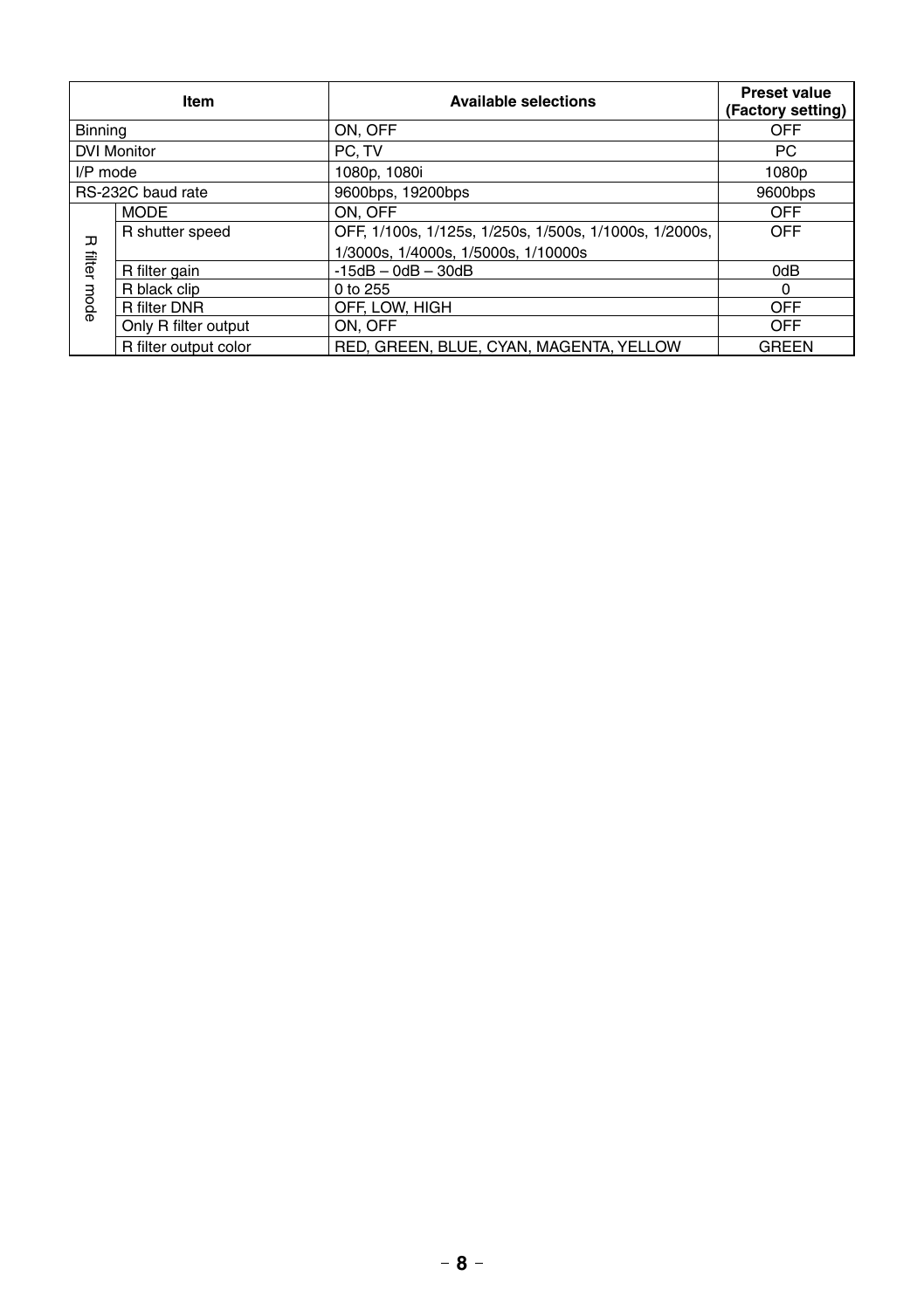|            | Item                  | <b>Available selections</b>                            | <b>Preset value</b><br>(Factory setting) |
|------------|-----------------------|--------------------------------------------------------|------------------------------------------|
| Binning    |                       | ON, OFF                                                | OFF                                      |
|            | <b>DVI Monitor</b>    | PC. TV                                                 | PC.                                      |
| $I/P$ mode |                       | 1080p, 1080i                                           | 1080 <sub>p</sub>                        |
|            | RS-232C baud rate     | 9600bps, 19200bps                                      | 9600bps                                  |
|            | <b>MODE</b>           | ON. OFF                                                | OFF                                      |
| ᠴ          | R shutter speed       | OFF, 1/100s, 1/125s, 1/250s, 1/500s, 1/1000s, 1/2000s, | OFF                                      |
|            |                       | 1/3000s, 1/4000s, 1/5000s, 1/10000s                    |                                          |
| filter     | R filter gain         | $-15dB - OdB - 30dB$                                   | 0dB                                      |
|            | R black clip          | 0 to 255                                               | $\Omega$                                 |
| mode       | R filter DNR          | OFF. LOW. HIGH                                         | OFF                                      |
|            | Only R filter output  | ON. OFF                                                | OFF                                      |
|            | R filter output color | RED, GREEN, BLUE, CYAN, MAGENTA, YELLOW                | GREEN                                    |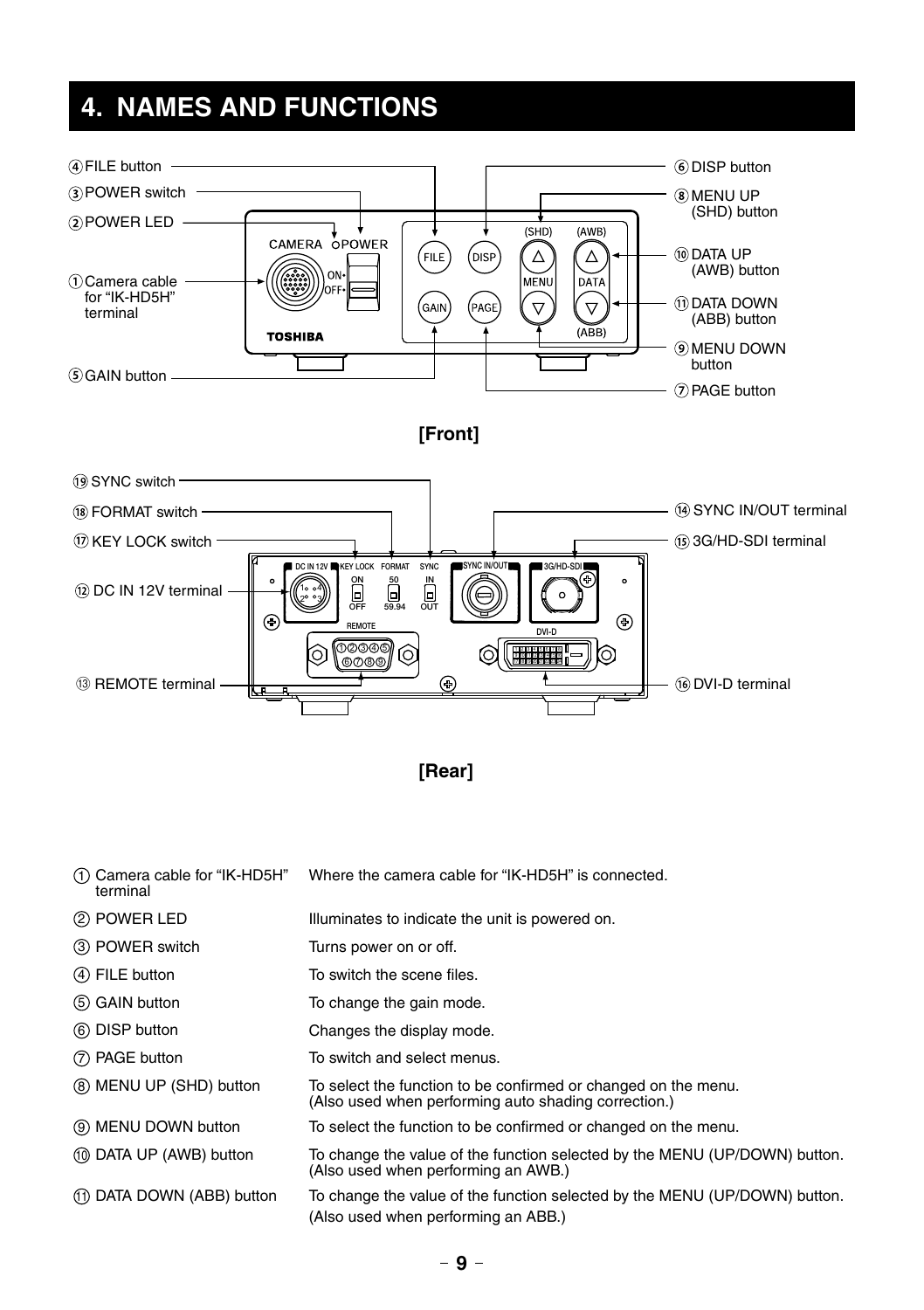# **4. NAMES AND FUNCTIONS**





| (1) Camera cable for "IK-HD5H"<br>terminal | Where the camera cable for "IK-HD5H" is connected.                                                                     |
|--------------------------------------------|------------------------------------------------------------------------------------------------------------------------|
| 2 POWER LED                                | Illuminates to indicate the unit is powered on.                                                                        |
| 3 POWER switch                             | Turns power on or off.                                                                                                 |
| (4) FILE button                            | To switch the scene files.                                                                                             |
| (5) GAIN button                            | To change the gain mode.                                                                                               |
| (6) DISP button                            | Changes the display mode.                                                                                              |
| (7) PAGE button                            | To switch and select menus.                                                                                            |
| (8) MENU UP (SHD) button                   | To select the function to be confirmed or changed on the menu.<br>(Also used when performing auto shading correction.) |
| (9) MENU DOWN button                       | To select the function to be confirmed or changed on the menu.                                                         |
| (10) DATA UP (AWB) button                  | To change the value of the function selected by the MENU (UP/DOWN) button.<br>(Also used when performing an AWB.)      |
| (1) DATA DOWN (ABB) button                 | To change the value of the function selected by the MENU (UP/DOWN) button.<br>(Also used when performing an ABB.)      |
|                                            |                                                                                                                        |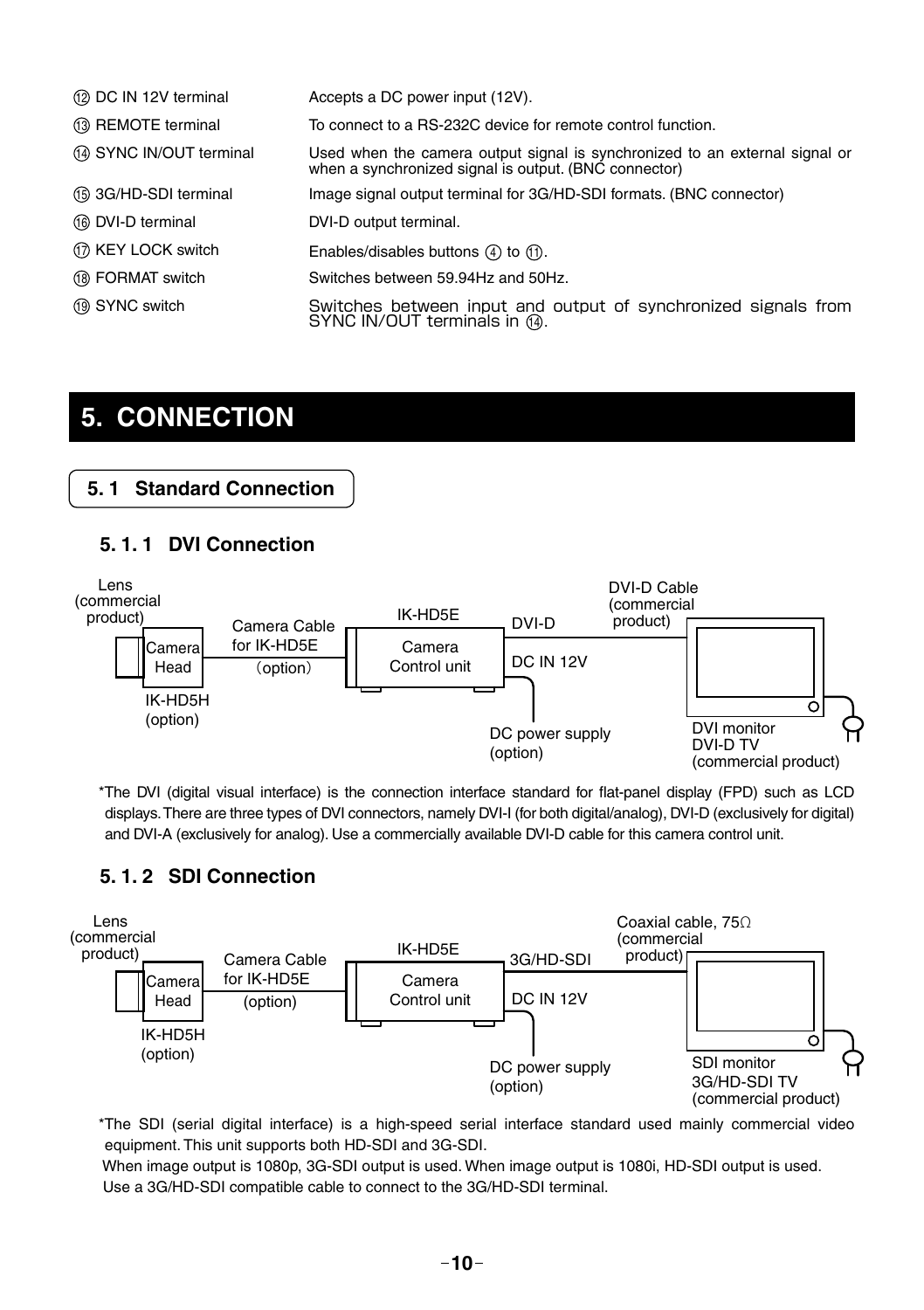| 12 DC IN 12V terminal    | Accepts a DC power input (12V).                                                                                                      |
|--------------------------|--------------------------------------------------------------------------------------------------------------------------------------|
| 13 REMOTE terminal       | To connect to a RS-232C device for remote control function.                                                                          |
| (4) SYNC IN/OUT terminal | Used when the camera output signal is synchronized to an external signal or<br>when a synchronized signal is output. (BNC connector) |
| (6) 3G/HD-SDI terminal   | Image signal output terminal for 3G/HD-SDI formats. (BNC connector)                                                                  |
| 16 DVI-D terminal        | DVI-D output terminal.                                                                                                               |
| 17 KEY LOCK switch       | Enables/disables buttons $(4)$ to $(1)$ .                                                                                            |
| (18) FORMAT switch       | Switches between 59.94Hz and 50Hz.                                                                                                   |
| 19 SYNC switch           | Switches between input and output of synchronized signals from<br>SYNC IN/OUT terminals in (4).                                      |

# **5. CONNECTION**

### **5. 1 Standard Connection**

#### **5. 1. 1 DVI Connection**



\*The DVI (digital visual interface) is the connection interface standard for flat-panel display (FPD) such as LCD displays. There are three types of DVI connectors, namely DVI-I (for both digital/analog), DVI-D (exclusively for digital) and DVI-A (exclusively for analog). Use a commercially available DVI-D cable for this camera control unit.

#### **5. 1. 2 SDI Connection**



\*The SDI (serial digital interface) is a high-speed serial interface standard used mainly commercial video equipment. This unit supports both HD-SDI and 3G-SDI.

 When image output is 1080p, 3G-SDI output is used. When image output is 1080i, HD-SDI output is used. Use a 3G/HD-SDI compatible cable to connect to the 3G/HD-SDI terminal.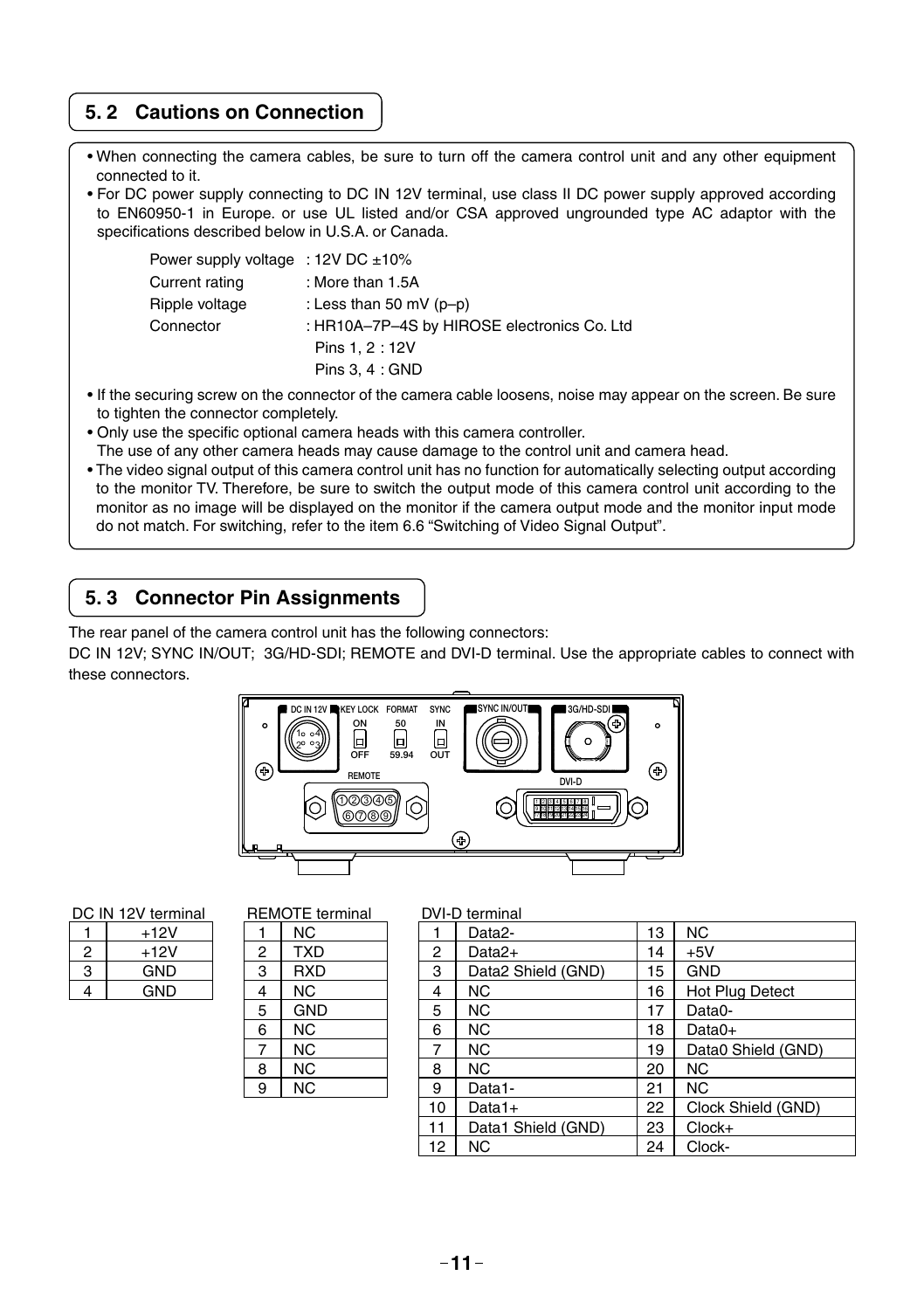#### **5. 2 Cautions on Connection**

- When connecting the camera cables, be sure to turn off the camera control unit and any other equipment connected to it.
- For DC power supply connecting to DC IN 12V terminal, use class II DC power supply approved according to EN60950-1 in Europe. or use UL listed and/or CSA approved ungrounded type AC adaptor with the specifications described below in U.S.A. or Canada.

| Power supply voltage : $12V$ DC $\pm 10\%$ |                                             |
|--------------------------------------------|---------------------------------------------|
| Current rating                             | : More than 1.5A                            |
| Ripple voltage                             | : Less than 50 mV $(p-p)$                   |
| Connector                                  | : HR10A-7P-4S by HIROSE electronics Co. Ltd |
|                                            | Pins 1.2:12V                                |
|                                            | Pins $3.4:$ GND                             |

- If the securing screw on the connector of the camera cable loosens, noise may appear on the screen. Be sure to tighten the connector completely.
- Only use the specific optional camera heads with this camera controller. The use of any other camera heads may cause damage to the control unit and camera head.
- The video signal output of this camera control unit has no function for automatically selecting output according to the monitor TV. Therefore, be sure to switch the output mode of this camera control unit according to the monitor as no image will be displayed on the monitor if the camera output mode and the monitor input mode do not match. For switching, refer to the item 6.6 "Switching of Video Signal Output".

#### **5. 3 Connector Pin Assignments**

The rear panel of the camera control unit has the following connectors:

DC IN 12V; SYNC IN/OUT; 3G/HD-SDI; REMOTE and DVI-D terminal. Use the appropriate cables to connect with these connectors.



| DC IN 12V terminal |  |  |
|--------------------|--|--|
|--------------------|--|--|

|   | $+12V$     |
|---|------------|
| 2 | $+12V$     |
| З | <b>GND</b> |
|   | GND        |

| DC IN 12V terminal |            | <b>REMOTE</b> terminal |            |            | DVI-D terminal |
|--------------------|------------|------------------------|------------|------------|----------------|
|                    | $+12V$     |                        | NC.        |            | Data2-         |
| 2                  | $+12V$     | 2                      | <b>TXD</b> | 2          | Data2+         |
| 3                  | <b>GND</b> | 3                      | <b>RXD</b> | 3          | Data2 S        |
| 4                  | <b>GND</b> | 4                      | NC.        | 4          | <b>NC</b>      |
|                    |            | 5                      | <b>GND</b> | 5          | <b>NC</b>      |
|                    |            | 6                      | NC.        | 6          | <b>NC</b>      |
|                    |            |                        | NC.        |            | <b>NC</b>      |
|                    |            | 8                      | NC.        | 8          | <b>NC</b>      |
|                    |            | 9                      | NC.        | 9          | Data1-         |
|                    |            |                        |            | $\sim$ $-$ | _ _ _          |

|   | ט ווא וב אנקוווווונטו |   | $11$ LIVIVI L. UTIIIIIIII |    |                    |    |                        |
|---|-----------------------|---|---------------------------|----|--------------------|----|------------------------|
|   | $+12V$                |   | NC.                       |    | Data2-             | 13 | NC.                    |
| 2 | $+12V$                | 2 | <b>TXD</b>                | 2  | Data2+             | 14 | $+5V$                  |
| 3 | GND.                  | 3 | <b>RXD</b>                | 3  | Data2 Shield (GND) | 15 | <b>GND</b>             |
| 4 | <b>GND</b>            | 4 | NC.                       | 4  | NC.                | 16 | <b>Hot Plug Detect</b> |
|   |                       | 5 | <b>GND</b>                | 5  | <b>NC</b>          | 17 | Data0-                 |
|   |                       | 6 | NC.                       | 6  | <b>NC</b>          | 18 | $Data0+$               |
|   |                       | - | NC.                       | 7  | <b>NC</b>          | 19 | Data0 Shield (GND)     |
|   |                       | 8 | NC.                       | 8  | NC.                | 20 | NC.                    |
|   |                       | 9 | NC.                       | 9  | Data1-             | 21 | NC.                    |
|   |                       |   |                           | 10 | $Data1+$           | 22 | Clock Shield (GND)     |
|   |                       |   |                           | 11 | Data1 Shield (GND) | 23 | $Clock+$               |
|   |                       |   |                           | 12 | <b>NC</b>          | 24 | Clock-                 |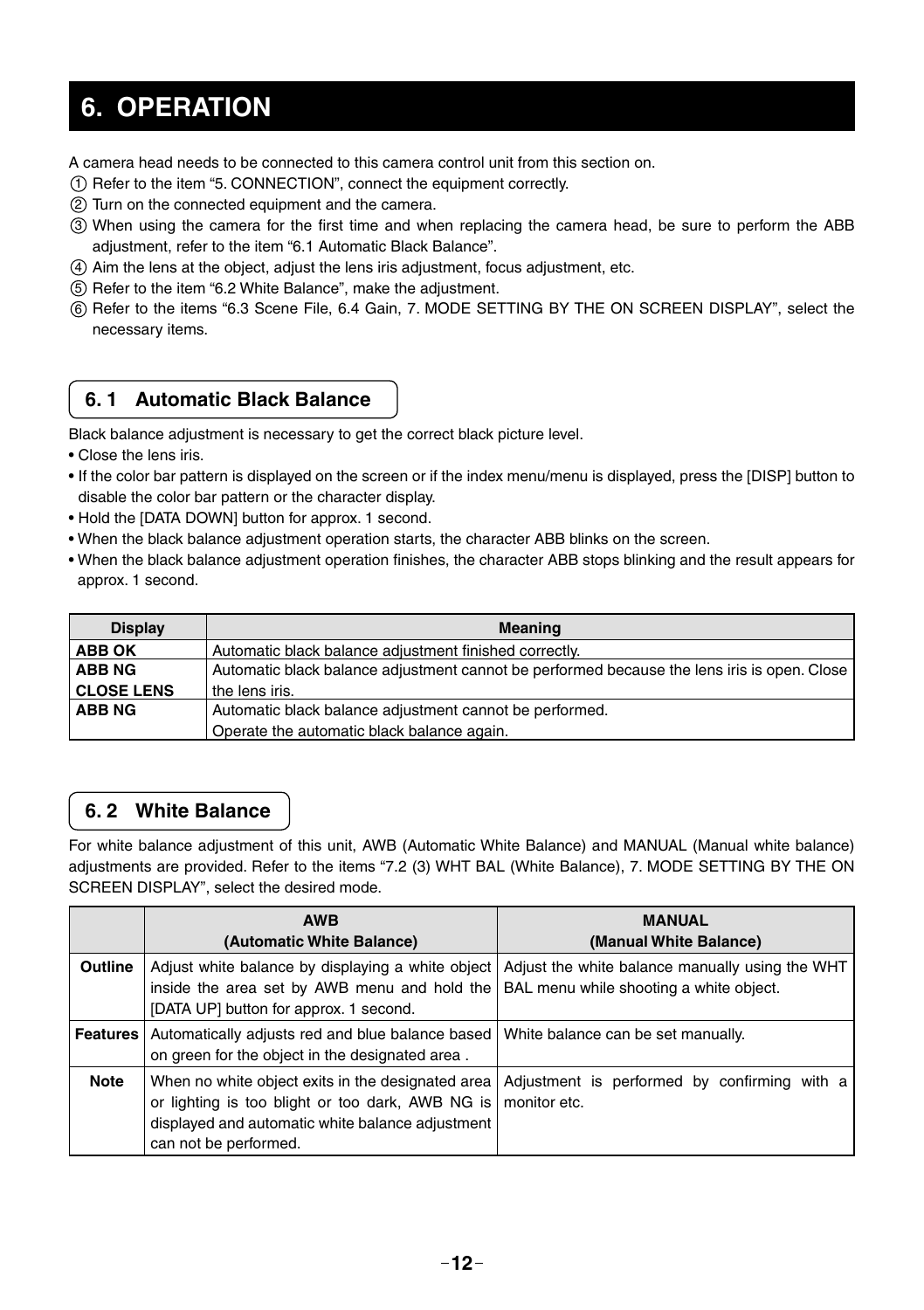# **6. OPERATION**

A camera head needs to be connected to this camera control unit from this section on.

- 1 Refer to the item "5. CONNECTION", connect the equipment correctly.
- 2 Turn on the connected equipment and the camera.
- 33) When using the camera for the first time and when replacing the camera head, be sure to perform the ABB adjustment, refer to the item "6.1 Automatic Black Balance".
- 4 Aim the lens at the object, adjust the lens iris adjustment, focus adjustment, etc.
- 5 Refer to the item "6.2 White Balance", make the adjustment.
- 6 Refer to the items "6.3 Scene File, 6.4 Gain, 7. MODE SETTING BY THE ON SCREEN DISPLAY", select the necessary items.

#### **6. 1 Automatic Black Balance**

Black balance adjustment is necessary to get the correct black picture level.

- Close the lens iris.
- If the color bar pattern is displayed on the screen or if the index menu/menu is displayed, press the [DISP] button to disable the color bar pattern or the character display.
- Hold the [DATA DOWN] button for approx. 1 second.
- When the black balance adjustment operation starts, the character ABB blinks on the screen.
- When the black balance adjustment operation finishes, the character ABB stops blinking and the result appears for approx. 1 second.

| <b>Display</b>    | <b>Meaning</b>                                                                              |
|-------------------|---------------------------------------------------------------------------------------------|
| <b>ABB OK</b>     | Automatic black balance adjustment finished correctly.                                      |
| <b>ABB NG</b>     | Automatic black balance adjustment cannot be performed because the lens iris is open. Close |
| <b>CLOSE LENS</b> | the lens iris.                                                                              |
| ABB NG            | Automatic black balance adjustment cannot be performed.                                     |
|                   | Operate the automatic black balance again.                                                  |

#### **6. 2 White Balance**

For white balance adjustment of this unit, AWB (Automatic White Balance) and MANUAL (Manual white balance) adjustments are provided. Refer to the items "7.2 (3) WHT BAL (White Balance), 7. MODE SETTING BY THE ON SCREEN DISPLAY", select the desired mode.

|         | <b>AWB</b><br>(Automatic White Balance)                                                                                                                                            | <b>MANUAL</b><br>(Manual White Balance)                                                             |
|---------|------------------------------------------------------------------------------------------------------------------------------------------------------------------------------------|-----------------------------------------------------------------------------------------------------|
| Outline | inside the area set by AWB menu and hold the $\vert$ BAL menu while shooting a white object.<br>[DATA UP] button for approx. 1 second.                                             | Adjust white balance by displaying a white object   Adjust the white balance manually using the WHT |
|         | <b>Features</b> Automatically adjusts red and blue balance based<br>on green for the object in the designated area.                                                                | White balance can be set manually.                                                                  |
| Note    | When no white object exits in the designated area<br>or lighting is too blight or too dark, AWB NG is<br>displayed and automatic white balance adjustment<br>can not be performed. | Adjustment is performed by confirming with a<br>monitor etc.                                        |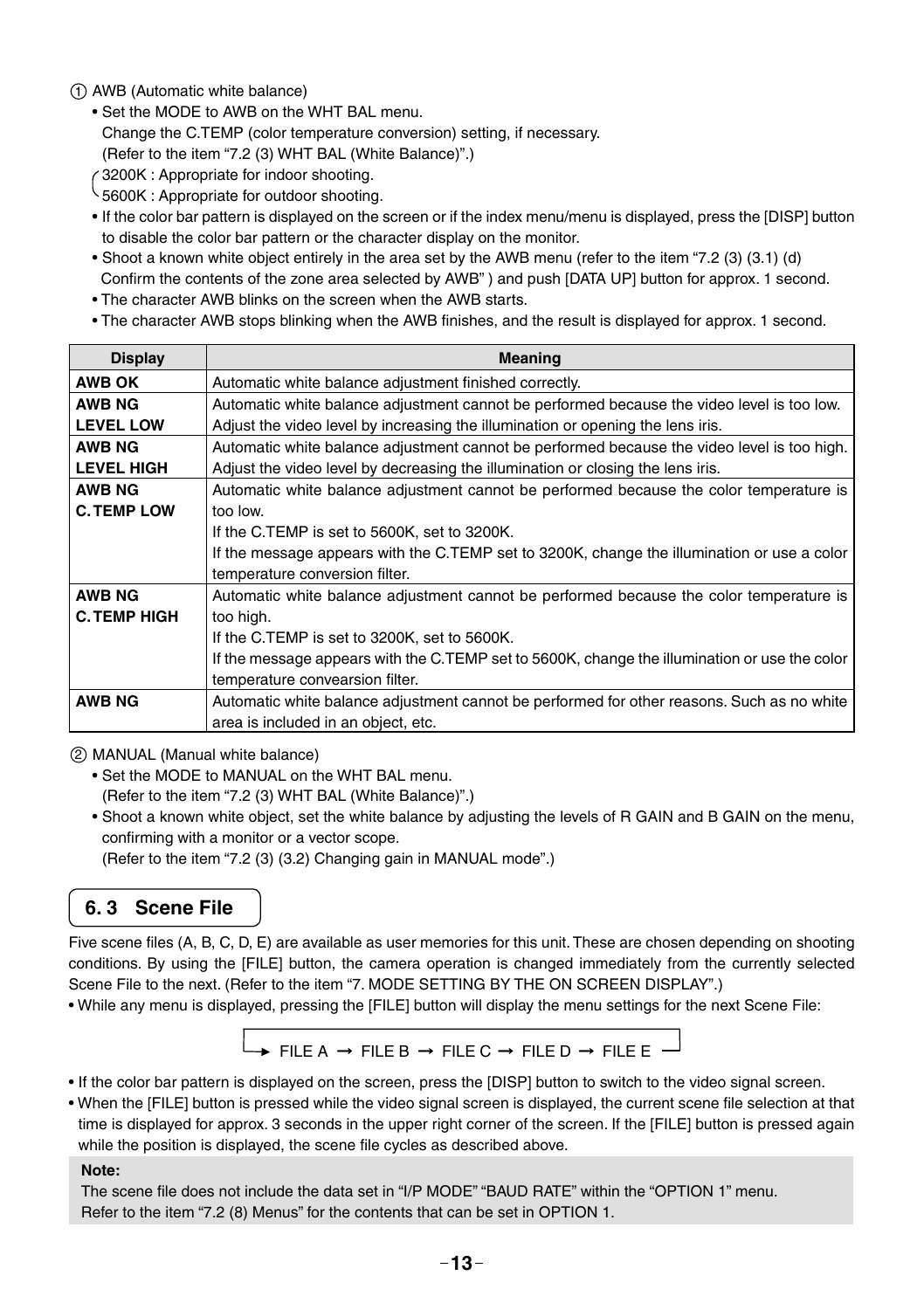#### 1 AWB (Automatic white balance)

- Set the MODE to AWB on the WHT BAL menu.
- Change the C.TEMP (color temperature conversion) setting, if necessary.
- (Refer to the item "7.2 (3) WHT BAL (White Balance)".)
- 3200K : Appropriate for indoor shooting.
- 5600K : Appropriate for outdoor shooting.
- If the color bar pattern is displayed on the screen or if the index menu/menu is displayed, press the [DISP] button to disable the color bar pattern or the character display on the monitor.
- Shoot a known white object entirely in the area set by the AWB menu (refer to the item "7.2 (3) (3.1) (d) Confirm the contents of the zone area selected by AWB") and push [DATA UP] button for approx. 1 second.
- The character AWB blinks on the screen when the AWB starts.
- The character AWB stops blinking when the AWB finishes, and the result is displayed for approx. 1 second.

| <b>Display</b>      | <b>Meaning</b>                                                                                |
|---------------------|-----------------------------------------------------------------------------------------------|
| <b>AWB OK</b>       | Automatic white balance adjustment finished correctly.                                        |
| <b>AWB NG</b>       | Automatic white balance adjustment cannot be performed because the video level is too low.    |
| <b>LEVEL LOW</b>    | Adjust the video level by increasing the illumination or opening the lens iris.               |
| <b>AWB NG</b>       | Automatic white balance adjustment cannot be performed because the video level is too high.   |
| <b>LEVEL HIGH</b>   | Adjust the video level by decreasing the illumination or closing the lens iris.               |
| <b>AWB NG</b>       | Automatic white balance adjustment cannot be performed because the color temperature is       |
| <b>C. TEMP LOW</b>  | too low.                                                                                      |
|                     | If the C.TEMP is set to 5600K, set to 3200K.                                                  |
|                     | If the message appears with the C.TEMP set to 3200K, change the illumination or use a color   |
|                     | temperature conversion filter.                                                                |
| <b>AWB NG</b>       | Automatic white balance adjustment cannot be performed because the color temperature is       |
| <b>C. TEMP HIGH</b> | too high.                                                                                     |
|                     | If the C.TEMP is set to 3200K, set to 5600K.                                                  |
|                     | If the message appears with the C.TEMP set to 5600K, change the illumination or use the color |
|                     | temperature convearsion filter.                                                               |
| <b>AWB NG</b>       | Automatic white balance adjustment cannot be performed for other reasons. Such as no white    |
|                     | area is included in an object, etc.                                                           |

#### 2 MANUAL (Manual white balance)

- Set the MODE to MANUAL on the WHT BAL menu. (Refer to the item "7.2 (3) WHT BAL (White Balance)".)
- Shoot a known white object, set the white balance by adjusting the levels of R GAIN and B GAIN on the menu, confirming with a monitor or a vector scope.
	- (Refer to the item "7.2 (3) (3.2) Changing gain in MANUAL mode".)

#### **6. 3 Scene File**

Five scene files (A, B, C, D, E) are available as user memories for this unit. These are chosen depending on shooting conditions. By using the [FILE] button, the camera operation is changed immediately from the currently selected Scene File to the next. (Refer to the item "7. MODE SETTING BY THE ON SCREEN DISPLAY".)

• While any menu is displayed, pressing the [FILE] button will display the menu settings for the next Scene File:

$$
\rightarrow \text{FILE A} \rightarrow \text{FILE B} \rightarrow \text{FILE C} \rightarrow \text{FILE D} \rightarrow \text{FILE E} \rightarrow
$$

- If the color bar pattern is displayed on the screen, press the [DISP] button to switch to the video signal screen.
- When the [FILE] button is pressed while the video signal screen is displayed, the current scene file selection at that time is displayed for approx. 3 seconds in the upper right corner of the screen. If the [FILE] button is pressed again while the position is displayed, the scene file cycles as described above.

#### **Note:**

The scene file does not include the data set in "I/P MODE" "BAUD RATE" within the "OPTION 1" menu. Refer to the item "7.2 (8) Menus" for the contents that can be set in OPTION 1.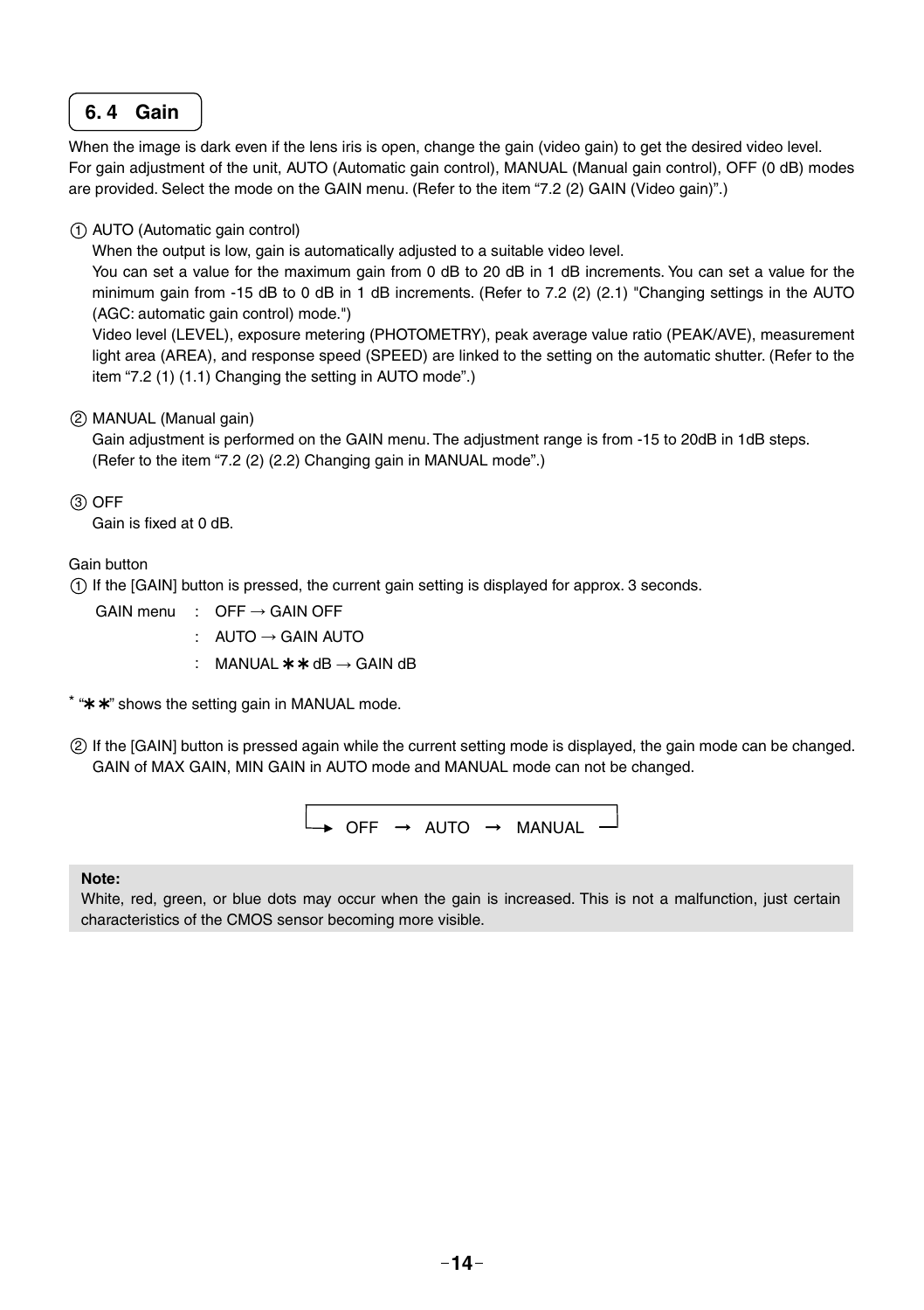#### **6. 4 Gain**

When the image is dark even if the lens iris is open, change the gain (video gain) to get the desired video level. For gain adjustment of the unit, AUTO (Automatic gain control), MANUAL (Manual gain control), OFF (0 dB) modes are provided. Select the mode on the GAIN menu. (Refer to the item "7.2 (2) GAIN (Video gain)".)

#### 1 AUTO (Automatic gain control)

When the output is low, gain is automatically adjusted to a suitable video level.

You can set a value for the maximum gain from 0 dB to 20 dB in 1 dB increments. You can set a value for the minimum gain from -15 dB to 0 dB in 1 dB increments. (Refer to 7.2 (2) (2.1) "Changing settings in the AUTO (AGC: automatic gain control) mode.")

Video level (LEVEL), exposure metering (PHOTOMETRY), peak average value ratio (PEAK/AVE), measurement light area (AREA), and response speed (SPEED) are linked to the setting on the automatic shutter. (Refer to the item "7.2 (1) (1.1) Changing the setting in AUTO mode".)

#### 2 MANUAL (Manual gain)

Gain adjustment is performed on the GAIN menu. The adjustment range is from -15 to 20dB in 1dB steps. (Refer to the item "7.2 (2) (2.2) Changing gain in MANUAL mode".)

3 OFF

Gain is fixed at 0 dB

#### Gain button

1 If the [GAIN] button is pressed, the current gain setting is displayed for approx. 3 seconds.

- GAIN menu : OFF  $\rightarrow$  GAIN OFF
	- : AUTO → GAIN AUTO
		- : MANUAL  $* * dB \rightarrow GAIN dB$

 $*$  " $*$   $*$ " shows the setting gain in MANUAL mode.

2 If the [GAIN] button is pressed again while the current setting mode is displayed, the gain mode can be changed. GAIN of MAX GAIN, MIN GAIN in AUTO mode and MANUAL mode can not be changed.

$$
\begin{array}{|l|} \hline \begin{array}{ccc} \bullet & \circ & \bullet\end{array} & \bullet & \bullet\end{array} \begin{array}{c} \bullet\end{array} \begin{array}{c} \bullet\end{array} \begin{array}{ccc} \bullet\end{array} \begin{array}{ccc} \bullet\end{array} \begin{array}{ccc} \bullet\end{array} \begin{array}{ccc} \bullet\end{array} \begin{array}{ccc} \bullet\end{array} \begin{array}{ccc} \bullet\end{array} \begin{array}{ccc} \bullet\end{array} \begin{array}{ccc} \bullet\end{array} \begin{array}{ccc} \bullet\end{array} \begin{array}{ccc} \bullet\end{array} \begin{array}{ccc} \bullet\end{array} \begin{array}{ccc} \bullet\end{array} \begin{array}{ccc} \bullet\end{array} \begin{array}{ccc} \bullet\end{array} \begin{array}{ccc} \bullet\end{array} \begin{array}{ccc} \bullet\end{array} \begin{array}{ccc} \bullet\end{array} \begin{array}{ccc} \bullet\end{array} \begin{array}{ccc} \bullet\end{array} \begin{array}{ccc} \bullet\end{array} \begin{array}{ccc} \bullet\end{array} \begin{array}{ccc} \bullet\end{array} \begin{array}{ccc} \bullet\end{array} \begin{array}{ccc} \bullet\end{array} \begin{array}{ccc} \bullet\end{array} \begin{array}{ccc} \bullet\end{array} \begin{array}{ccc} \bullet\end{array} \begin{array}{ccc} \bullet\end{array} \begin{array}{ccc} \bullet\end{array} \begin{array}{ccc} \bullet\end{array} \begin{array}{ccc} \bullet\end{array} \begin{array}{ccc} \bullet\end{array} \begin{array}{ccc} \bullet\end{array} \begin{array}{ccc} \bullet\end{array} \begin{array}{ccc} \bullet\end{array} \begin{array}{ccc} \bullet\end{array} \begin{array}{ccc} \bullet\end{array} \begin{array}{ccc} \bullet\end{array} \begin{array}{ccc} \bullet\end{array} \begin{array}{ccc} \bullet\end{array} \begin{array}{ccc} \bullet\end{array} \begin{array}{ccc} \bullet\end{array} \begin{array}{ccc} \bullet\end{array} \begin{array}{ccc} \bullet\end{array} \begin{array}{ccc} \bullet\end{array} \begin{array}{ccc} \bullet\end{array} \begin{array}{ccc} \bullet\end{array} \begin{array} \end{array} \begin{array}{ccc} \bullet\end{array} \begin{array} \end
$$

#### **Note:**

White, red, green, or blue dots may occur when the gain is increased. This is not a malfunction, just certain characteristics of the CMOS sensor becoming more visible.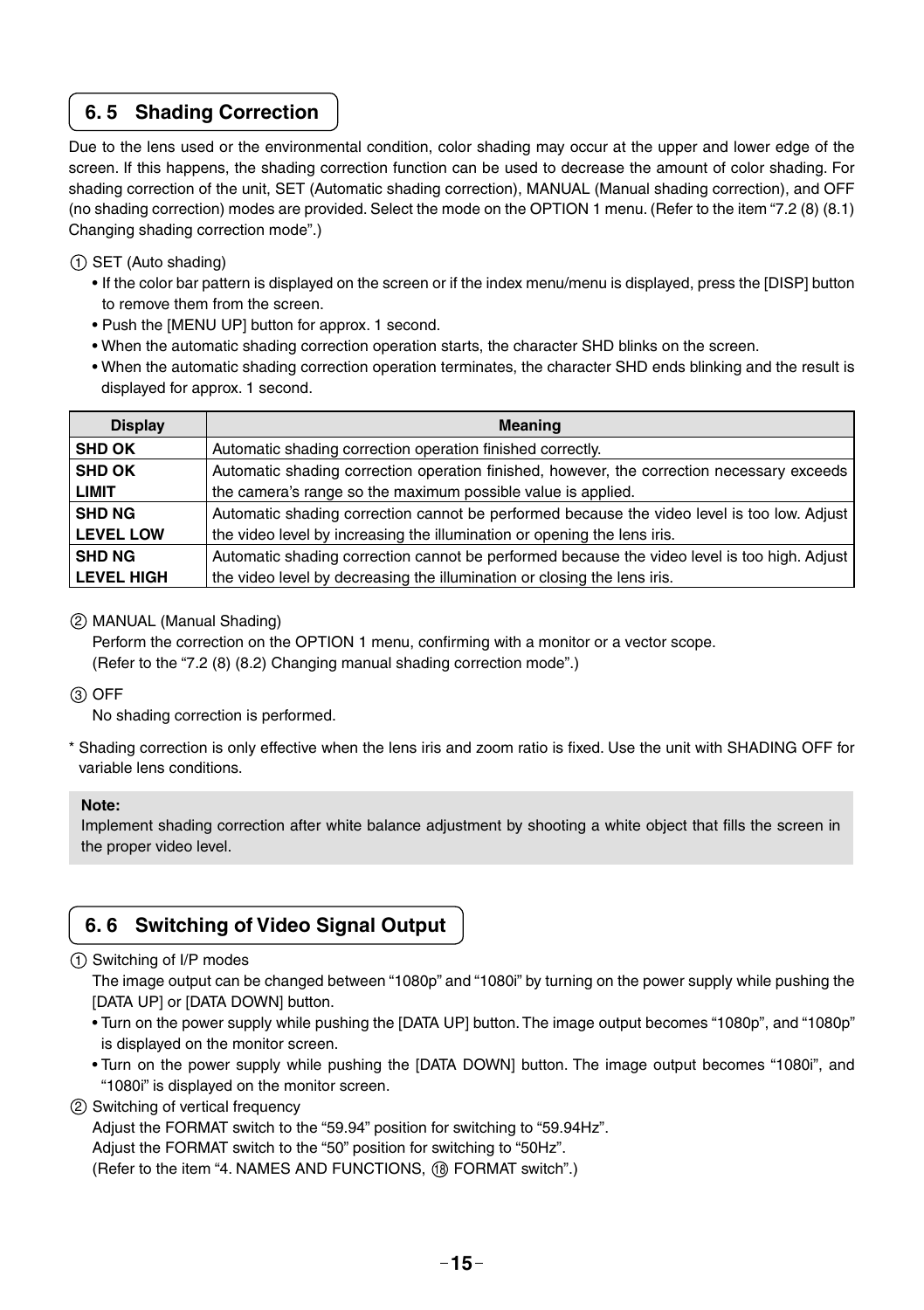#### **6. 5 Shading Correction**

Due to the lens used or the environmental condition, color shading may occur at the upper and lower edge of the screen. If this happens, the shading correction function can be used to decrease the amount of color shading. For shading correction of the unit, SET (Automatic shading correction), MANUAL (Manual shading correction), and OFF (no shading correction) modes are provided. Select the mode on the OPTION 1 menu. (Refer to the item "7.2 (8) (8.1) Changing shading correction mode".)

#### 1 SET (Auto shading)

- If the color bar pattern is displayed on the screen or if the index menu/menu is displayed, press the [DISP] button to remove them from the screen.
- Push the [MENU UP] button for approx. 1 second.
- When the automatic shading correction operation starts, the character SHD blinks on the screen.
- When the automatic shading correction operation terminates, the character SHD ends blinking and the result is displayed for approx. 1 second.

| <b>Display</b>    | <b>Meaning</b>                                                                               |
|-------------------|----------------------------------------------------------------------------------------------|
| <b>SHD OK</b>     | Automatic shading correction operation finished correctly.                                   |
| <b>SHD OK</b>     | Automatic shading correction operation finished, however, the correction necessary exceeds   |
| <b>LIMIT</b>      | the camera's range so the maximum possible value is applied.                                 |
| <b>SHD NG</b>     | Automatic shading correction cannot be performed because the video level is too low. Adjust  |
| <b>LEVEL LOW</b>  | the video level by increasing the illumination or opening the lens iris.                     |
| <b>SHD NG</b>     | Automatic shading correction cannot be performed because the video level is too high. Adjust |
| <b>LEVEL HIGH</b> | the video level by decreasing the illumination or closing the lens iris.                     |

#### 2 MANUAL (Manual Shading)

Perform the correction on the OPTION 1 menu, confirming with a monitor or a vector scope. (Refer to the "7.2 (8) (8.2) Changing manual shading correction mode".)

#### 3 OFF

No shading correction is performed.

\* Shading correction is only effective when the lens iris and zoom ratio is fixed. Use the unit with SHADING OFF for variable lens conditions.

#### **Note:**

Implement shading correction after white balance adjustment by shooting a white object that fills the screen in the proper video level.

### **6. 6 Switching of Video Signal Output**

#### 1 Switching of I/P modes

The image output can be changed between "1080p" and "1080i" by turning on the power supply while pushing the [DATA UP] or [DATA DOWN] button.

- Turn on the power supply while pushing the [DATA UP] button. The image output becomes "1080p", and "1080p" is displayed on the monitor screen.
- Turn on the power supply while pushing the [DATA DOWN] button. The image output becomes "1080i", and "1080i" is displayed on the monitor screen.
- 2 Switching of vertical frequency

Adjust the FORMAT switch to the "59.94" position for switching to "59.94Hz".

Adjust the FORMAT switch to the "50" position for switching to "50Hz".

(Refer to the item "4. NAMES AND FUNCTIONS, 18 FORMAT switch".)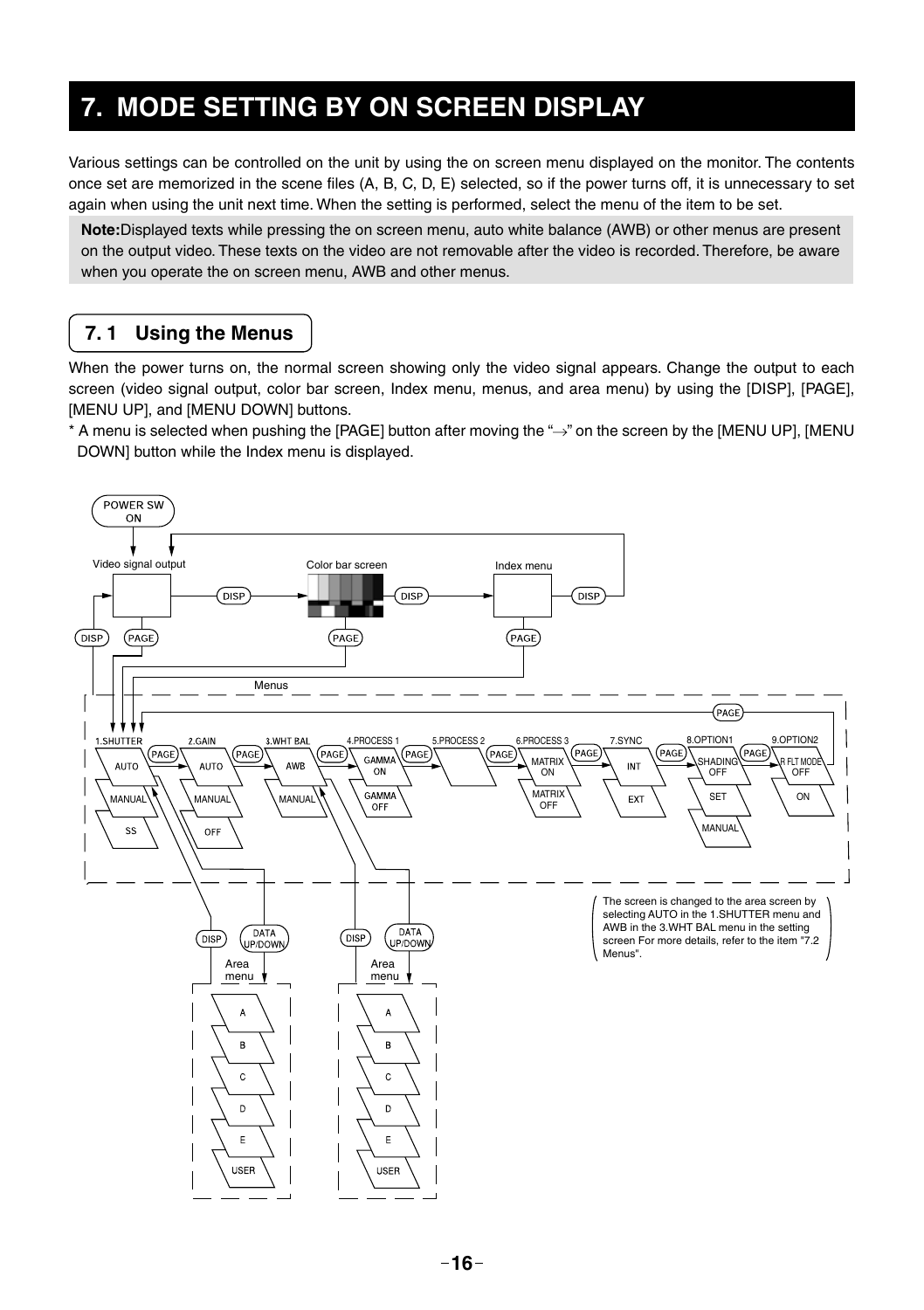# **7. MODE SETTING BY ON SCREEN DISPLAY**

Various settings can be controlled on the unit by using the on screen menu displayed on the monitor. The contents once set are memorized in the scene files (A, B, C, D, E) selected, so if the power turns off, it is unnecessary to set again when using the unit next time. When the setting is performed, select the menu of the item to be set.

**Note:**Displayed texts while pressing the on screen menu, auto white balance (AWB) or other menus are present on the output video. These texts on the video are not removable after the video is recorded. Therefore, be aware when you operate the on screen menu, AWB and other menus.

### **7. 1 Using the Menus**

When the power turns on, the normal screen showing only the video signal appears. Change the output to each screen (video signal output, color bar screen, Index menu, menus, and area menu) by using the [DISP], [PAGE], [MENU UP], and [MENU DOWN] buttons.

\* A menu is selected when pushing the [PAGE] button after moving the " $\rightarrow$ " on the screen by the [MENU UP], [MENU DOWN] button while the Index menu is displayed.

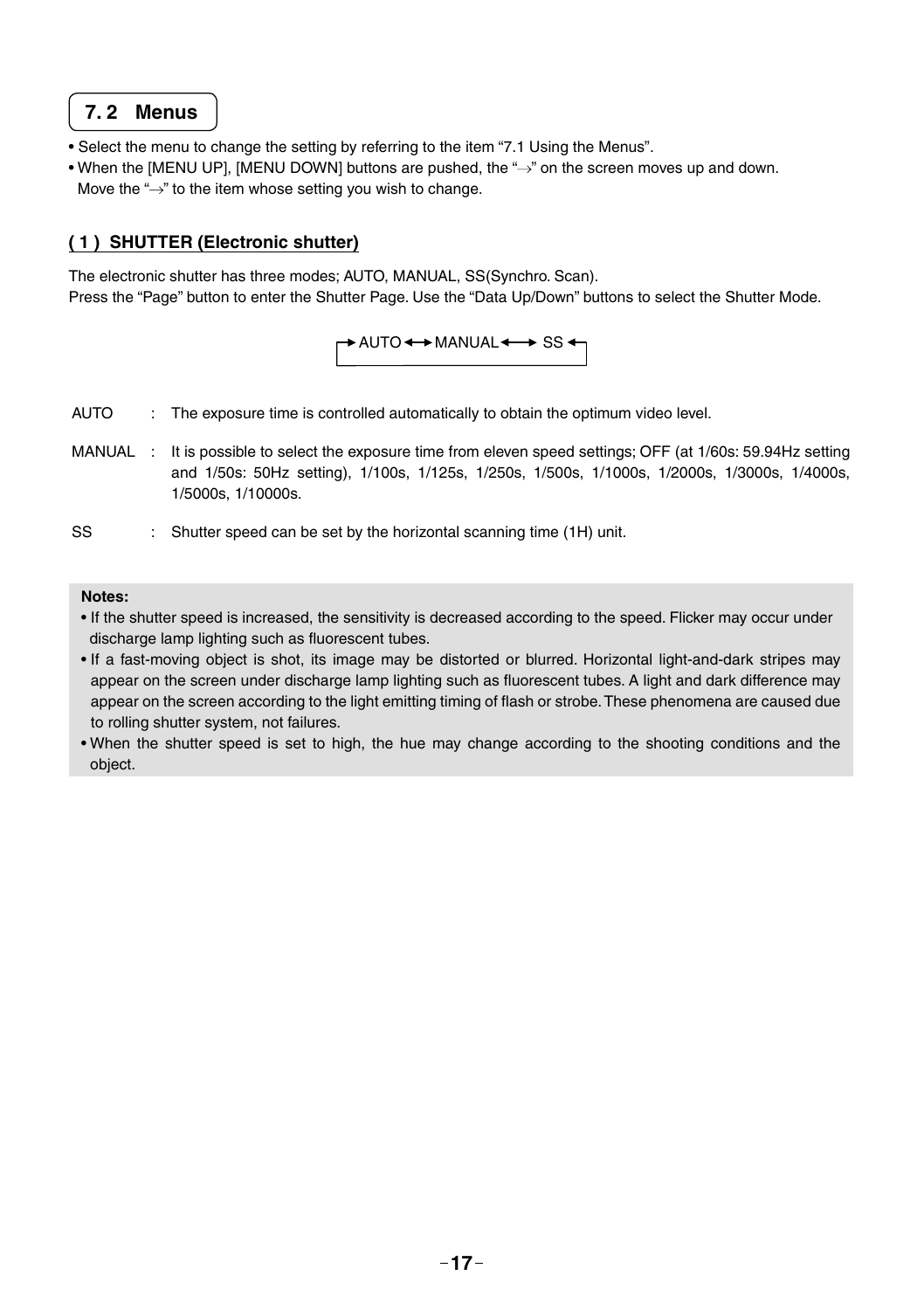#### **7. 2 Menus**

- Select the menu to change the setting by referring to the item "7.1 Using the Menus".
- When the [MENU UP], [MENU DOWN] buttons are pushed, the " $\rightarrow$ " on the screen moves up and down. Move the " $\rightarrow$ " to the item whose setting you wish to change.

#### **( 1 ) SHUTTER (Electronic shutter)**

The electronic shutter has three modes; AUTO, MANUAL, SS(Synchro. Scan). Press the "Page" button to enter the Shutter Page. Use the "Data Up/Down" buttons to select the Shutter Mode.

 $AUTO \leftrightarrow MANUAL \leftrightarrow SS \leftrightarrow$ 

- AUTO : The exposure time is controlled automatically to obtain the optimum video level.
- MANUAL : It is possible to select the exposure time from eleven speed settings; OFF (at 1/60s: 59.94Hz setting and 1/50s: 50Hz setting), 1/100s, 1/125s, 1/250s, 1/500s, 1/1000s, 1/2000s, 1/3000s, 1/4000s, 1/5000s, 1/10000s.
- SS : Shutter speed can be set by the horizontal scanning time (1H) unit.

#### **Notes:**

- If the shutter speed is increased, the sensitivity is decreased according to the speed. Flicker may occur under discharge lamp lighting such as fluorescent tubes.
- If a fast-moving object is shot, its image may be distorted or blurred. Horizontal light-and-dark stripes may appear on the screen under discharge lamp lighting such as fluorescent tubes. A light and dark difference may appear on the screen according to the light emitting timing of flash or strobe. These phenomena are caused due to rolling shutter system, not failures.
- When the shutter speed is set to high, the hue may change according to the shooting conditions and the object.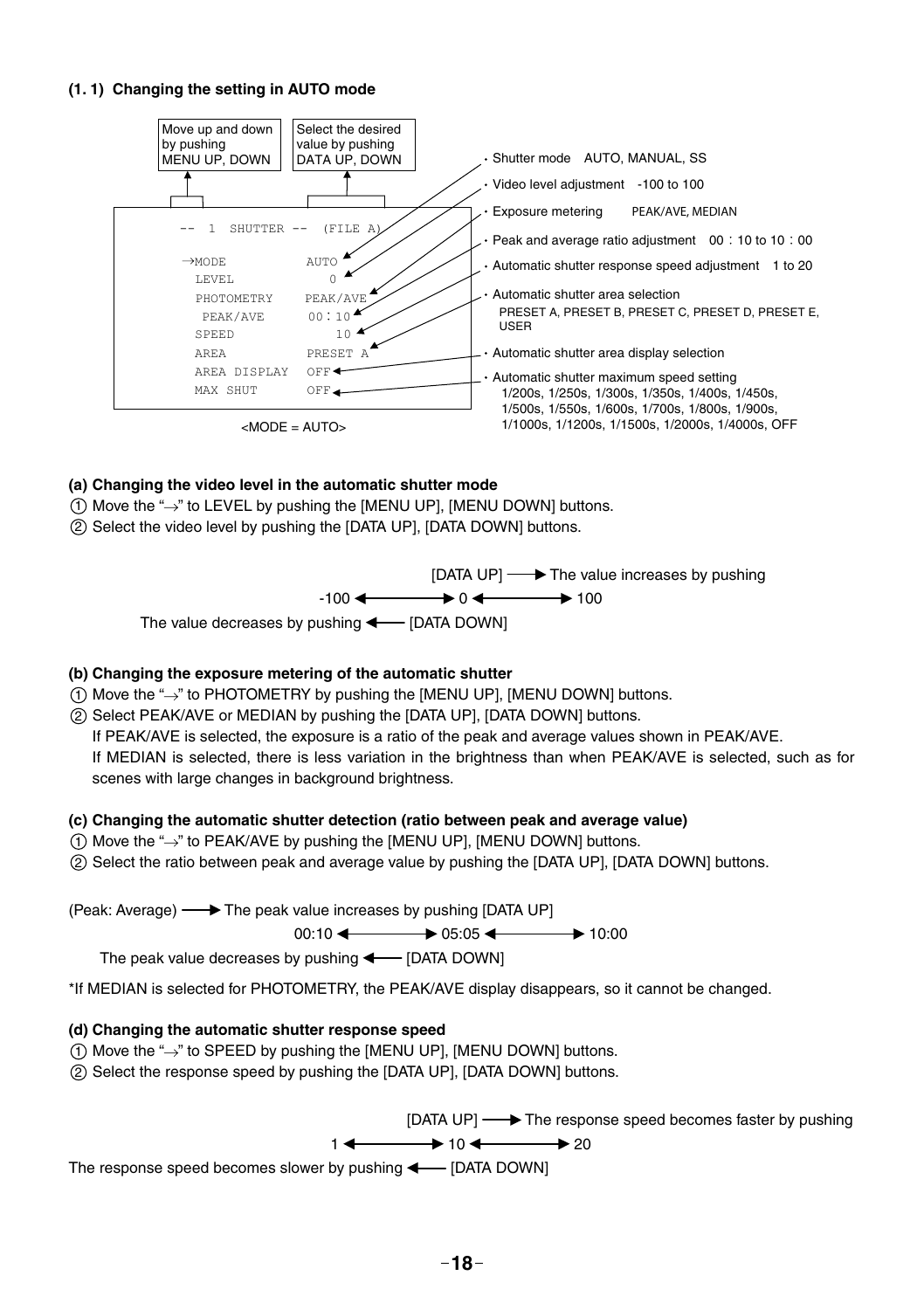#### **(1. 1) Changing the setting in AUTO mode**



#### **(a) Changing the video level in the automatic shutter mode**

- $(1)$  Move the " $\rightarrow$ " to LEVEL by pushing the [MENU UP]. [MENU DOWN] buttons.
- 2 Select the video level by pushing the [DATA UP], [DATA DOWN] buttons.



#### **(b) Changing the exposure metering of the automatic shutter**

- $(1)$  Move the " $\rightarrow$ " to PHOTOMETRY by pushing the [MENU UP], [MENU DOWN] buttons.
- 2 Select PEAK/AVE or MEDIAN by pushing the [DATA UP], [DATA DOWN] buttons.

If PEAK/AVE is selected, the exposure is a ratio of the peak and average values shown in PEAK/AVE. If MEDIAN is selected, there is less variation in the brightness than when PEAK/AVE is selected, such as for scenes with large changes in background brightness.

#### **(c) Changing the automatic shutter detection (ratio between peak and average value)**

- $(1)$  Move the " $\rightarrow$ " to PEAK/AVE by pushing the [MENU UP], [MENU DOWN] buttons.
- 2 Select the ratio between peak and average value by pushing the [DATA UP], [DATA DOWN] buttons.

(Peak: Average)  $\longrightarrow$  The peak value increases by pushing [DATA UP]

 $00:10 \leftarrow 0.5:05 \leftarrow 10:00$ 

The peak value decreases by pushing  $\longleftarrow$  [DATA DOWN]

\*If MEDIAN is selected for PHOTOMETRY, the PEAK/AVE display disappears, so it cannot be changed.

#### **(d) Changing the automatic shutter response speed**

 $(1)$  Move the " $\rightarrow$ " to SPEED by pushing the [MENU UP], [MENU DOWN] buttons.

2 Select the response speed by pushing the [DATA UP], [DATA DOWN] buttons.

[DATA UP]  $\longrightarrow$  The response speed becomes faster by pushing

$$
1 \leftarrow \longrightarrow 10 \leftarrow \longrightarrow 20
$$

The response speed becomes slower by pushing  $\longleftarrow$  [DATA DOWN]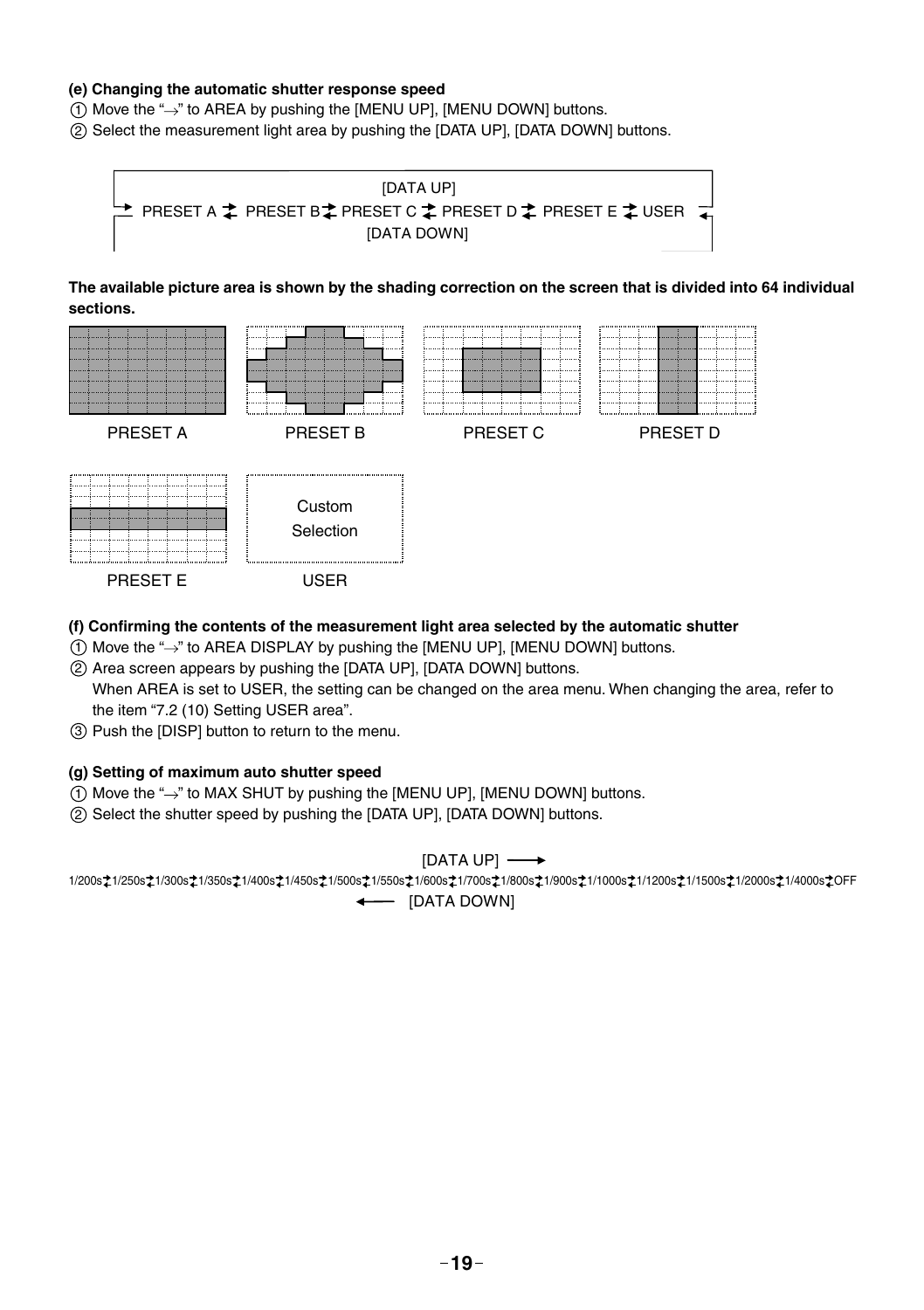#### **(e) Changing the automatic shutter response speed**

 $(1)$  Move the " $\rightarrow$ " to AREA by pushing the [MENU UP], [MENU DOWN] buttons.

2 Select the measurement light area by pushing the [DATA UP], [DATA DOWN] buttons.



**The available picture area is shown by the shading correction on the screen that is divided into 64 individual sections.**



#### **(f) Confi rming the contents of the measurement light area selected by the automatic shutter**

- $(1)$  Move the " $\rightarrow$ " to AREA DISPLAY by pushing the [MENU UP], [MENU DOWN] buttons.
- 2 Area screen appears by pushing the [DATA UP], [DATA DOWN] buttons.

When AREA is set to USER, the setting can be changed on the area menu. When changing the area, refer to the item "7.2 (10) Setting USER area".

3 Push the [DISP] button to return to the menu.

#### **(g) Setting of maximum auto shutter speed**

- $(1)$  Move the " $\rightarrow$ " to MAX SHUT by pushing the [MENU UP], [MENU DOWN] buttons.
- 2 Select the shutter speed by pushing the [DATA UP], [DATA DOWN] buttons.

#### [DATA UP]

1/200s 21/250s 21/300s 21/350s 21/400s 21/450s 21/500s 21/550s 21/600s 21/600s 21/900s 21/1000s 21/1200s 21/1500s 21/2000s 21/4000s 20FF - [DATA DOWN]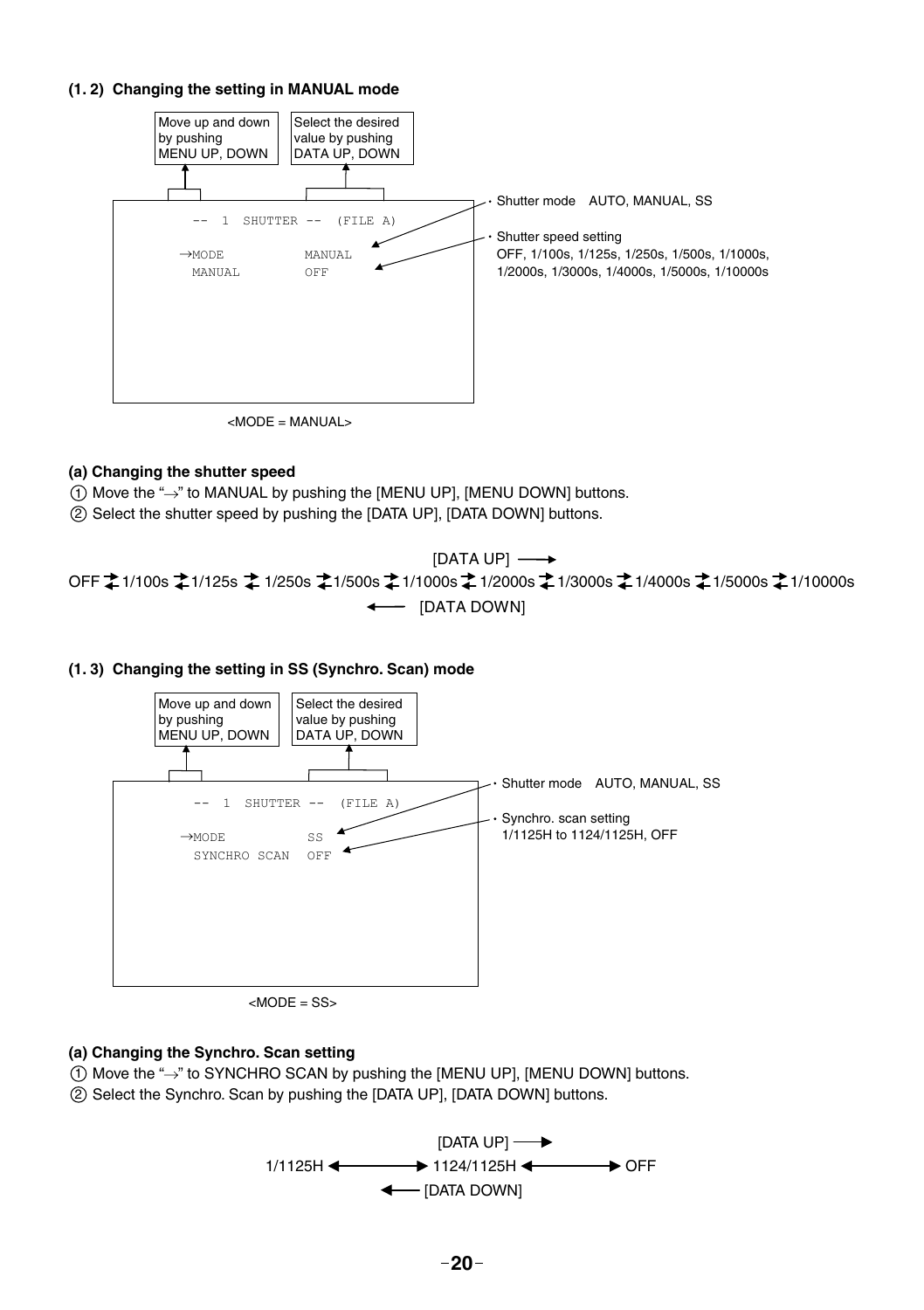#### **(1. 2) Changing the setting in MANUAL mode**



 $|MODE| = MANU|A| >$ 

#### **(a) Changing the shutter speed**

 $(1)$  Move the " $\rightarrow$ " to MANUAL by pushing the [MENU UP], [MENU DOWN] buttons.

2 Select the shutter speed by pushing the [DATA UP], [DATA DOWN] buttons.

 $\leftarrow$  [DATA DOWN]  $[DATA UP] \longrightarrow$ OFF ‡1/100s ‡1/125s ‡1/250s ‡1/500s ‡1/1000s ‡1/2000s ‡1/3000s ≵1/4000s ‡1/5000s ‡1/10000s

**(1. 3) Changing the setting in SS (Synchro. Scan) mode**



 $<$ MODE = SS $>$ 

#### **(a) Changing the Synchro. Scan setting**

- $(1)$  Move the " $\rightarrow$ " to SYNCHRO SCAN by pushing the [MENU UP], [MENU DOWN] buttons.
- 2 Select the Synchro. Scan by pushing the [DATA UP], [DATA DOWN] buttons.

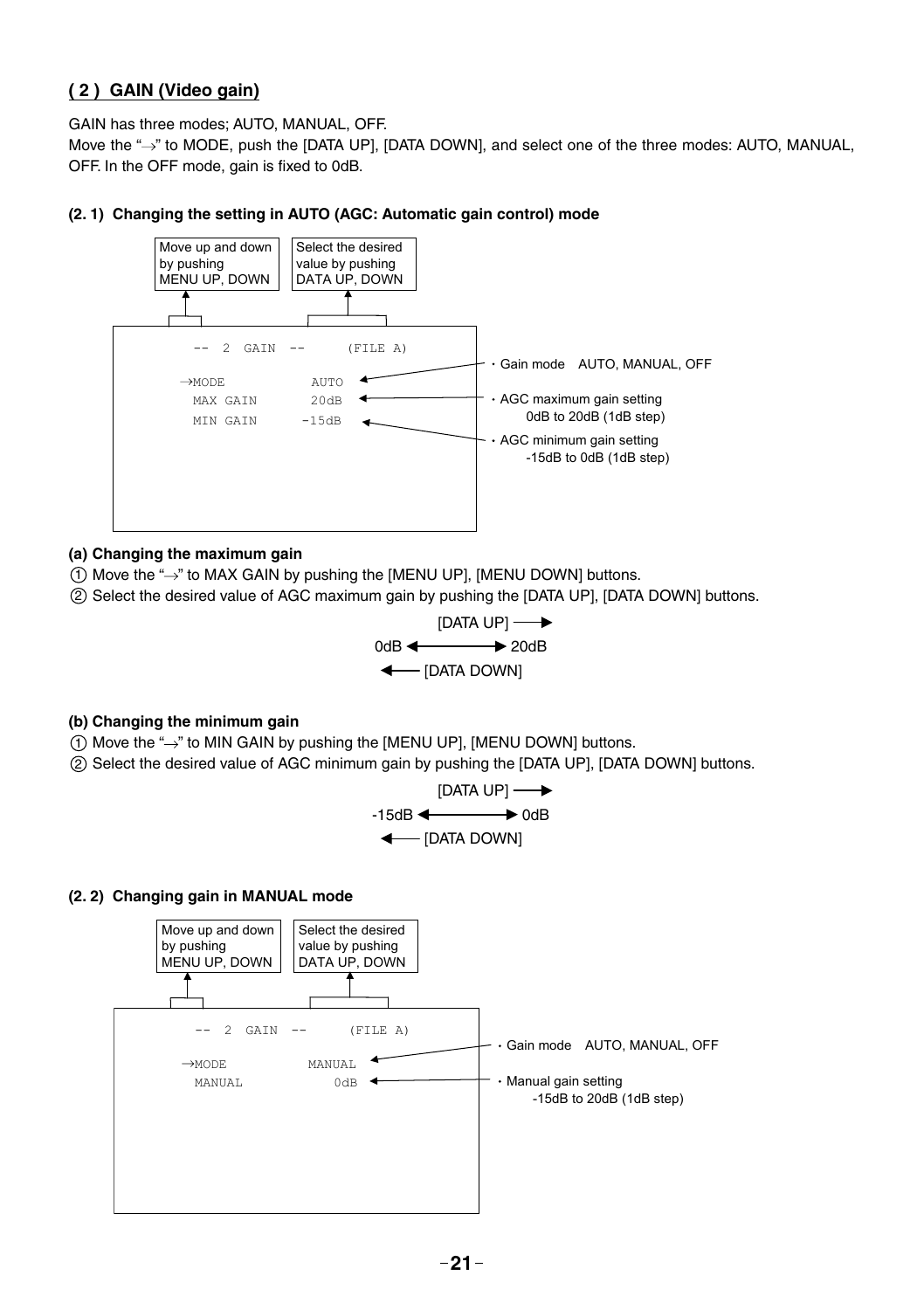#### **( 2 ) GAIN (Video gain)**

GAIN has three modes; AUTO, MANUAL, OFF.

Move the "->" to MODE, push the [DATA UP], [DATA DOWN], and select one of the three modes: AUTO, MANUAL, OFF. In the OFF mode, gain is fixed to 0dB.

#### **(2. 1) Changing the setting in AUTO (AGC: Automatic gain control) mode**



#### **(a) Changing the maximum gain**

- $(1)$  Move the " $\rightarrow$ " to MAX GAIN by pushing the [MENU UP], [MENU DOWN] buttons.
- 2 Select the desired value of AGC maximum gain by pushing the [DATA UP], [DATA DOWN] buttons.



#### **(b) Changing the minimum gain**

- $(1)$  Move the " $\rightarrow$ " to MIN GAIN by pushing the [MENU UP], [MENU DOWN] buttons.
- 2 Select the desired value of AGC minimum gain by pushing the [DATA UP], [DATA DOWN] buttons.



#### **(2. 2) Changing gain in MANUAL mode**

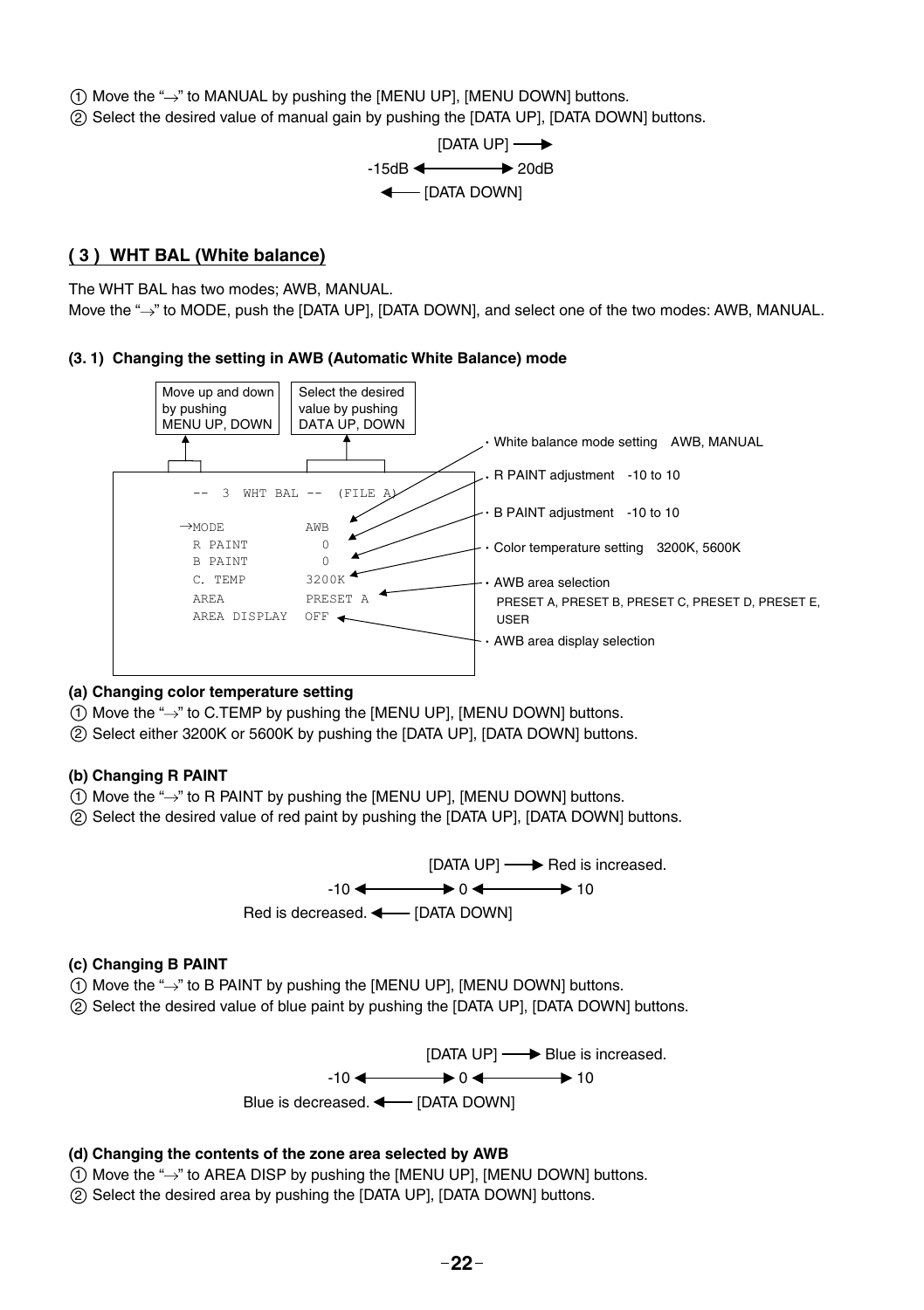$(1)$  Move the " $\rightarrow$ " to MANUAL by pushing the [MENU UP], [MENU DOWN] buttons.

2 Select the desired value of manual gain by pushing the [DATA UP], [DATA DOWN] buttons.



#### **( 3 ) WHT BAL (White balance)**

The WHT BAL has two modes; AWB, MANUAL. Move the "->" to MODE, push the [DATA UP], [DATA DOWN], and select one of the two modes: AWB, MANUAL.

#### **(3. 1) Changing the setting in AWB (Automatic White Balance) mode**



#### **(a) Changing color temperature setting**

- $(1)$  Move the " $\rightarrow$ " to C.TEMP by pushing the [MENU UP]. [MENU DOWN] buttons.
- 2 Select either 3200K or 5600K by pushing the [DATA UP], [DATA DOWN] buttons.

#### **(b) Changing R PAINT**

- $(1)$  Move the " $\rightarrow$ " to R PAINT by pushing the [MENU UP], [MENU DOWN] buttons.
- 2 Select the desired value of red paint by pushing the [DATA UP], [DATA DOWN] buttons.



#### **(c) Changing B PAINT**

- $(1)$  Move the " $\rightarrow$ " to B PAINT by pushing the [MENU UP], [MENU DOWN] buttons.
- 2 Select the desired value of blue paint by pushing the [DATA UP], [DATA DOWN] buttons.

[DATA UP]  $\longrightarrow$  Blue is increased.  $-10 \leftarrow 0 \leftarrow 10$ Blue is decreased.  $\longleftarrow$  [DATA DOWN]

#### **(d) Changing the contents of the zone area selected by AWB**

- $(1)$  Move the " $\rightarrow$ " to AREA DISP by pushing the [MENU UP], [MENU DOWN] buttons.
- 2 Select the desired area by pushing the [DATA UP], [DATA DOWN] buttons.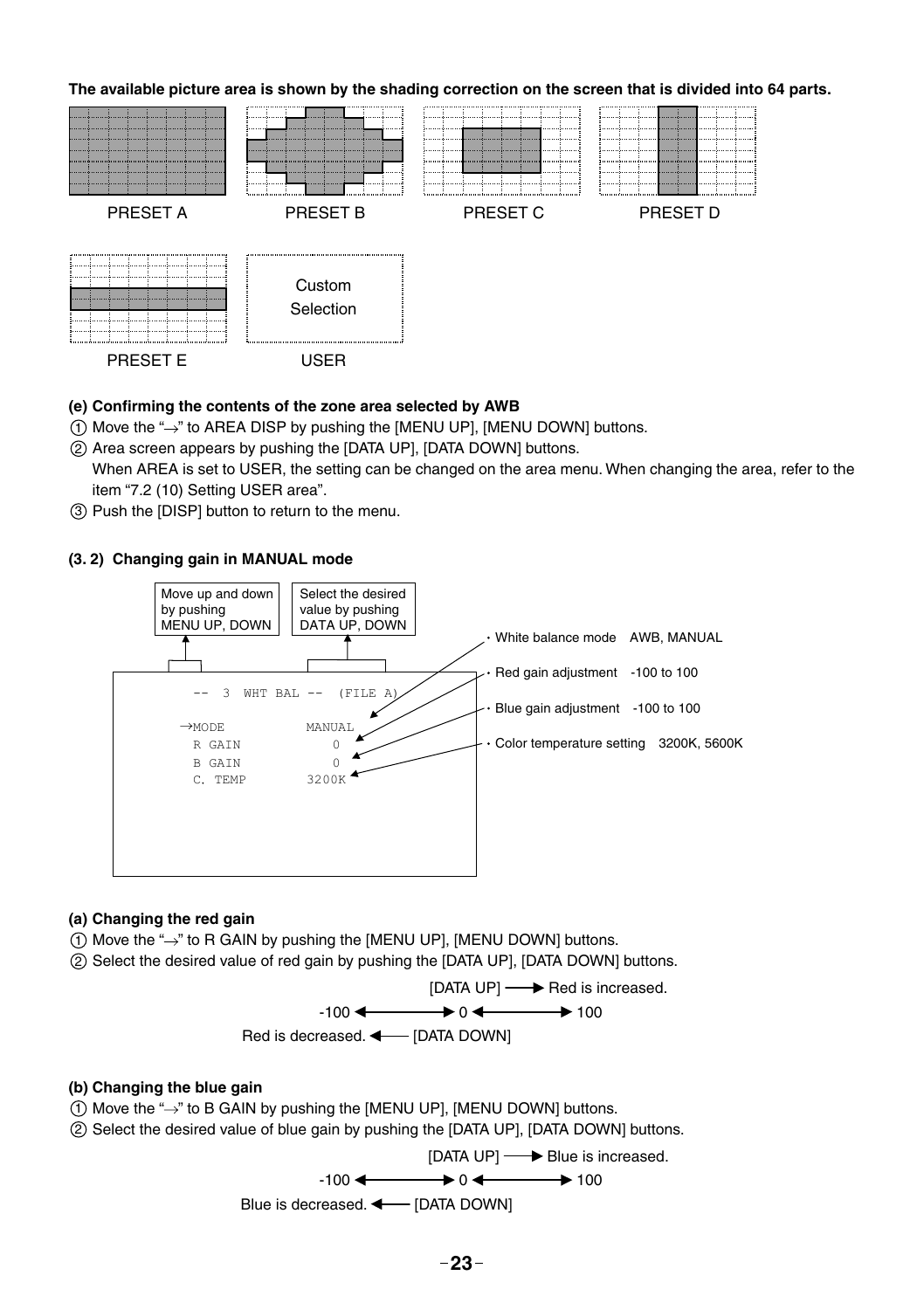

(e) Confirming the contents of the zone area selected by AWB

- $(1)$  Move the " $\rightarrow$ " to AREA DISP by pushing the [MENU UP], [MENU DOWN] buttons.
- 2 Area screen appears by pushing the [DATA UP], [DATA DOWN] buttons.

When AREA is set to USER, the setting can be changed on the area menu. When changing the area, refer to the item "7.2 (10) Setting USER area".

3 Push the [DISP] button to return to the menu.

#### **(3. 2) Changing gain in MANUAL mode**



#### **(a) Changing the red gain**

- $(1)$  Move the " $\rightarrow$ " to R GAIN by pushing the [MENU UP], [MENU DOWN] buttons.
- 2 Select the desired value of red gain by pushing the [DATA UP], [DATA DOWN] buttons.



#### **(b) Changing the blue gain**

- $(1)$  Move the " $\rightarrow$ " to B GAIN by pushing the [MENU UP], [MENU DOWN] buttons.
- 2 Select the desired value of blue gain by pushing the [DATA UP], [DATA DOWN] buttons.

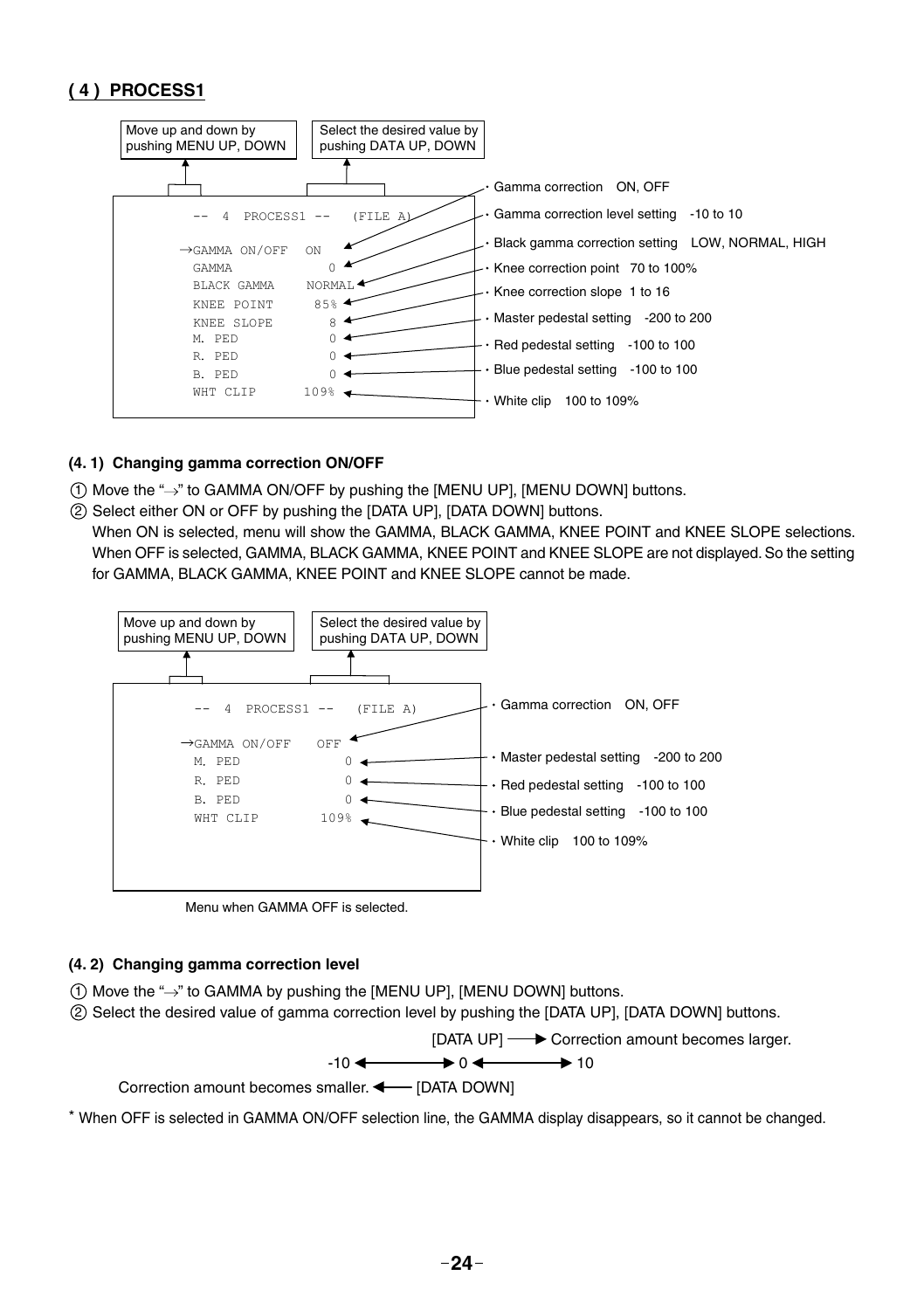#### **( 4 ) PROCESS1**



#### **(4. 1) Changing gamma correction ON/OFF**

 $(1)$  Move the " $\rightarrow$ " to GAMMA ON/OFF by pushing the [MENU UP], [MENU DOWN] buttons.

2 Select either ON or OFF by pushing the [DATA UP], [DATA DOWN] buttons.

When ON is selected, menu will show the GAMMA, BLACK GAMMA, KNEE POINT and KNEE SLOPE selections. When OFF is selected, GAMMA, BLACK GAMMA, KNEE POINT and KNEE SLOPE are not displayed. So the setting for GAMMA, BLACK GAMMA, KNEE POINT and KNEE SLOPE cannot be made.



Menu when GAMMA OFF is selected.

#### **(4. 2) Changing gamma correction level**

- 1 Move the " " to GAMMA by pushing the [MENU UP], [MENU DOWN] buttons.
- 2 Select the desired value of gamma correction level by pushing the [DATA UP], [DATA DOWN] buttons.



\* When OFF is selected in GAMMA ON/OFF selection line, the GAMMA display disappears, so it cannot be changed.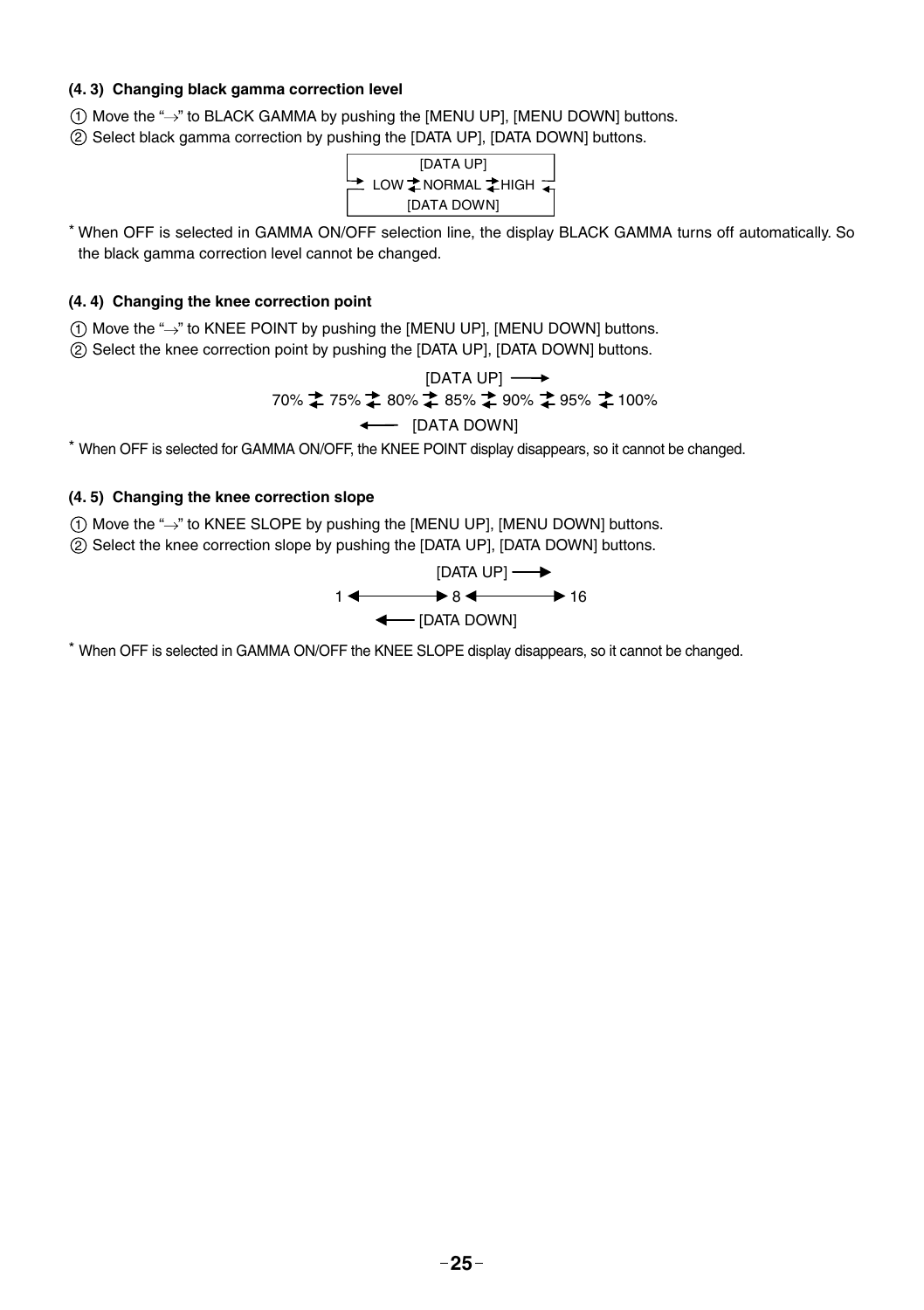#### **(4. 3) Changing black gamma correction level**

 $(1)$  Move the " $\rightarrow$ " to BLACK GAMMA by pushing the [MENU UP], [MENU DOWN] buttons.

2 Select black gamma correction by pushing the [DATA UP], [DATA DOWN] buttons.



\* When OFF is selected in GAMMA ON/OFF selection line, the display BLACK GAMMA turns off automatically. So the black gamma correction level cannot be changed.

#### **(4. 4) Changing the knee correction point**

 $(1)$  Move the " $\rightarrow$ " to KNEE POINT by pushing the [MENU UP], [MENU DOWN] buttons.

2 Select the knee correction point by pushing the [DATA UP], [DATA DOWN] buttons.

[DATA UP] 
$$
\longrightarrow
$$
  
70%  $\uparrow$  75%  $\uparrow$  80%  $\uparrow$  85%  $\uparrow$  90%  $\uparrow$  95%  $\uparrow$  100%  $\longleftarrow$  [DATA DOWN]

\* When OFF is selected for GAMMA ON/OFF, the KNEE POINT display disappears, so it cannot be changed.

#### **(4. 5) Changing the knee correction slope**

 $(1)$  Move the " $\rightarrow$ " to KNEE SLOPE by pushing the [MENU UP], [MENU DOWN] buttons.

2 Select the knee correction slope by pushing the [DATA UP], [DATA DOWN] buttons.

$$
1 \leftarrow \qquad \qquad [\text{DATA UP}] \longrightarrow 16
$$
\n
$$
\leftarrow \qquad [\text{DATA DOWN}]
$$

\* When OFF is selected in GAMMA ON/OFF the KNEE SLOPE display disappears, so it cannot be changed.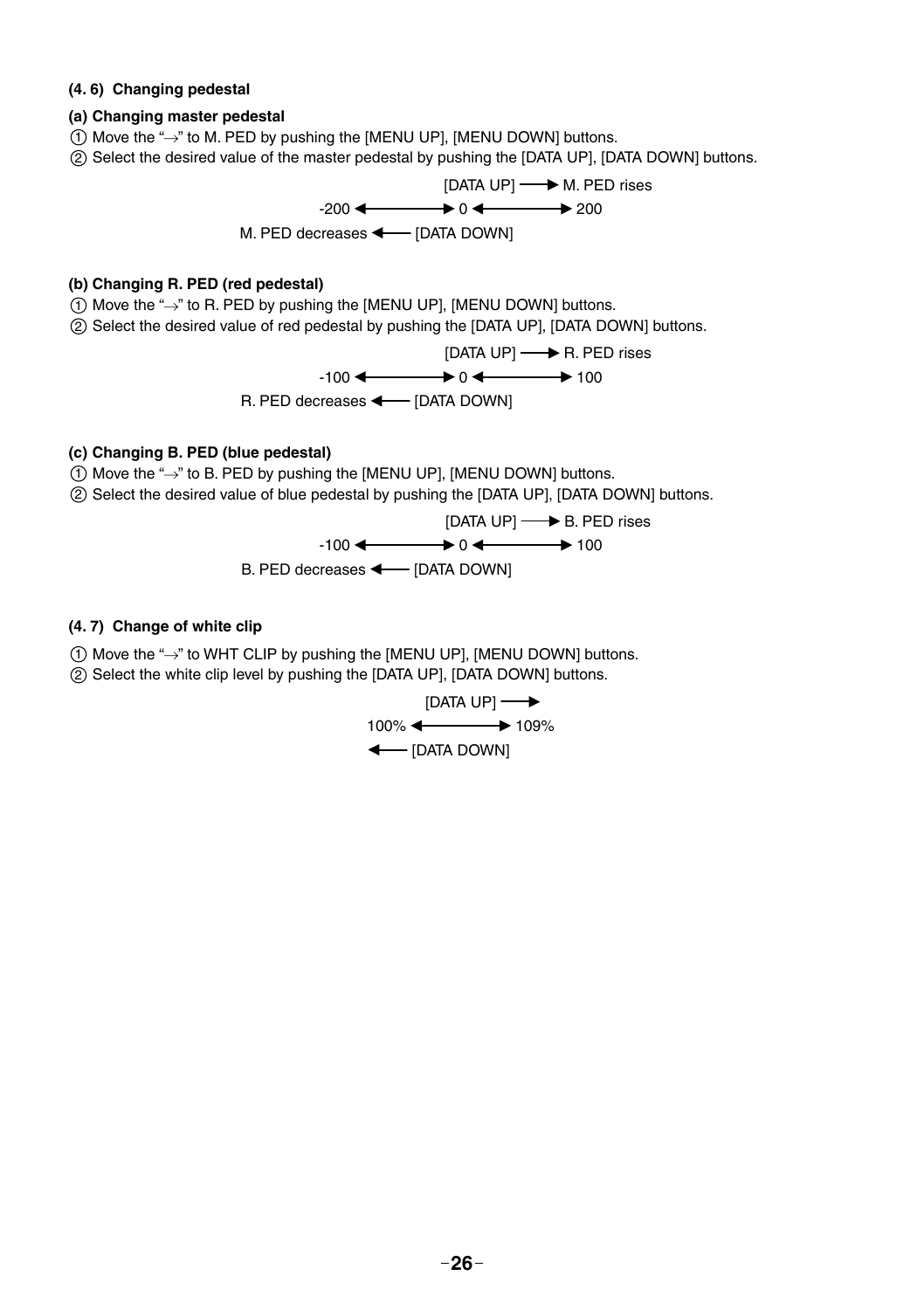#### **(4. 6) Changing pedestal**

#### **(a) Changing master pedestal**

- $(1)$  Move the " $\rightarrow$ " to M. PED by pushing the [MENU UP], [MENU DOWN] buttons.
- 2 Select the desired value of the master pedestal by pushing the [DATA UP], [DATA DOWN] buttons.



#### **(b) Changing R. PED (red pedestal)**

- $(1)$  Move the " $\rightarrow$ " to R. PED by pushing the [MENU UP], [MENU DOWN] buttons.
- 2 Select the desired value of red pedestal by pushing the [DATA UP], [DATA DOWN] buttons.

$$
[DATA UP] \longrightarrow R. PED rises
$$
  
-100  $\longleftarrow$  0  $\longleftarrow$  100  
R. PED decreases  $\longleftarrow$  [DATA DOWN]

#### **(c) Changing B. PED (blue pedestal)**

- $(1)$  Move the " $\rightarrow$ " to B. PED by pushing the [MENU UP], [MENU DOWN] buttons.
- 2 Select the desired value of blue pedestal by pushing the [DATA UP], [DATA DOWN] buttons.



#### **(4. 7) Change of white clip**

- $(1)$  Move the " $\rightarrow$ " to WHT CLIP by pushing the [MENU UP], [MENU DOWN] buttons.
- 2 Select the white clip level by pushing the [DATA UP], [DATA DOWN] buttons.

$$
[DATA UP] \longrightarrow
$$
  
100% 
$$
\leftarrow
$$
 109%  

$$
\leftarrow
$$
 [DATA Down]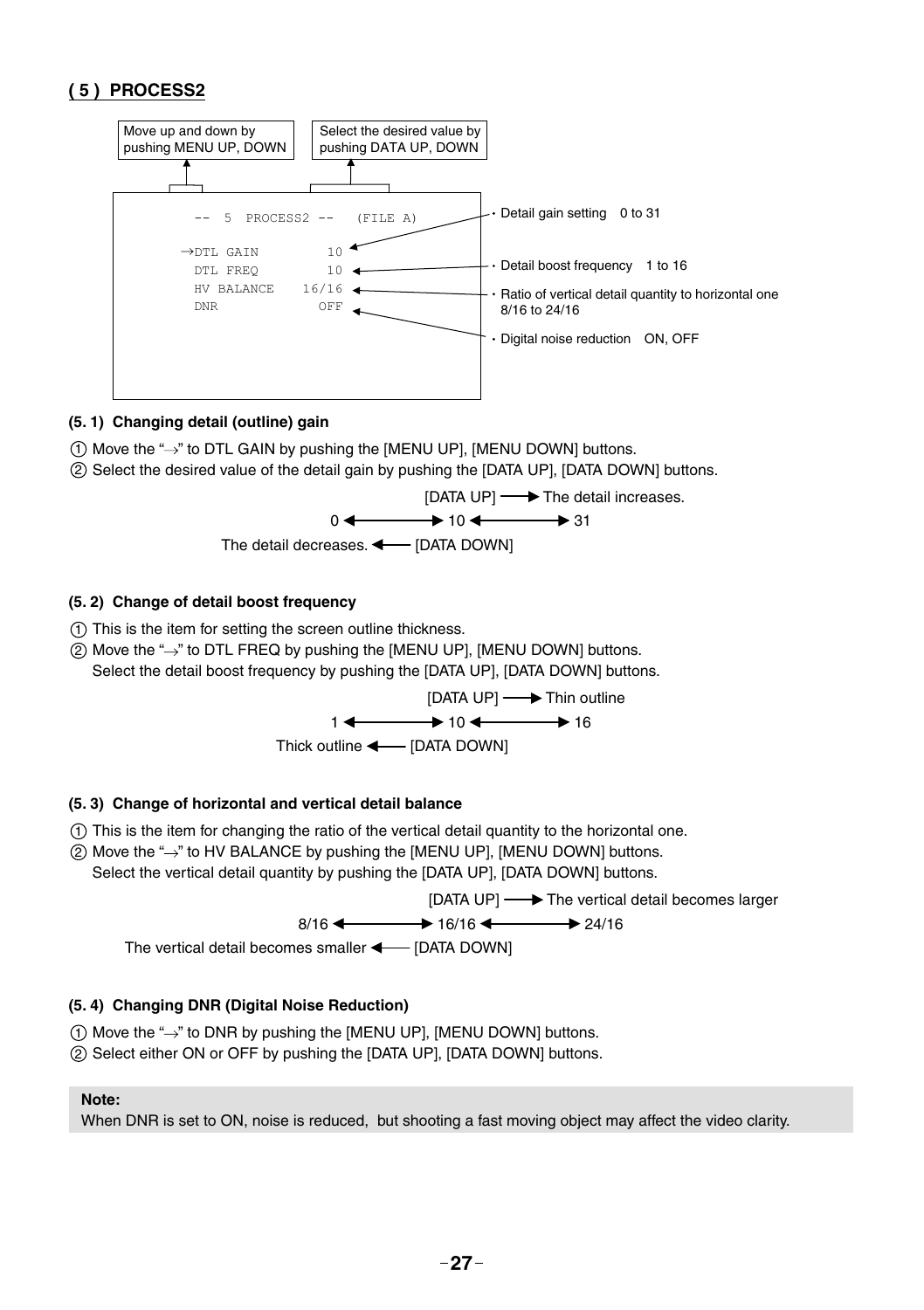#### **( 5 ) PROCESS2**



#### **(5. 1) Changing detail (outline) gain**

- $(1)$  Move the " $\rightarrow$ " to DTL GAIN by pushing the [MENU UP], [MENU DOWN] buttons.
- 2 Select the desired value of the detail gain by pushing the [DATA UP], [DATA DOWN] buttons.





#### **(5. 2) Change of detail boost frequency**

- 1 This is the item for setting the screen outline thickness.
- $(2)$  Move the " $\rightarrow$ " to DTL FREQ by pushing the [MENU UP], [MENU DOWN] buttons. Select the detail boost frequency by pushing the [DATA UP], [DATA DOWN] buttons.



#### **(5. 3) Change of horizontal and vertical detail balance**

- 1 This is the item for changing the ratio of the vertical detail quantity to the horizontal one.
- ② Move the "→" to HV BALANCE by pushing the [MENU UP], [MENU DOWN] buttons. Select the vertical detail quantity by pushing the [DATA UP], [DATA DOWN] buttons.

```
[DATA UP] \longrightarrow The vertical detail becomes larger
```

$$
8/16 \leftarrow \longrightarrow 16/16 \leftarrow \longrightarrow 24/16
$$

The vertical detail becomes smaller  $\leftarrow$  [DATA DOWN]

#### **(5. 4) Changing DNR (Digital Noise Reduction)**

- $(1)$  Move the " $\rightarrow$ " to DNR by pushing the [MENU UP], [MENU DOWN] buttons.
- 2 Select either ON or OFF by pushing the [DATA UP], [DATA DOWN] buttons.

#### **Note:**

When DNR is set to ON, noise is reduced, but shooting a fast moving object may affect the video clarity.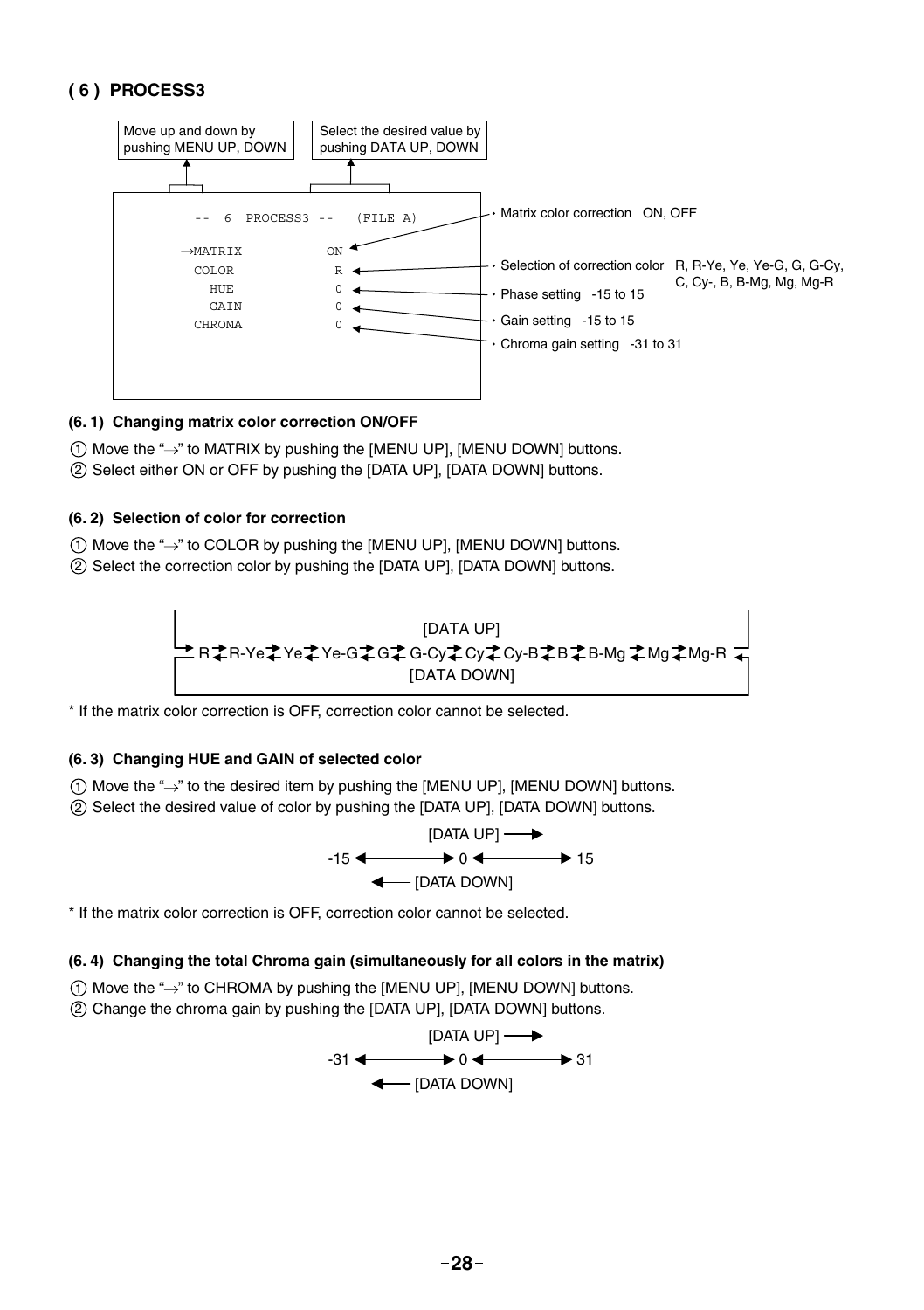#### **( 6 ) PROCESS3**



#### **(6. 1) Changing matrix color correction ON/OFF**

- $(1)$  Move the " $\rightarrow$ " to MATRIX by pushing the [MENU UP], [MENU DOWN] buttons.
- 2 Select either ON or OFF by pushing the [DATA UP], [DATA DOWN] buttons.

#### **(6. 2) Selection of color for correction**

- $(1)$  Move the " $\rightarrow$ " to COLOR by pushing the [MENU UP], [MENU DOWN] buttons.
- 2 Select the correction color by pushing the [DATA UP], [DATA DOWN] buttons.



\* If the matrix color correction is OFF, correction color cannot be selected.

#### **(6. 3) Changing HUE and GAIN of selected color**

- $(1)$  Move the " $\rightarrow$ " to the desired item by pushing the [MENU UP], [MENU DOWN] buttons.
- 2 Select the desired value of color by pushing the [DATA UP], [DATA DOWN] buttons.



\* If the matrix color correction is OFF, correction color cannot be selected.

#### **(6. 4) Changing the total Chroma gain (simultaneously for all colors in the matrix)**

- $(1)$  Move the " $\rightarrow$ " to CHROMA by pushing the [MENU UP], [MENU DOWN] buttons.
- 2 Change the chroma gain by pushing the [DATA UP], [DATA DOWN] buttons.

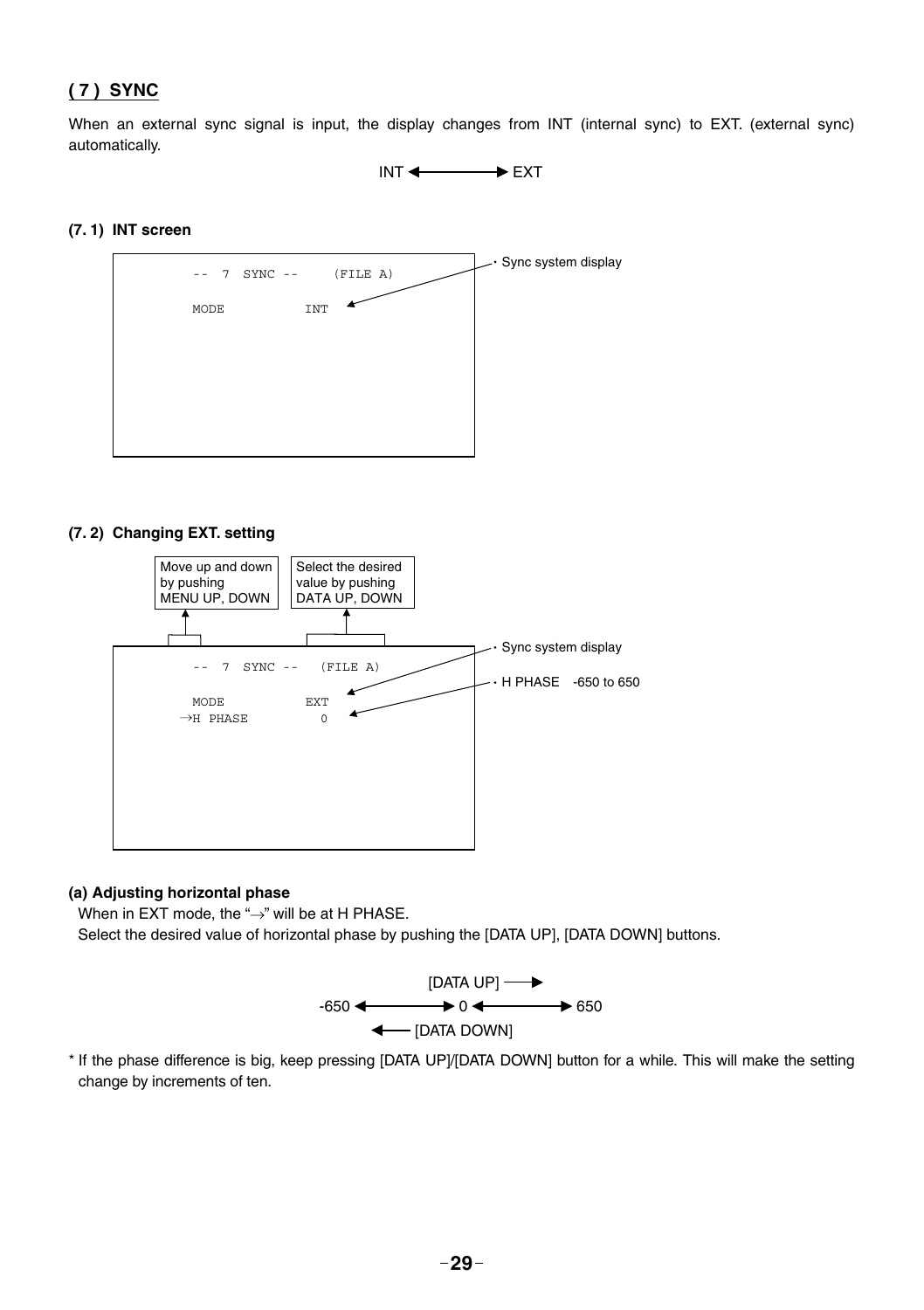#### **( 7 ) SYNC**

When an external sync signal is input, the display changes from INT (internal sync) to EXT. (external sync) automatically.

 $INT \longleftrightarrow EXT$ 

#### **(7. 1) INT screen**



#### **(7. 2) Changing EXT. setting**



#### **(a) Adjusting horizontal phase**

When in EXT mode, the " $\rightarrow$ " will be at H PHASE.

Select the desired value of horizontal phase by pushing the [DATA UP], [DATA DOWN] buttons.



\* If the phase difference is big, keep pressing [DATA UP]/[DATA DOWN] button for a while. This will make the setting change by increments of ten.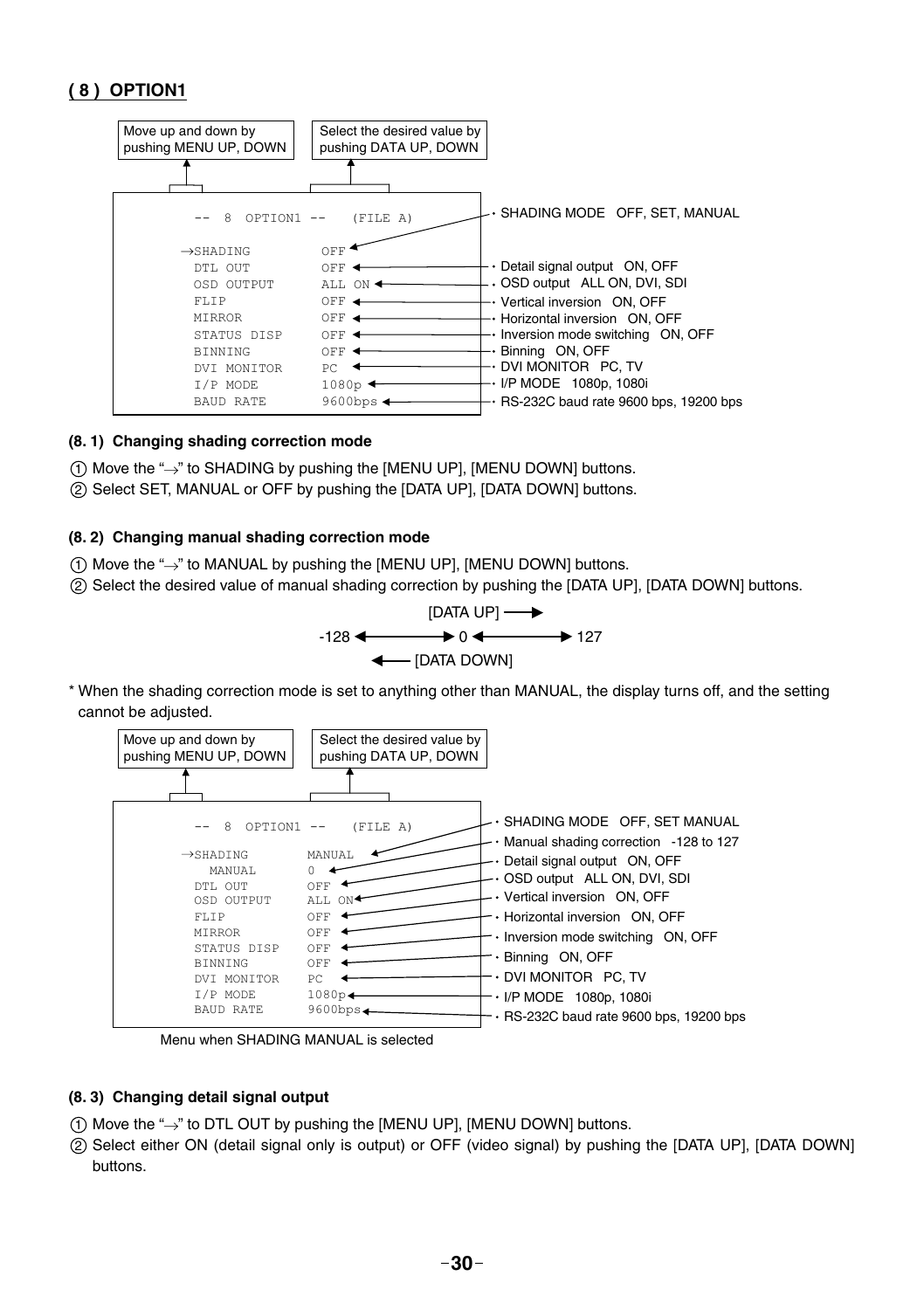#### **( 8 ) OPTION1**



#### **(8. 1) Changing shading correction mode**

- $(1)$  Move the " $\rightarrow$ " to SHADING by pushing the [MENU UP], [MENU DOWN] buttons.
- 2 Select SET, MANUAL or OFF by pushing the [DATA UP], [DATA DOWN] buttons.

#### **(8. 2) Changing manual shading correction mode**

- $(1)$  Move the " $\rightarrow$ " to MANUAL by pushing the [MENU UP], [MENU DOWN] buttons.
- 2 Select the desired value of manual shading correction by pushing the [DATA UP], [DATA DOWN] buttons.



\* When the shading correction mode is set to anything other than MANUAL, the display turns off, and the setting cannot be adjusted.



Menu when SHADING MANUAL is selected

#### **(8. 3) Changing detail signal output**

- $(1)$  Move the " $\rightarrow$ " to DTL OUT by pushing the [MENU UP], [MENU DOWN] buttons.
- 2 Select either ON (detail signal only is output) or OFF (video signal) by pushing the [DATA UP], [DATA DOWN] buttons.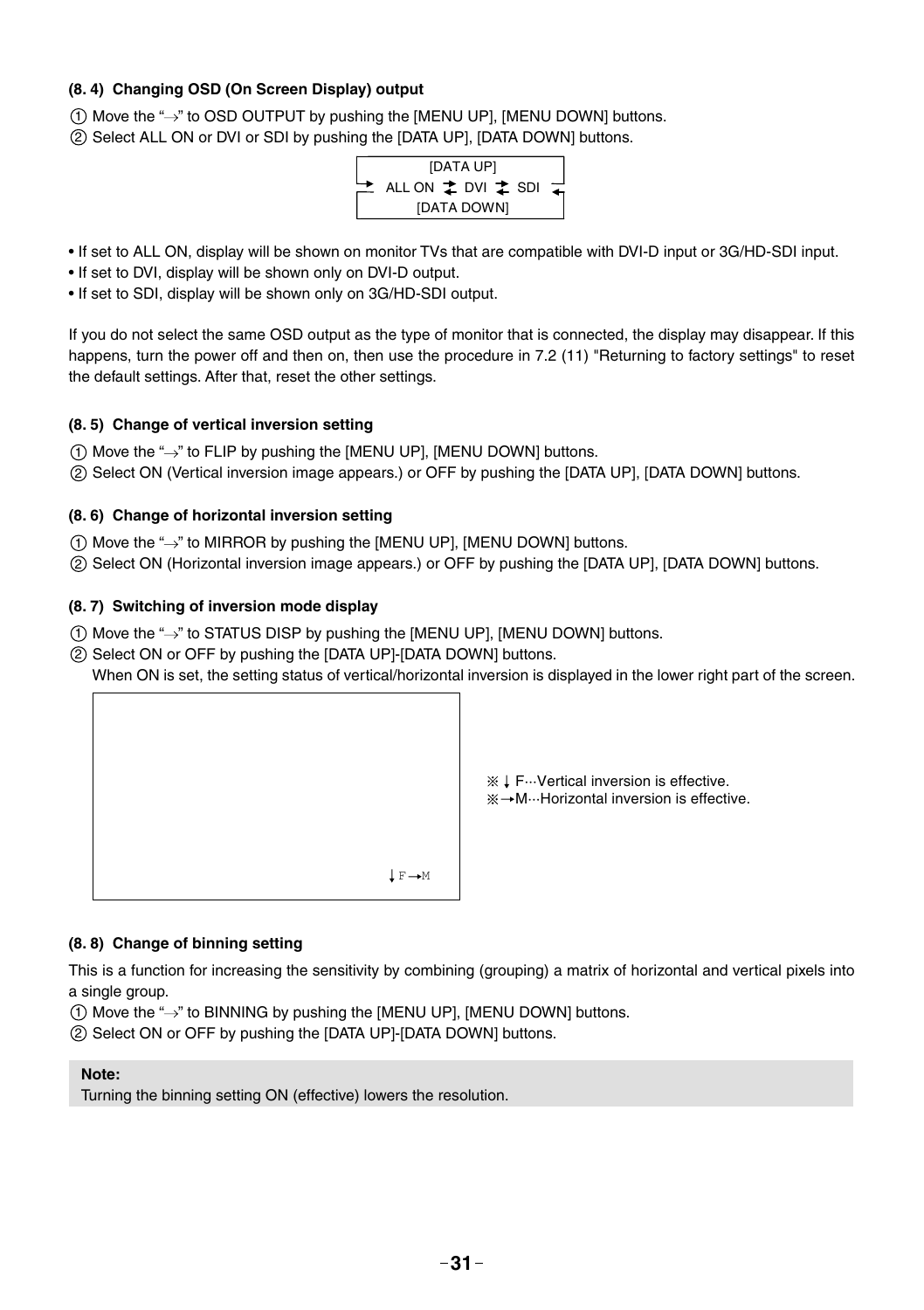#### **(8. 4) Changing OSD (On Screen Display) output**

 $(1)$  Move the " $\rightarrow$ " to OSD OUTPUT by pushing the [MENU UP], [MENU DOWN] buttons. 2 Select ALL ON or DVI or SDI by pushing the [DATA UP], [DATA DOWN] buttons.



- If set to ALL ON, display will be shown on monitor TVs that are compatible with DVI-D input or 3G/HD-SDI input.
- If set to DVI, display will be shown only on DVI-D output.
- If set to SDI, display will be shown only on 3G/HD-SDI output.

If you do not select the same OSD output as the type of monitor that is connected, the display may disappear. If this happens, turn the power off and then on, then use the procedure in 7.2 (11) "Returning to factory settings" to reset the default settings. After that, reset the other settings.

#### **(8. 5) Change of vertical inversion setting**

- $(1)$  Move the " $\rightarrow$ " to FLIP by pushing the [MENU UP], [MENU DOWN] buttons.
- 2 Select ON (Vertical inversion image appears.) or OFF by pushing the [DATA UP], [DATA DOWN] buttons.

#### **(8. 6) Change of horizontal inversion setting**

- 1 Move the " " to MIRROR by pushing the [MENU UP], [MENU DOWN] buttons.
- 2 Select ON (Horizontal inversion image appears.) or OFF by pushing the [DATA UP], [DATA DOWN] buttons.

#### **(8. 7) Switching of inversion mode display**

- $(1)$  Move the " $\rightarrow$ " to STATUS DISP by pushing the [MENU UP], [MENU DOWN] buttons.
- 2 Select ON or OFF by pushing the [DATA UP]-[DATA DOWN] buttons.

When ON is set, the setting status of vertical/horizontal inversion is displayed in the lower right part of the screen.



※ ↓ F…Vertical inversion is effective. M···Horizontal inversion is effective.

#### **(8. 8) Change of binning setting**

This is a function for increasing the sensitivity by combining (grouping) a matrix of horizontal and vertical pixels into a single group.

 $(1)$  Move the " $\rightarrow$ " to BINNING by pushing the [MENU UP], [MENU DOWN] buttons.

2 Select ON or OFF by pushing the [DATA UP]-[DATA DOWN] buttons.

#### **Note:**

Turning the binning setting ON (effective) lowers the resolution.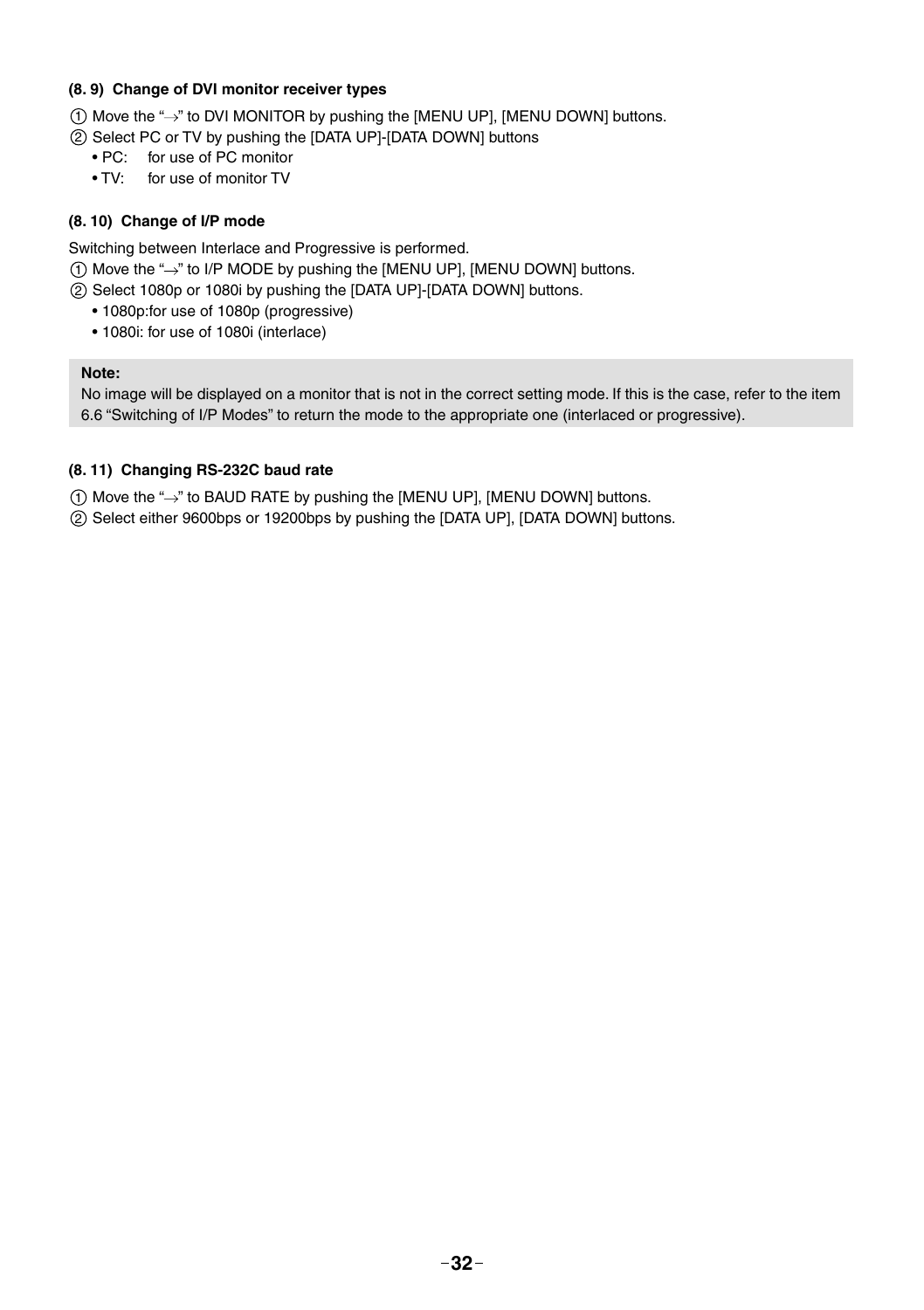#### **(8. 9) Change of DVI monitor receiver types**

 $(1)$  Move the " $\rightarrow$ " to DVI MONITOR by pushing the [MENU UP], [MENU DOWN] buttons.

- 2 Select PC or TV by pushing the [DATA UP]-[DATA DOWN] buttons
	- PC: for use of PC monitor
	- TV: for use of monitor TV

#### **(8. 10) Change of I/P mode**

Switching between Interlace and Progressive is performed.

- $(1)$  Move the " $\rightarrow$ " to I/P MODE by pushing the [MENU UP], [MENU DOWN] buttons.
- 2 Select 1080p or 1080i by pushing the [DATA UP]-[DATA DOWN] buttons.
	- 1080p:for use of 1080p (progressive)
	- 1080i: for use of 1080i (interlace)

#### **Note:**

No image will be displayed on a monitor that is not in the correct setting mode. If this is the case, refer to the item 6.6 "Switching of I/P Modes" to return the mode to the appropriate one (interlaced or progressive).

#### **(8. 11) Changing RS-232C baud rate**

 $(1)$  Move the " $\rightarrow$ " to BAUD RATE by pushing the [MENU UP], [MENU DOWN] buttons.

2 Select either 9600bps or 19200bps by pushing the [DATA UP], [DATA DOWN] buttons.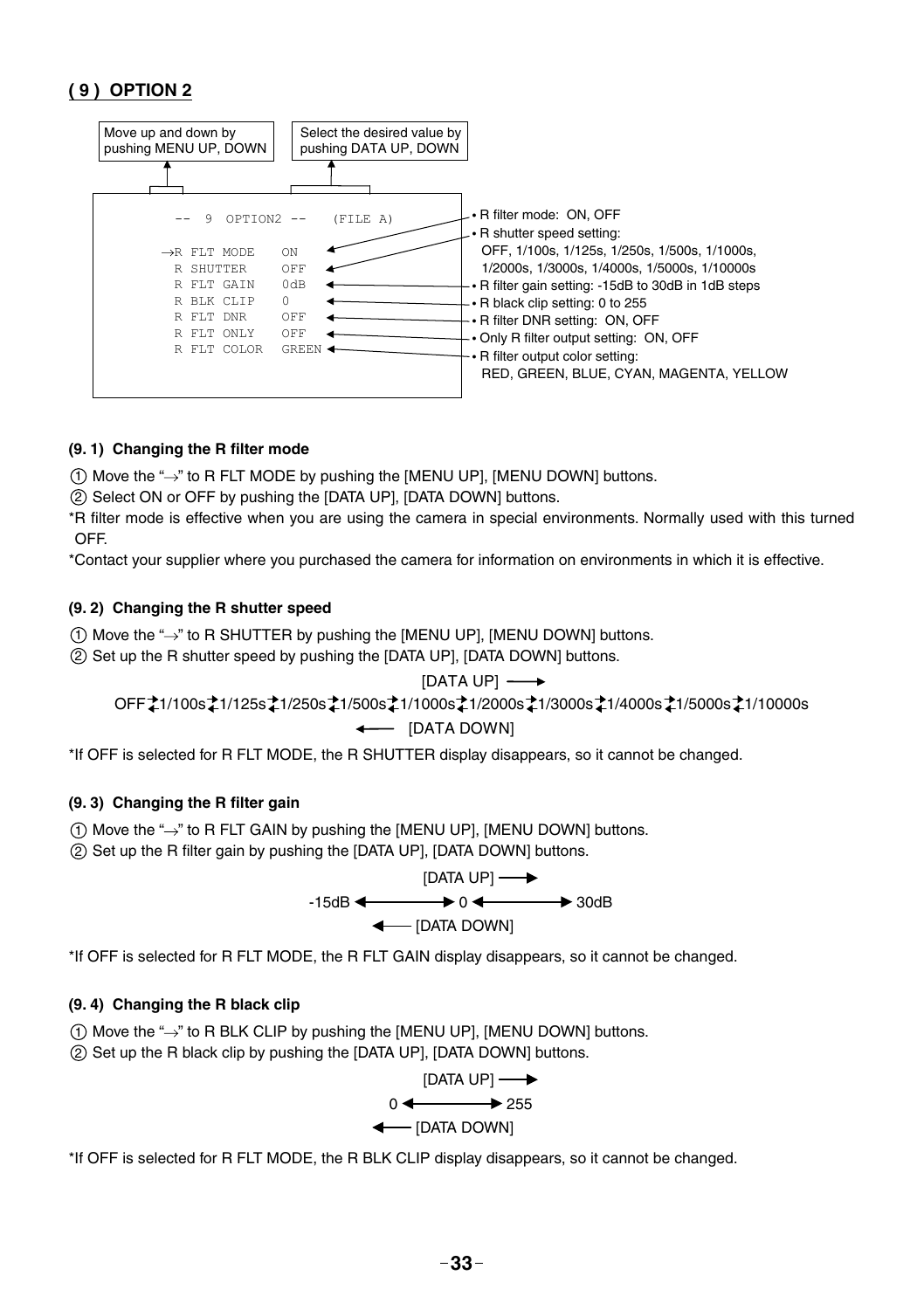#### **( 9 ) OPTION 2**



#### **(9. 1) Changing the R filter mode**

 $(1)$  Move the " $\rightarrow$ " to R FLT MODE by pushing the [MENU UP], [MENU DOWN] buttons.

2 Select ON or OFF by pushing the [DATA UP], [DATA DOWN] buttons.

\*R filter mode is effective when you are using the camera in special environments. Normally used with this turned **OFF.** 

\*Contact your supplier where you purchased the camera for information on environments in which it is effective.

#### **(9. 2) Changing the R shutter speed**

 $(1)$  Move the " $\rightarrow$ " to R SHUTTER by pushing the [MENU UP], [MENU DOWN] buttons.

2 Set up the R shutter speed by pushing the [DATA UP], [DATA DOWN] buttons.

#### [DATA UP] - $\overline{\phantom{a}}$

 $\leftarrow$  [DATA DOWN] OFF 21/100s 21/125s 21/250s 21/500s 21/1000s 21/2000s 21/3000s 21/4000s 21/5000s 21/10000s

\*If OFF is selected for R FLT MODE, the R SHUTTER display disappears, so it cannot be changed.

#### **(9. 3) Changing the R fi lter gain**

- $(1)$  Move the " $\rightarrow$ " to R FLT GAIN by pushing the [MENU UP]. [MENU DOWN] buttons.
- (2) Set up the R filter gain by pushing the [DATA UP], [DATA DOWN] buttons.

$$
[DATA UP] \longrightarrow
$$
  
-15dB  $\longleftarrow$  0  $\longleftarrow$  30dB  
 $\longleftarrow$  [DATA DOWN]

\*If OFF is selected for R FLT MODE, the R FLT GAIN display disappears, so it cannot be changed.

#### **(9. 4) Changing the R black clip**

- $(1)$  Move the " $\rightarrow$ " to R BLK CLIP by pushing the [MENU UP], [MENU DOWN] buttons.
- 2 Set up the R black clip by pushing the [DATA UP], [DATA DOWN] buttons.



\*If OFF is selected for R FLT MODE, the R BLK CLIP display disappears, so it cannot be changed.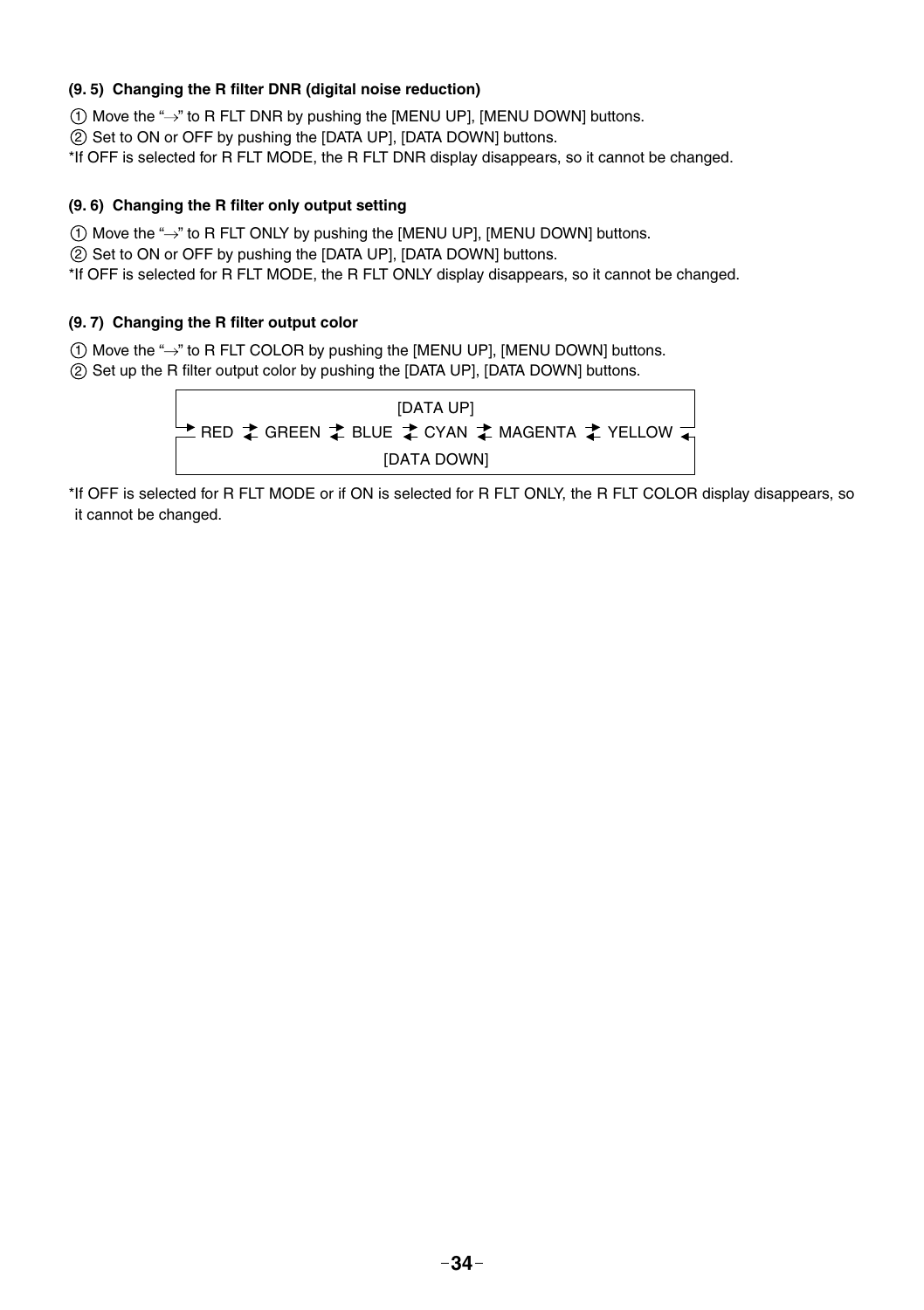#### **(9. 5) Changing the R fi lter DNR (digital noise reduction)**

 $(1)$  Move the " $\rightarrow$ " to R FLT DNR by pushing the [MENU UP], [MENU DOWN] buttons.

2 Set to ON or OFF by pushing the [DATA UP], [DATA DOWN] buttons.

\*If OFF is selected for R FLT MODE, the R FLT DNR display disappears, so it cannot be changed.

#### **(9. 6) Changing the R fi lter only output setting**

 $(1)$  Move the " $\rightarrow$ " to R FLT ONLY by pushing the [MENU UP], [MENU DOWN] buttons.

2 Set to ON or OFF by pushing the [DATA UP], [DATA DOWN] buttons.

\*If OFF is selected for R FLT MODE, the R FLT ONLY display disappears, so it cannot be changed.

#### (9.7) Changing the R filter output color

 $(1)$  Move the " $\rightarrow$ " to R FLT COLOR by pushing the [MENU UP], [MENU DOWN] buttons.

2) Set up the R filter output color by pushing the [DATA UP], [DATA DOWN] buttons.



\*If OFF is selected for R FLT MODE or if ON is selected for R FLT ONLY, the R FLT COLOR display disappears, so it cannot be changed.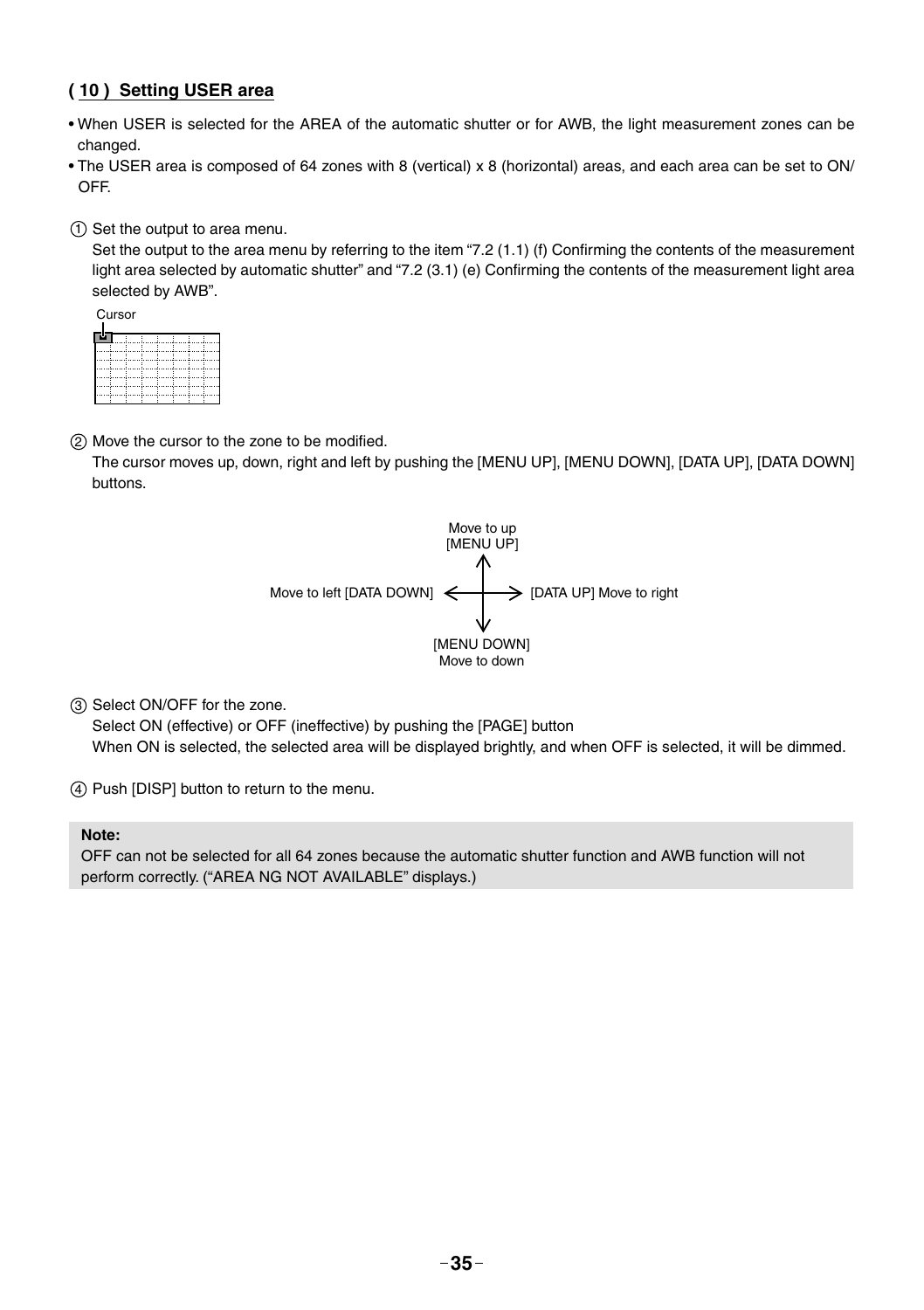#### **( 10 ) Setting USER area**

- When USER is selected for the AREA of the automatic shutter or for AWB, the light measurement zones can be changed.
- The USER area is composed of 64 zones with 8 (vertical) x 8 (horizontal) areas, and each area can be set to ON/ OFF.

1 Set the output to area menu.

Set the output to the area menu by referring to the item "7.2 (1.1) (f) Confirming the contents of the measurement light area selected by automatic shutter" and "7.2 (3.1) (e) Confirming the contents of the measurement light area selected by AWB".

| Cursor |  |  |
|--------|--|--|
| ÷      |  |  |
|        |  |  |
|        |  |  |
|        |  |  |
|        |  |  |
|        |  |  |

(2) Move the cursor to the zone to be modified.

The cursor moves up, down, right and left by pushing the [MENU UP], [MENU DOWN], [DATA UP], [DATA DOWN] buttons.



3 Select ON/OFF for the zone.

Select ON (effective) or OFF (ineffective) by pushing the [PAGE] button When ON is selected, the selected area will be displayed brightly, and when OFF is selected, it will be dimmed.

(4) Push [DISP] button to return to the menu.

#### **Note:**

OFF can not be selected for all 64 zones because the automatic shutter function and AWB function will not perform correctly. ("AREA NG NOT AVAILABLE" displays.)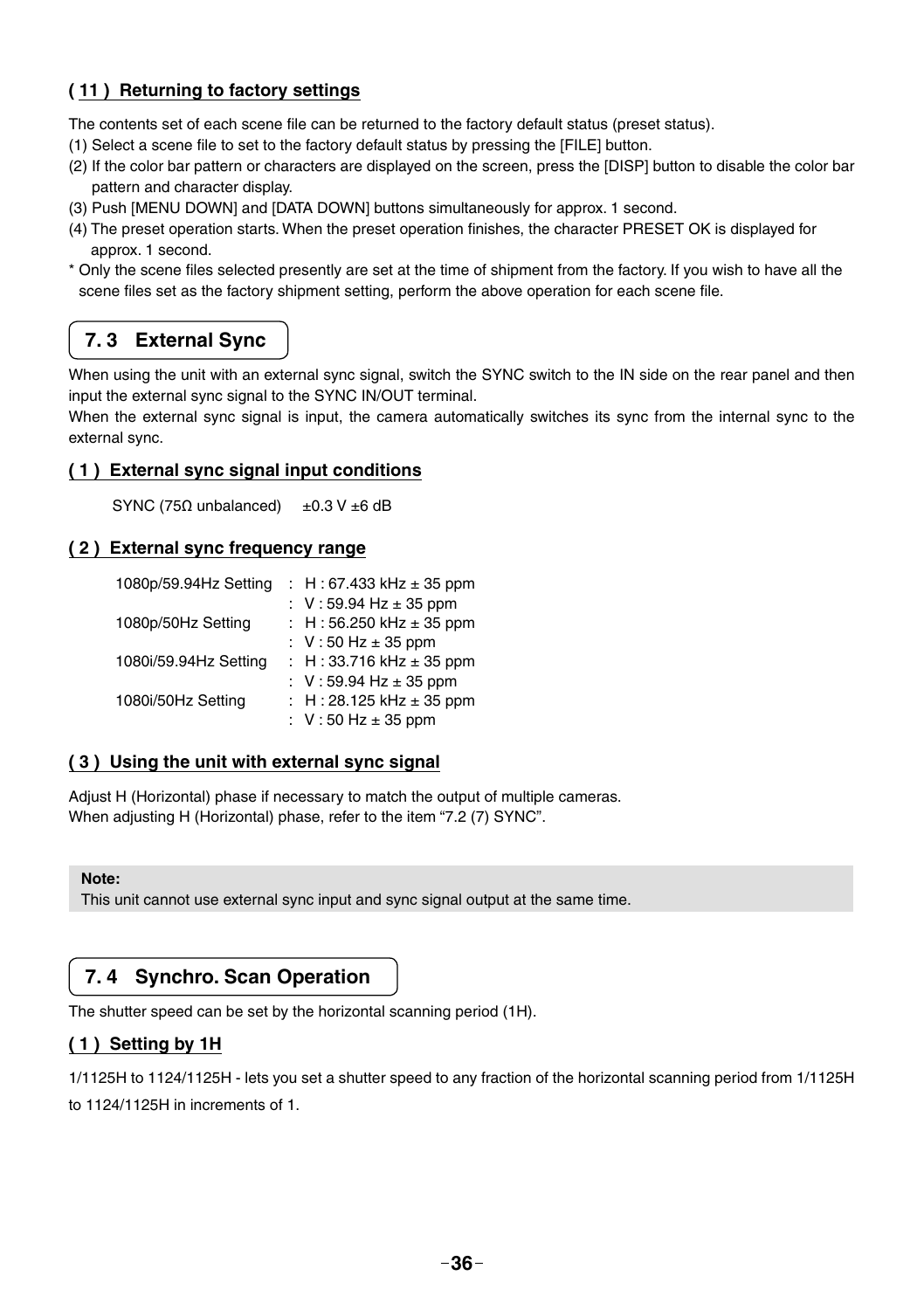#### **( 11 ) Returning to factory settings**

The contents set of each scene file can be returned to the factory default status (preset status).

- (1) Select a scene file to set to the factory default status by pressing the [FILE] button.
- (2) If the color bar pattern or characters are displayed on the screen, press the [DISP] button to disable the color bar pattern and character display.
- (3) Push [MENU DOWN] and [DATA DOWN] buttons simultaneously for approx. 1 second.
- (4) The preset operation starts. When the preset operation finishes, the character PRESET OK is displayed for approx. 1 second.
- \* Only the scene files selected presently are set at the time of shipment from the factory. If you wish to have all the scene files set as the factory shipment setting, perform the above operation for each scene file.

### **7. 3 External Sync**

When using the unit with an external sync signal, switch the SYNC switch to the IN side on the rear panel and then input the external sync signal to the SYNC IN/OUT terminal.

When the external sync signal is input, the camera automatically switches its sync from the internal sync to the external sync.

#### **( 1 ) External sync signal input conditions**

SYNC (75**Ω** unbalanced) ±0.3 V ±6 dB

#### **( 2 ) External sync frequency range**

| 1080p/59.94Hz Setting | : H: 67.433 kHz $\pm$ 35 ppm               |
|-----------------------|--------------------------------------------|
|                       | : $V: 59.94 \text{ Hz} \pm 35 \text{ ppm}$ |
| 1080p/50Hz Setting    | : H: 56.250 kHz $\pm$ 35 ppm               |
|                       | : $V:50 Hz \pm 35 ppm$                     |
| 1080i/59.94Hz Setting | : H: 33.716 kHz $\pm$ 35 ppm               |
|                       | : $V: 59.94$ Hz $\pm$ 35 ppm               |
| 1080i/50Hz Setting    | : H: 28.125 kHz $\pm$ 35 ppm               |
|                       | : $V:50 Hz \pm 35 ppm$                     |

#### **( 3 ) Using the unit with external sync signal**

Adjust H (Horizontal) phase if necessary to match the output of multiple cameras. When adjusting H (Horizontal) phase, refer to the item "7.2 (7) SYNC".

#### **Note:**

This unit cannot use external sync input and sync signal output at the same time.

#### **7. 4 Synchro. Scan Operation**

The shutter speed can be set by the horizontal scanning period (1H).

#### **( 1 ) Setting by 1H**

1/1125H to 1124/1125H - lets you set a shutter speed to any fraction of the horizontal scanning period from 1/1125H to 1124/1125H in increments of 1.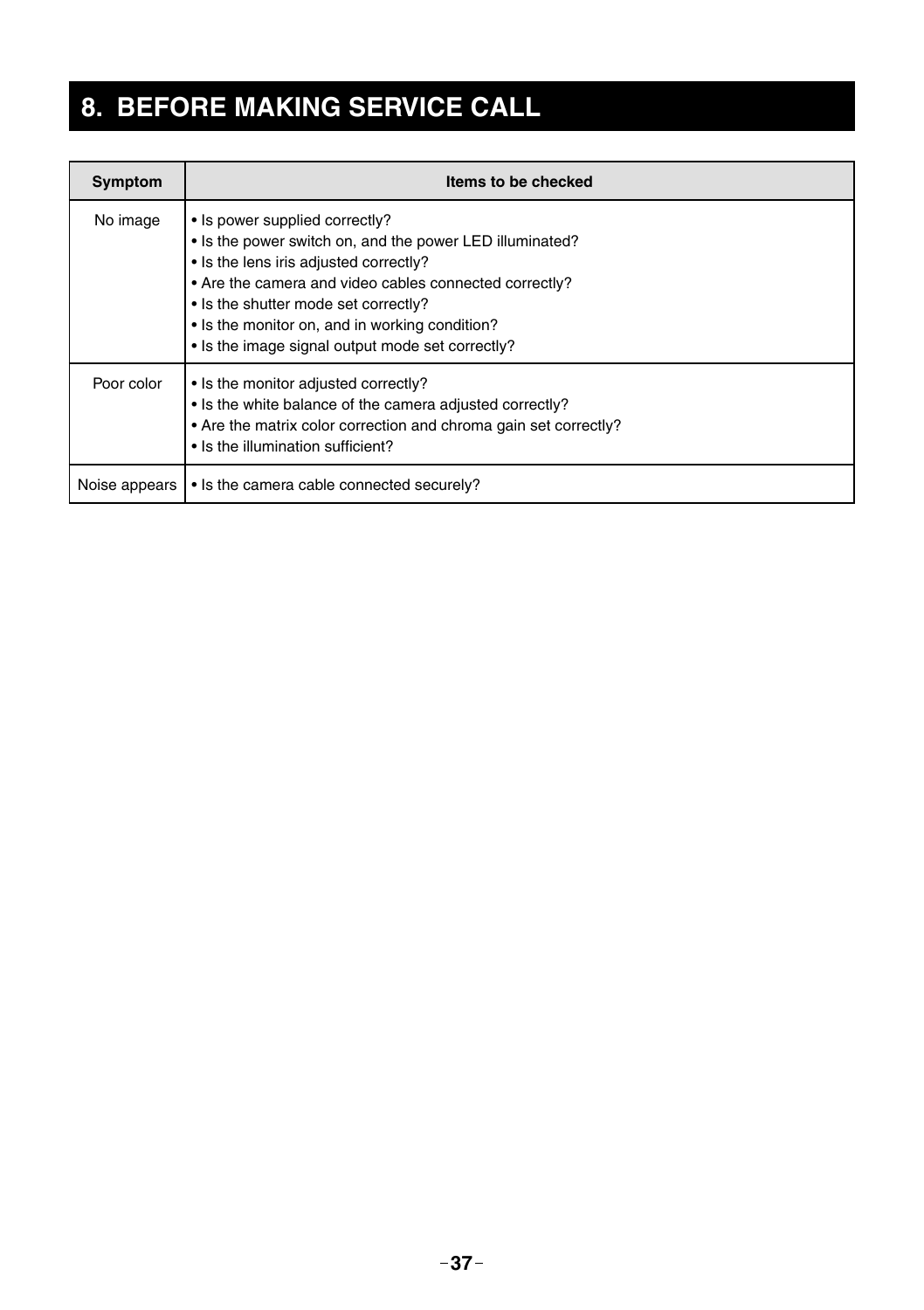# **8. BEFORE MAKING SERVICE CALL**

| Symptom       | Items to be checked                                                                                                                                                                                                                                                                                                                          |
|---------------|----------------------------------------------------------------------------------------------------------------------------------------------------------------------------------------------------------------------------------------------------------------------------------------------------------------------------------------------|
| No image      | • Is power supplied correctly?<br>. Is the power switch on, and the power LED illuminated?<br>• Is the lens iris adjusted correctly?<br>• Are the camera and video cables connected correctly?<br>• Is the shutter mode set correctly?<br>• Is the monitor on, and in working condition?<br>• Is the image signal output mode set correctly? |
| Poor color    | • Is the monitor adjusted correctly?<br>• Is the white balance of the camera adjusted correctly?<br>• Are the matrix color correction and chroma gain set correctly?<br>. Is the illumination sufficient?                                                                                                                                    |
| Noise appears | • Is the camera cable connected securely?                                                                                                                                                                                                                                                                                                    |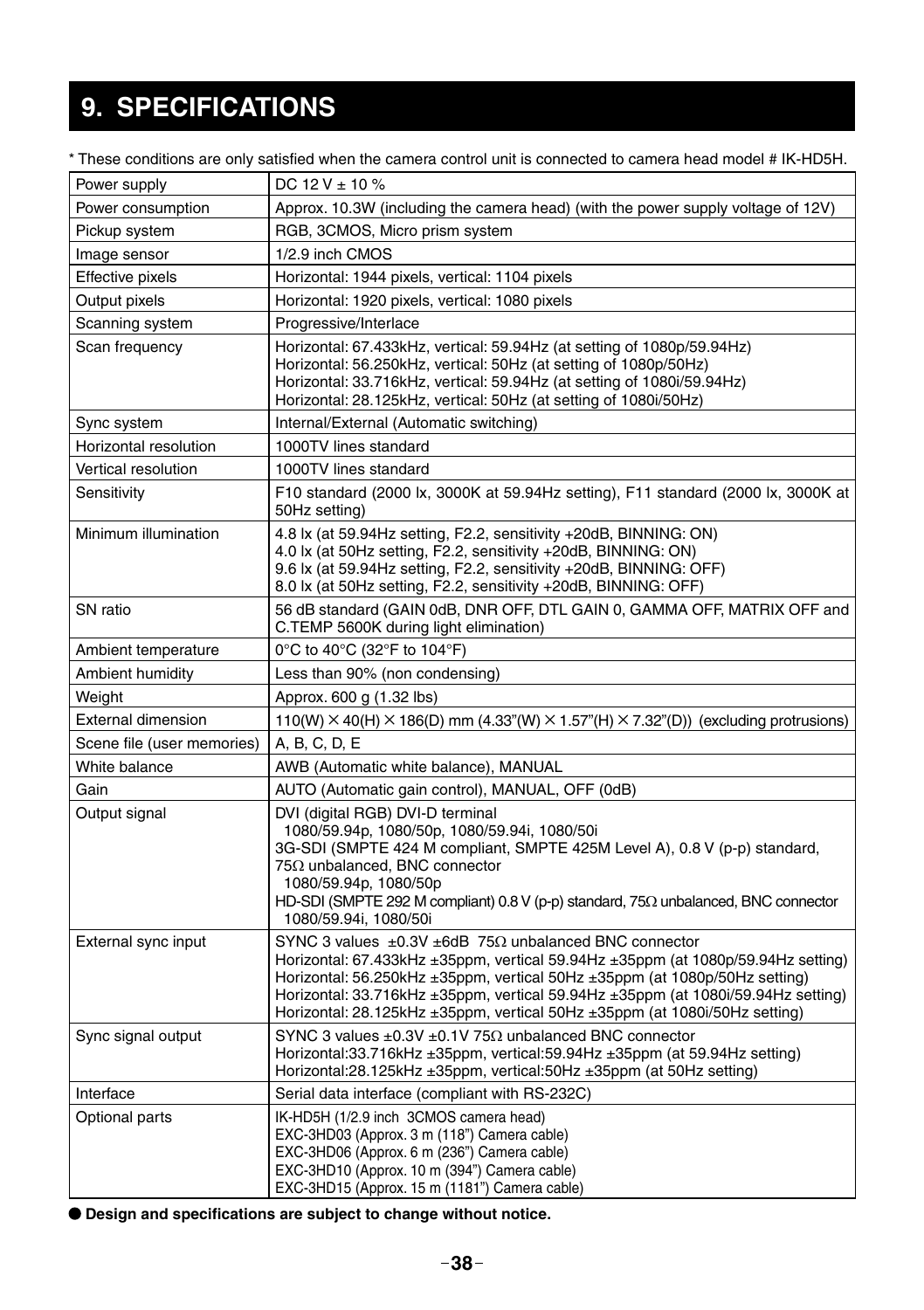# **9. SPECIFICATIONS**

| * These conditions are only satisfied when the camera control unit is connected to camera head model # IK-HD5H. |  |
|-----------------------------------------------------------------------------------------------------------------|--|
|-----------------------------------------------------------------------------------------------------------------|--|

| Power supply               | DC 12 V $\pm$ 10 %                                                                                                                                                                                                                                                                                                                                                                                                       |
|----------------------------|--------------------------------------------------------------------------------------------------------------------------------------------------------------------------------------------------------------------------------------------------------------------------------------------------------------------------------------------------------------------------------------------------------------------------|
| Power consumption          | Approx. 10.3W (including the camera head) (with the power supply voltage of 12V)                                                                                                                                                                                                                                                                                                                                         |
| Pickup system              | RGB, 3CMOS, Micro prism system                                                                                                                                                                                                                                                                                                                                                                                           |
| Image sensor               | 1/2.9 inch CMOS                                                                                                                                                                                                                                                                                                                                                                                                          |
| Effective pixels           | Horizontal: 1944 pixels, vertical: 1104 pixels                                                                                                                                                                                                                                                                                                                                                                           |
| Output pixels              | Horizontal: 1920 pixels, vertical: 1080 pixels                                                                                                                                                                                                                                                                                                                                                                           |
| Scanning system            | Progressive/Interlace                                                                                                                                                                                                                                                                                                                                                                                                    |
| Scan frequency             | Horizontal: 67.433kHz, vertical: 59.94Hz (at setting of 1080p/59.94Hz)<br>Horizontal: 56.250kHz, vertical: 50Hz (at setting of 1080p/50Hz)<br>Horizontal: 33.716kHz, vertical: 59.94Hz (at setting of 1080i/59.94Hz)<br>Horizontal: 28.125kHz, vertical: 50Hz (at setting of 1080i/50Hz)                                                                                                                                 |
| Sync system                | Internal/External (Automatic switching)                                                                                                                                                                                                                                                                                                                                                                                  |
| Horizontal resolution      | 1000TV lines standard                                                                                                                                                                                                                                                                                                                                                                                                    |
| Vertical resolution        | 1000TV lines standard                                                                                                                                                                                                                                                                                                                                                                                                    |
| Sensitivity                | F10 standard (2000 lx, 3000K at 59.94Hz setting), F11 standard (2000 lx, 3000K at<br>50Hz setting)                                                                                                                                                                                                                                                                                                                       |
| Minimum illumination       | 4.8 lx (at 59.94Hz setting, F2.2, sensitivity +20dB, BINNING: ON)<br>4.0 lx (at 50Hz setting, F2.2, sensitivity +20dB, BINNING: ON)<br>9.6 lx (at 59.94Hz setting, F2.2, sensitivity +20dB, BINNING: OFF)<br>8.0 lx (at 50Hz setting, F2.2, sensitivity +20dB, BINNING: OFF)                                                                                                                                             |
| SN ratio                   | 56 dB standard (GAIN 0dB, DNR OFF, DTL GAIN 0, GAMMA OFF, MATRIX OFF and<br>C.TEMP 5600K during light elimination)                                                                                                                                                                                                                                                                                                       |
| Ambient temperature        | 0°C to 40°C (32°F to 104°F)                                                                                                                                                                                                                                                                                                                                                                                              |
| Ambient humidity           | Less than 90% (non condensing)                                                                                                                                                                                                                                                                                                                                                                                           |
| Weight                     | Approx. 600 g (1.32 lbs)                                                                                                                                                                                                                                                                                                                                                                                                 |
| <b>External dimension</b>  | 110(W) $\times$ 40(H) $\times$ 186(D) mm (4.33"(W) $\times$ 1.57"(H) $\times$ 7.32"(D)) (excluding protrusions)                                                                                                                                                                                                                                                                                                          |
| Scene file (user memories) | A, B, C, D, E                                                                                                                                                                                                                                                                                                                                                                                                            |
| White balance              | AWB (Automatic white balance), MANUAL                                                                                                                                                                                                                                                                                                                                                                                    |
| Gain                       | AUTO (Automatic gain control), MANUAL, OFF (0dB)                                                                                                                                                                                                                                                                                                                                                                         |
| Output signal              | DVI (digital RGB) DVI-D terminal<br>1080/59.94p, 1080/50p, 1080/59.94i, 1080/50i<br>3G-SDI (SMPTE 424 M compliant, SMPTE 425M Level A), 0.8 V (p-p) standard,<br>75Ω unbalanced, BNC connector<br>1080/59.94p, 1080/50p<br>HD-SDI (SMPTE 292 M compliant) $0.8$ V (p-p) standard, 75 $\Omega$ unbalanced, BNC connector<br>1080/59.94i, 1080/50i                                                                         |
| External sync input        | SYNC 3 values $\pm 0.3V$ $\pm 6$ dB 75 $\Omega$ unbalanced BNC connector<br>Horizontal: 67.433kHz ±35ppm, vertical 59.94Hz ±35ppm (at 1080p/59.94Hz setting)<br>Horizontal: 56.250kHz $\pm 35$ ppm, vertical 50Hz $\pm 35$ ppm (at 1080p/50Hz setting)<br>Horizontal: 33.716kHz ±35ppm, vertical 59.94Hz ±35ppm (at 1080i/59.94Hz setting)<br>Horizontal: 28.125kHz ±35ppm, vertical 50Hz ±35ppm (at 1080i/50Hz setting) |
| Sync signal output         | SYNC 3 values $\pm 0.3V \pm 0.1V$ 75 $\Omega$ unbalanced BNC connector<br>Horizontal:33.716kHz ±35ppm, vertical:59.94Hz ±35ppm (at 59.94Hz setting)<br>Horizontal:28.125kHz ±35ppm, vertical:50Hz ±35ppm (at 50Hz setting)                                                                                                                                                                                               |
| Interface                  | Serial data interface (compliant with RS-232C)                                                                                                                                                                                                                                                                                                                                                                           |
| Optional parts             | IK-HD5H (1/2.9 inch 3CMOS camera head)<br>EXC-3HD03 (Approx. 3 m (118") Camera cable)<br>EXC-3HD06 (Approx. 6 m (236") Camera cable)<br>EXC-3HD10 (Approx. 10 m (394") Camera cable)<br>EXC-3HD15 (Approx. 15 m (1181") Camera cable)                                                                                                                                                                                    |

 $\bullet$  Design and specifications are subject to change without notice.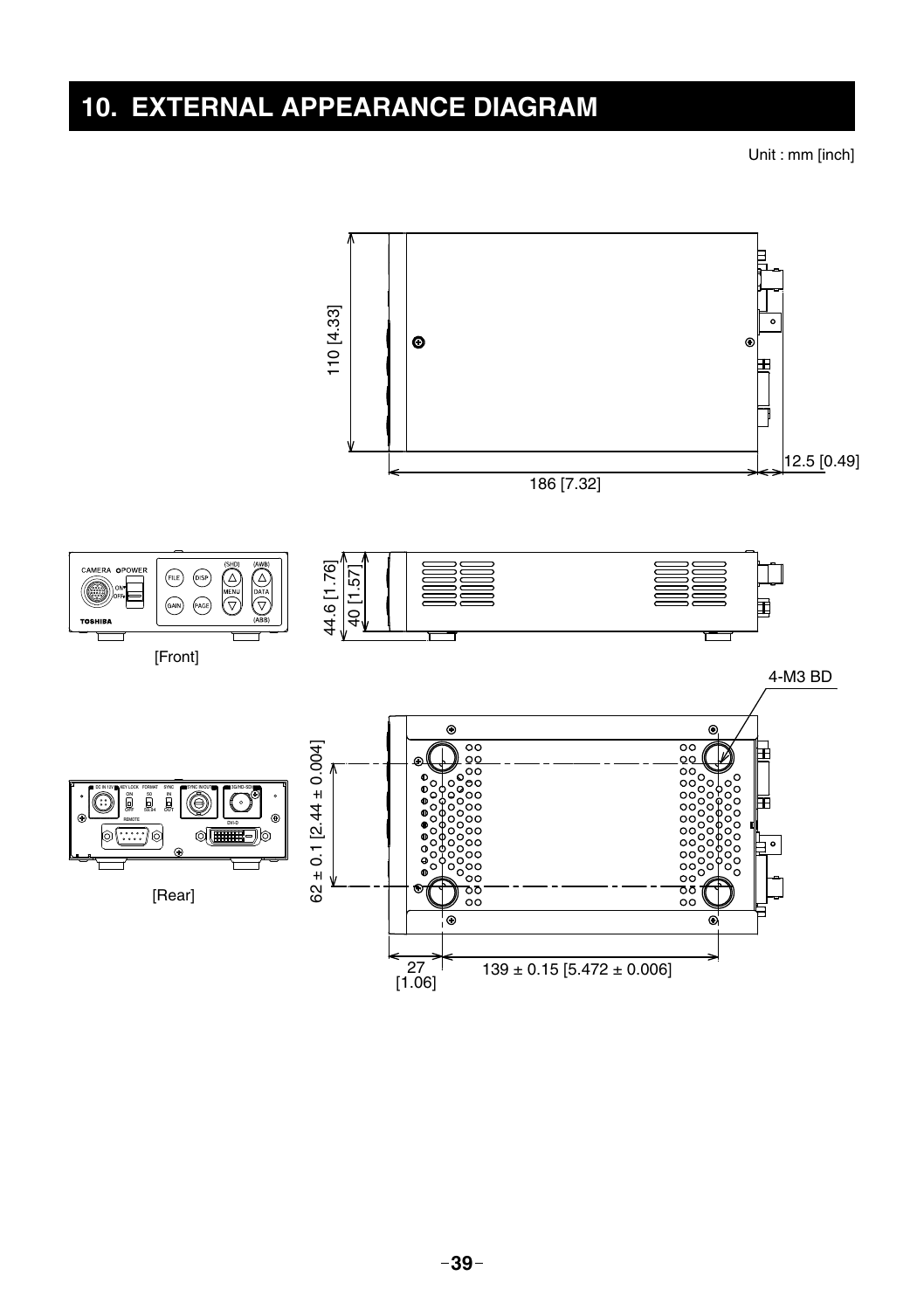# **10. EXTERNAL APPEARANCE DIAGRAM**

Unit : mm [inch]